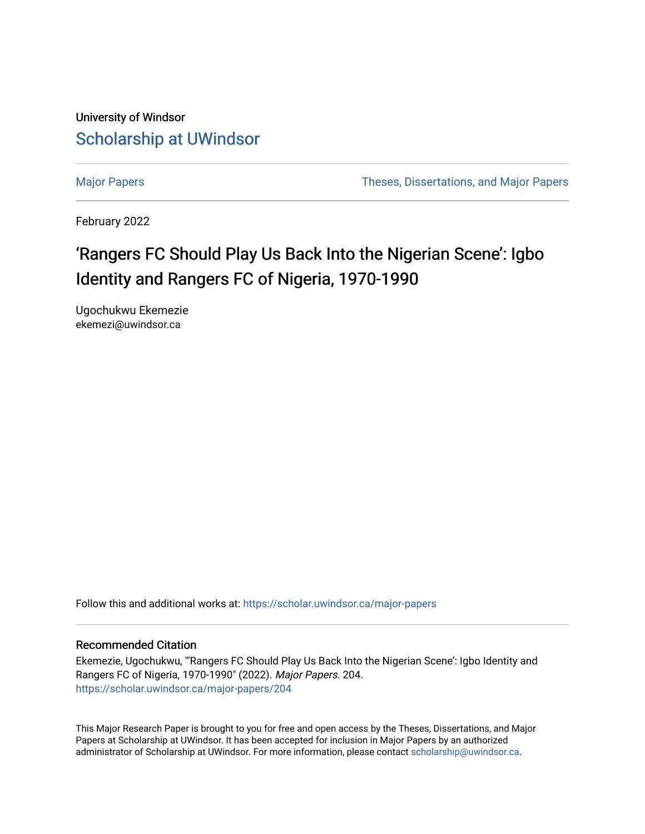University of Windsor [Scholarship at UWindsor](https://scholar.uwindsor.ca/) 

[Major Papers](https://scholar.uwindsor.ca/major-papers) Theses, Dissertations, and Major Papers

February 2022

# 'Rangers FC Should Play Us Back Into the Nigerian Scene': Igbo Identity and Rangers FC of Nigeria, 1970-1990

Ugochukwu Ekemezie ekemezi@uwindsor.ca

Follow this and additional works at: [https://scholar.uwindsor.ca/major-papers](https://scholar.uwindsor.ca/major-papers?utm_source=scholar.uwindsor.ca%2Fmajor-papers%2F204&utm_medium=PDF&utm_campaign=PDFCoverPages) 

#### Recommended Citation

Ekemezie, Ugochukwu, "'Rangers FC Should Play Us Back Into the Nigerian Scene': Igbo Identity and Rangers FC of Nigeria, 1970-1990" (2022). Major Papers. 204. [https://scholar.uwindsor.ca/major-papers/204](https://scholar.uwindsor.ca/major-papers/204?utm_source=scholar.uwindsor.ca%2Fmajor-papers%2F204&utm_medium=PDF&utm_campaign=PDFCoverPages) 

This Major Research Paper is brought to you for free and open access by the Theses, Dissertations, and Major Papers at Scholarship at UWindsor. It has been accepted for inclusion in Major Papers by an authorized administrator of Scholarship at UWindsor. For more information, please contact [scholarship@uwindsor.ca](mailto:scholarship@uwindsor.ca).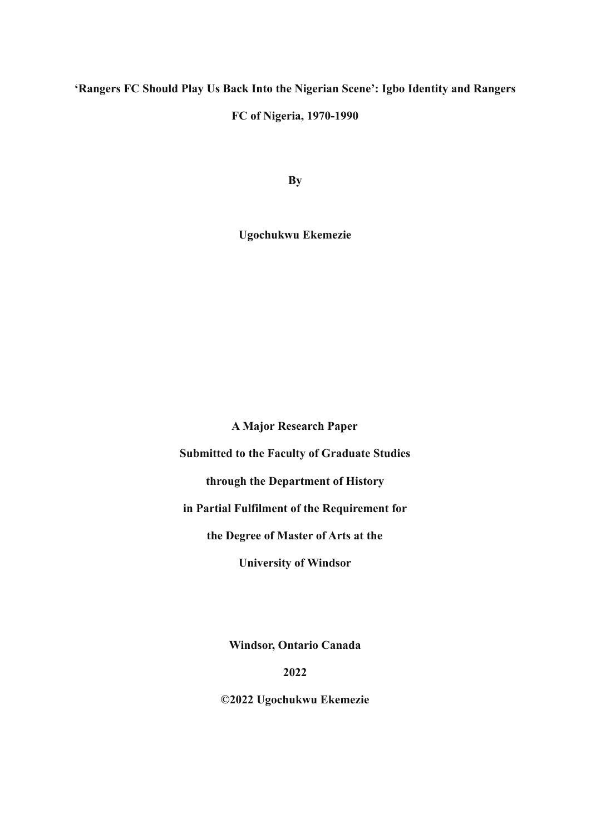## **'Rangers FC Should Play Us Back Into the Nigerian Scene': Igbo Identity and Rangers**

## **FC of Nigeria, 1970-1990**

**By**

**Ugochukwu Ekemezie**

**A Major Research Paper**

**Submitted to the Faculty of Graduate Studies**

**through the Department of History**

**in Partial Fulfilment of the Requirement for**

**the Degree of Master of Arts at the**

**University of Windsor**

**Windsor, Ontario Canada**

**2022**

**©2022 Ugochukwu Ekemezie**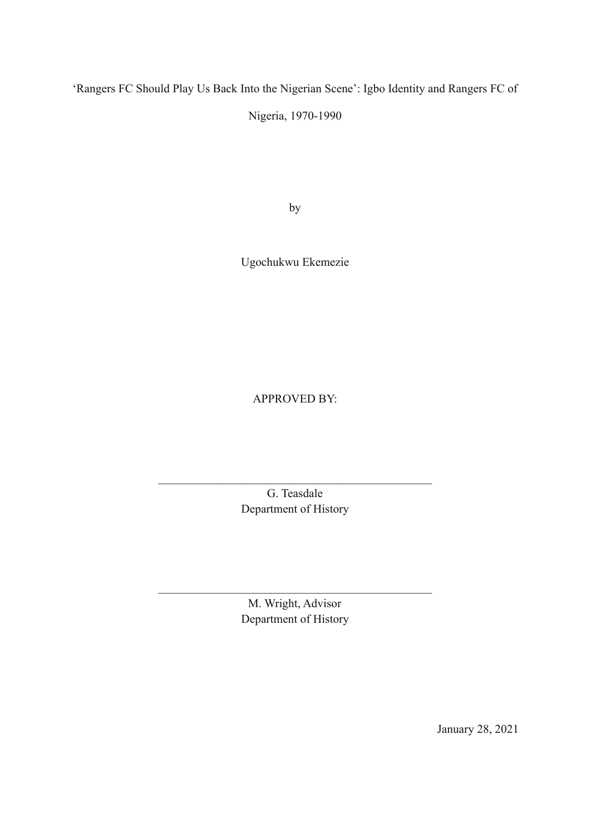'Rangers FC Should Play Us Back Into the Nigerian Scene': Igbo Identity and Rangers FC of

Nigeria, 1970-1990

by

Ugochukwu Ekemezie

APPROVED BY:

G. Teasdale Department of History

 $\mathcal{L}_\text{max}$  and the contract of the contract of the contract of the contract of the contract of the contract of the contract of the contract of the contract of the contract of the contract of the contract of the contrac

M. Wright, Advisor Department of History

 $\mathcal{L}_\text{max}$  and  $\mathcal{L}_\text{max}$  and  $\mathcal{L}_\text{max}$  and  $\mathcal{L}_\text{max}$  and  $\mathcal{L}_\text{max}$ 

January 28, 2021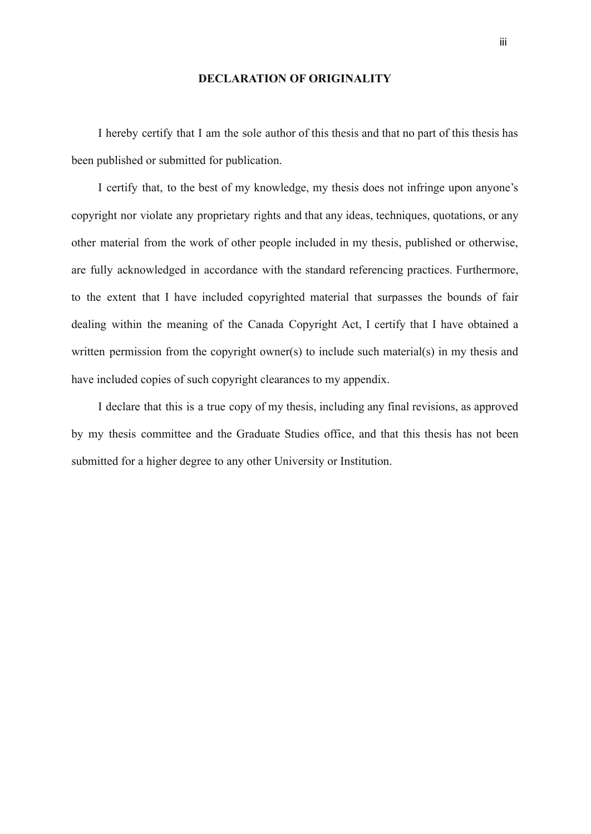#### **DECLARATION OF ORIGINALITY**

I hereby certify that I am the sole author of this thesis and that no part of this thesis has been published or submitted for publication.

I certify that, to the best of my knowledge, my thesis does not infringe upon anyone's copyright nor violate any proprietary rights and that any ideas, techniques, quotations, or any other material from the work of other people included in my thesis, published or otherwise, are fully acknowledged in accordance with the standard referencing practices. Furthermore, to the extent that I have included copyrighted material that surpasses the bounds of fair dealing within the meaning of the Canada Copyright Act, I certify that I have obtained a written permission from the copyright owner(s) to include such material(s) in my thesis and have included copies of such copyright clearances to my appendix.

I declare that this is a true copy of my thesis, including any final revisions, as approved by my thesis committee and the Graduate Studies office, and that this thesis has not been submitted for a higher degree to any other University or Institution.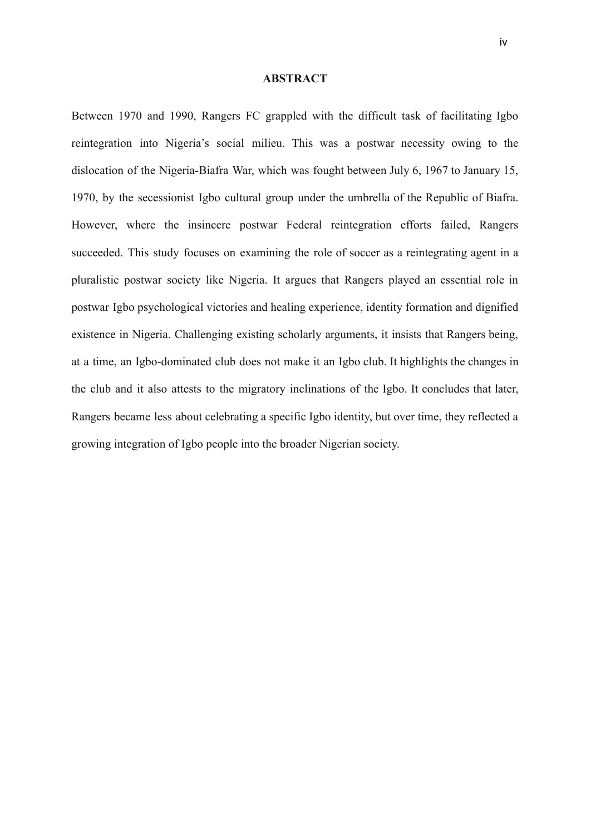#### **ABSTRACT**

Between 1970 and 1990, Rangers FC grappled with the difficult task of facilitating Igbo reintegration into Nigeria's social milieu. This was a postwar necessity owing to the dislocation of the Nigeria-Biafra War, which was fought between July 6, 1967 to January 15, 1970, by the secessionist Igbo cultural group under the umbrella of the Republic of Biafra. However, where the insincere postwar Federal reintegration efforts failed, Rangers succeeded. This study focuses on examining the role of soccer as a reintegrating agent in a pluralistic postwar society like Nigeria. It argues that Rangers played an essential role in postwar Igbo psychological victories and healing experience, identity formation and dignified existence in Nigeria. Challenging existing scholarly arguments, it insists that Rangers being, at a time, an Igbo-dominated club does not make it an Igbo club. It highlights the changes in the club and it also attests to the migratory inclinations of the Igbo. It concludes that later, Rangers became less about celebrating a specific Igbo identity, but over time, they reflected a growing integration of Igbo people into the broader Nigerian society.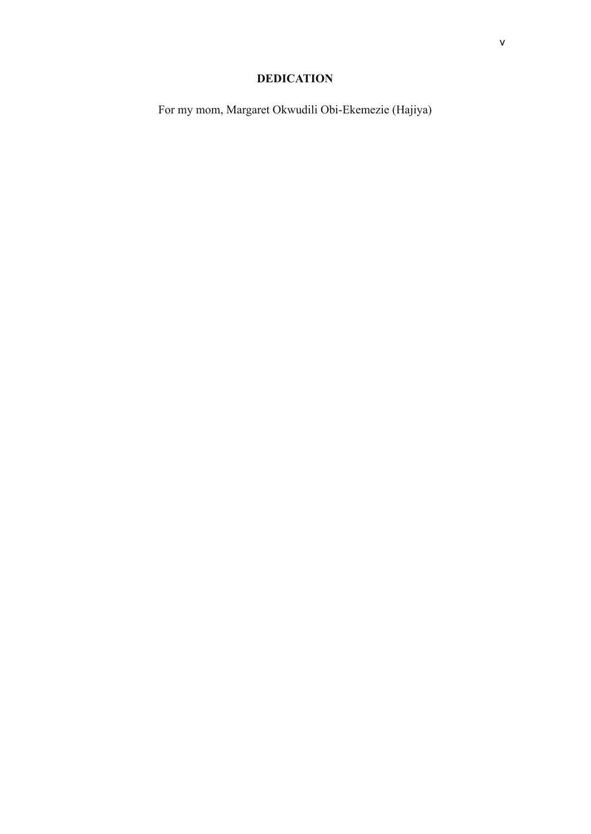## **DEDICATION**

For my mom, Margaret Okwudili Obi-Ekemezie (Hajiya)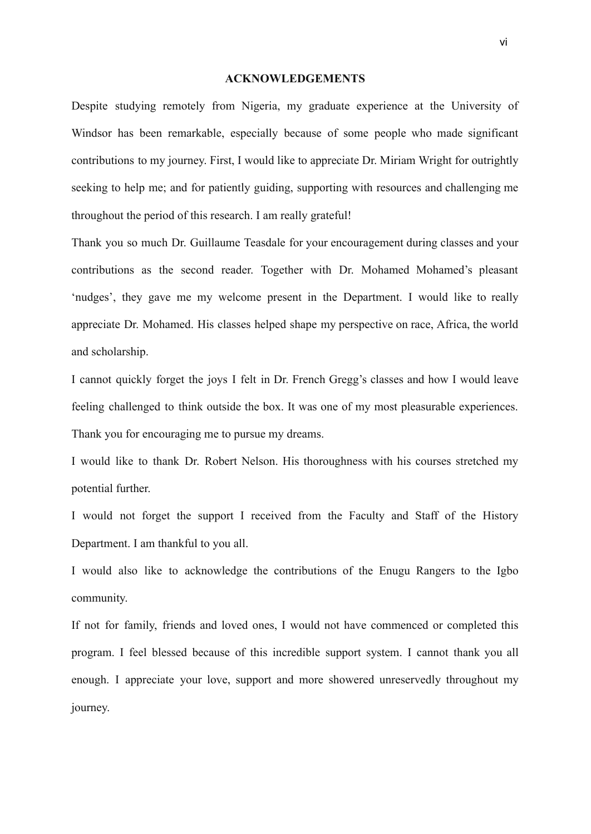#### **ACKNOWLEDGEMENTS**

Despite studying remotely from Nigeria, my graduate experience at the University of Windsor has been remarkable, especially because of some people who made significant contributions to my journey. First, I would like to appreciate Dr. Miriam Wright for outrightly seeking to help me; and for patiently guiding, supporting with resources and challenging me throughout the period of this research. I am really grateful!

Thank you so much Dr. Guillaume Teasdale for your encouragement during classes and your contributions as the second reader. Together with Dr. Mohamed Mohamed's pleasant 'nudges', they gave me my welcome present in the Department. I would like to really appreciate Dr. Mohamed. His classes helped shape my perspective on race, Africa, the world and scholarship.

I cannot quickly forget the joys I felt in Dr. French Gregg's classes and how I would leave feeling challenged to think outside the box. It was one of my most pleasurable experiences. Thank you for encouraging me to pursue my dreams.

I would like to thank Dr. Robert Nelson. His thoroughness with his courses stretched my potential further.

I would not forget the support I received from the Faculty and Staff of the History Department. I am thankful to you all.

I would also like to acknowledge the contributions of the Enugu Rangers to the Igbo community.

If not for family, friends and loved ones, I would not have commenced or completed this program. I feel blessed because of this incredible support system. I cannot thank you all enough. I appreciate your love, support and more showered unreservedly throughout my journey.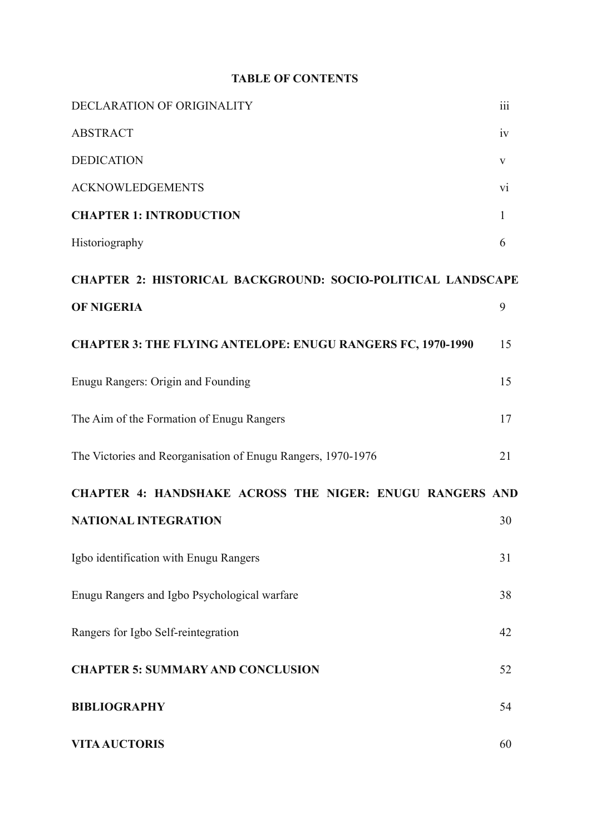## **TABLE OF CONTENTS**

| DECLARATION OF ORIGINALITY                                         | iii          |
|--------------------------------------------------------------------|--------------|
| <b>ABSTRACT</b>                                                    | 1V           |
| <b>DEDICATION</b>                                                  | V            |
| <b>ACKNOWLEDGEMENTS</b>                                            | vi           |
| <b>CHAPTER 1: INTRODUCTION</b>                                     | $\mathbf{1}$ |
| Historiography                                                     | 6            |
| <b>CHAPTER 2: HISTORICAL BACKGROUND: SOCIO-POLITICAL LANDSCAPE</b> |              |
| <b>OF NIGERIA</b>                                                  | 9            |
| <b>CHAPTER 3: THE FLYING ANTELOPE: ENUGU RANGERS FC, 1970-1990</b> | 15           |
| Enugu Rangers: Origin and Founding                                 | 15           |
| The Aim of the Formation of Enugu Rangers                          | 17           |
| The Victories and Reorganisation of Enugu Rangers, 1970-1976       | 21           |
| CHAPTER 4: HANDSHAKE ACROSS THE NIGER: ENUGU RANGERS AND           |              |
| <b>NATIONAL INTEGRATION</b>                                        | 30           |
| Igbo identification with Enugu Rangers                             | 31           |
| Enugu Rangers and Igbo Psychological warfare                       | 38           |
| Rangers for Igbo Self-reintegration                                | 42           |
| <b>CHAPTER 5: SUMMARY AND CONCLUSION</b>                           | 52           |
| <b>BIBLIOGRAPHY</b>                                                | 54           |
| <b>VITA AUCTORIS</b>                                               | 60           |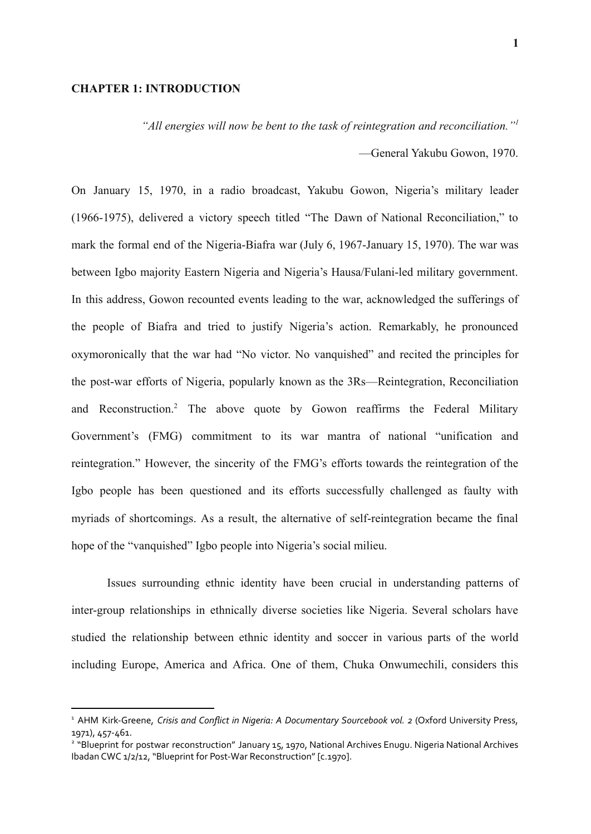## **CHAPTER 1: INTRODUCTION**

*"All energies will now be bent to the task of reintegration and reconciliation."<sup>1</sup>*

—General Yakubu Gowon, 1970.

On January 15, 1970, in a radio broadcast, Yakubu Gowon, Nigeria's military leader (1966-1975), delivered a victory speech titled "The Dawn of National Reconciliation," to mark the formal end of the Nigeria-Biafra war (July 6, 1967-January 15, 1970). The war was between Igbo majority Eastern Nigeria and Nigeria's Hausa/Fulani-led military government. In this address, Gowon recounted events leading to the war, acknowledged the sufferings of the people of Biafra and tried to justify Nigeria's action. Remarkably, he pronounced oxymoronically that the war had "No victor. No vanquished" and recited the principles for the post-war efforts of Nigeria, popularly known as the 3Rs—Reintegration, Reconciliation and Reconstruction.<sup>2</sup> The above quote by Gowon reaffirms the Federal Military Government's (FMG) commitment to its war mantra of national "unification and reintegration." However, the sincerity of the FMG's efforts towards the reintegration of the Igbo people has been questioned and its efforts successfully challenged as faulty with myriads of shortcomings. As a result, the alternative of self-reintegration became the final hope of the "vanquished" Igbo people into Nigeria's social milieu.

Issues surrounding ethnic identity have been crucial in understanding patterns of inter-group relationships in ethnically diverse societies like Nigeria. Several scholars have studied the relationship between ethnic identity and soccer in various parts of the world including Europe, America and Africa. One of them, Chuka Onwumechili, considers this

<sup>1</sup> AHM Kirk-Greene, *Crisis and Conflict in Nigeria: A Documentary Sourcebook vol. 2* (Oxford University Press, 1971), 457-461.

<sup>&</sup>lt;sup>2</sup> "Blueprint for postwar reconstruction" January 15, 1970, National Archives Enugu. Nigeria National Archives Ibadan CWC 1/2/12, "Blueprint for Post-War Reconstruction" [c.1970].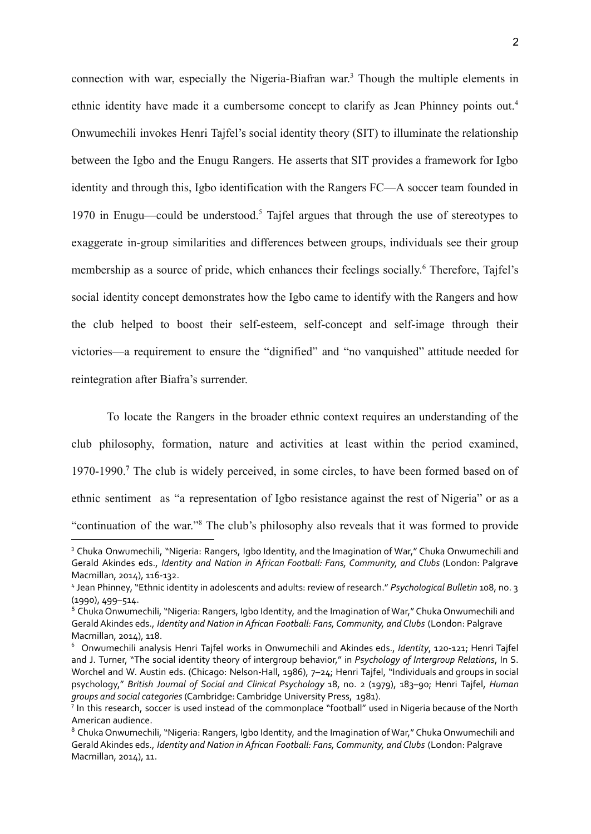connection with war, especially the Nigeria-Biafran war. <sup>3</sup> Though the multiple elements in ethnic identity have made it a cumbersome concept to clarify as Jean Phinney points out.<sup>4</sup> Onwumechili invokes Henri Tajfel's social identity theory (SIT) to illuminate the relationship between the Igbo and the Enugu Rangers. He asserts that SIT provides a framework for Igbo identity and through this, Igbo identification with the Rangers FC—A soccer team founded in 1970 in Enugu—could be understood.<sup>5</sup> Tajfel argues that through the use of stereotypes to exaggerate in-group similarities and differences between groups, individuals see their group membership as a source of pride, which enhances their feelings socially. <sup>6</sup> Therefore, Tajfel's social identity concept demonstrates how the Igbo came to identify with the Rangers and how the club helped to boost their self-esteem, self-concept and self-image through their victories—a requirement to ensure the "dignified" and "no vanquished" attitude needed for reintegration after Biafra's surrender.

To locate the Rangers in the broader ethnic context requires an understanding of the club philosophy, formation, nature and activities at least within the period examined, 1970-1990.**<sup>7</sup>** The club is widely perceived, in some circles, to have been formed based on of ethnic sentiment as "a representation of Igbo resistance against the rest of Nigeria" or as a "continuation of the war."<sup>8</sup> The club's philosophy also reveals that it was formed to provide

<sup>&</sup>lt;sup>3</sup> Chuka Onwumechili, "Nigeria: Rangers, Igbo Identity, and the Imagination of War," Chuka Onwumechili and Gerald Akindes eds., *Identity and Nation in African Football: Fans, Community, and Clubs* (London: Palgrave Macmillan, 2014), 116-132.

<sup>4</sup> Jean Phinney, "Ethnic identity in adolescents and adults: review of research." *Psychological Bulletin* 108, no. 3 (1990), 499–514.

<sup>5</sup> Chuka Onwumechili, "Nigeria: Rangers, Igbo Identity, and the Imagination of War," Chuka Onwumechili and GeraldAkindes eds., *Identity and Nation in African Football: Fans, Community, and Clubs* (London: Palgrave Macmillan, 2014), 118.

<sup>6</sup> Onwumechili analysis Henri Tajfel works in Onwumechili and Akindes eds., *Identity*, 120-121; Henri Tajfel and J. Turner, "The social identity theory of intergroup behavior," in *Psychology of Intergroup Relations*, In S. Worchel and W. Austin eds. (Chicago: Nelson-Hall, 1986), 7–24; Henri Tajfel, "Individuals and groups in social psychology," *British Journal of Social and Clinical Psychology* 18, no. 2 (1979), 183–90; Henri Tajfel, *Human groups and social categories* (Cambridge: Cambridge University Press, 1981).

<sup>&</sup>lt;sup>7</sup> In this research, soccer is used instead of the commonplace "football" used in Nigeria because of the North American audience.

<sup>&</sup>lt;sup>8</sup> Chuka Onwumechili, "Nigeria: Rangers, Igbo Identity, and the Imagination of War," Chuka Onwumechili and GeraldAkindes eds., *Identity and Nation in African Football: Fans, Community, and Clubs* (London: Palgrave Macmillan, 2014), 11.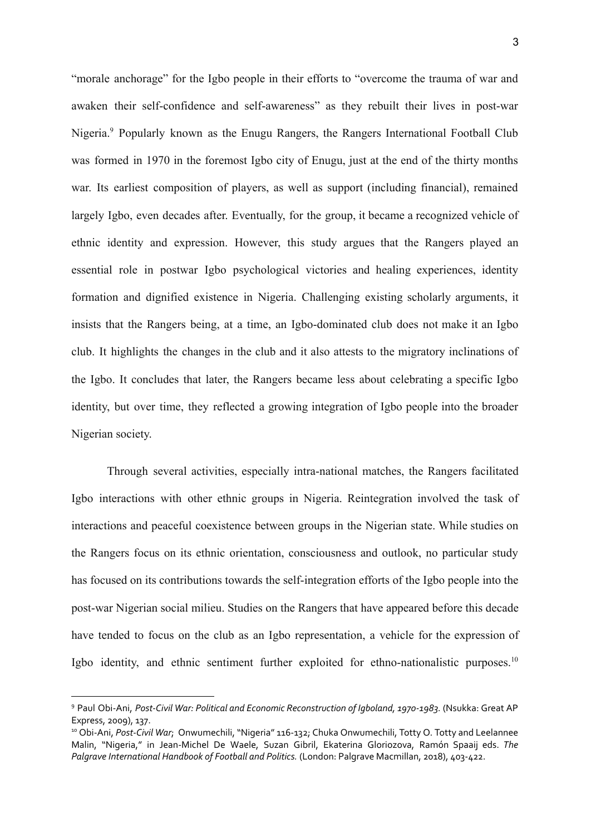"morale anchorage" for the Igbo people in their efforts to "overcome the trauma of war and awaken their self-confidence and self-awareness" as they rebuilt their lives in post-war Nigeria.<sup>9</sup> Popularly known as the Enugu Rangers, the Rangers International Football Club was formed in 1970 in the foremost Igbo city of Enugu, just at the end of the thirty months war. Its earliest composition of players, as well as support (including financial), remained largely Igbo, even decades after. Eventually, for the group, it became a recognized vehicle of ethnic identity and expression. However, this study argues that the Rangers played an essential role in postwar Igbo psychological victories and healing experiences, identity formation and dignified existence in Nigeria. Challenging existing scholarly arguments, it insists that the Rangers being, at a time, an Igbo-dominated club does not make it an Igbo club. It highlights the changes in the club and it also attests to the migratory inclinations of the Igbo. It concludes that later, the Rangers became less about celebrating a specific Igbo identity, but over time, they reflected a growing integration of Igbo people into the broader Nigerian society.

Through several activities, especially intra-national matches, the Rangers facilitated Igbo interactions with other ethnic groups in Nigeria. Reintegration involved the task of interactions and peaceful coexistence between groups in the Nigerian state. While studies on the Rangers focus on its ethnic orientation, consciousness and outlook, no particular study has focused on its contributions towards the self-integration efforts of the Igbo people into the post-war Nigerian social milieu. Studies on the Rangers that have appeared before this decade have tended to focus on the club as an Igbo representation, a vehicle for the expression of Igbo identity, and ethnic sentiment further exploited for ethno-nationalistic purposes.<sup>10</sup>

<sup>9</sup> Paul Obi-Ani, *Post-Civil War: Political and Economic Reconstruction of Igboland, 1970-1983.* (Nsukka: Great AP Express, 2009), 137.

<sup>10</sup> Obi-Ani, *Post-Civil War*; Onwumechili, "Nigeria" 116-132; Chuka Onwumechili, Totty O. Totty and Leelannee Malin, "Nigeria," in Jean-Michel De Waele, Suzan Gibril, Ekaterina Gloriozova, Ramón Spaaij eds. *The Palgrave International Handbook of Football and Politics.* (London: Palgrave Macmillan, 2018), 403-422.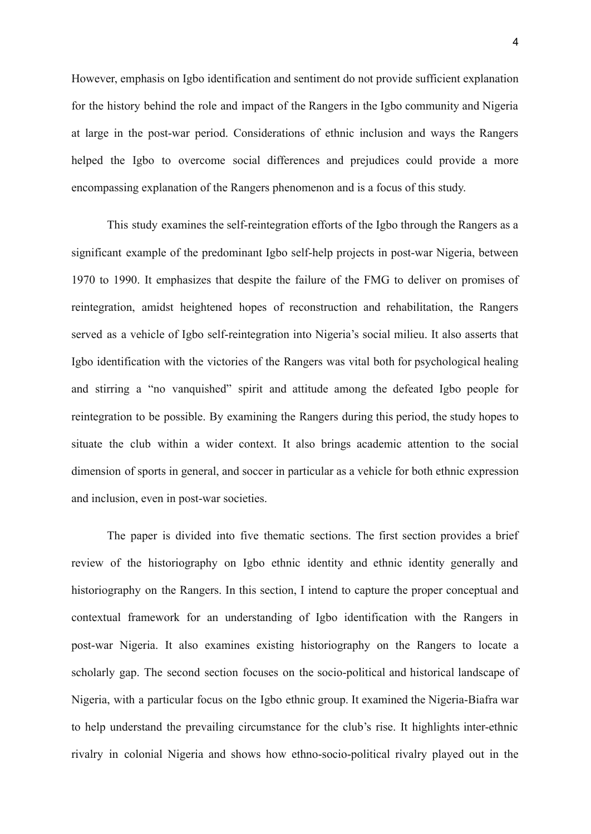However, emphasis on Igbo identification and sentiment do not provide sufficient explanation for the history behind the role and impact of the Rangers in the Igbo community and Nigeria at large in the post-war period. Considerations of ethnic inclusion and ways the Rangers helped the Igbo to overcome social differences and prejudices could provide a more encompassing explanation of the Rangers phenomenon and is a focus of this study.

This study examines the self-reintegration efforts of the Igbo through the Rangers as a significant example of the predominant Igbo self-help projects in post-war Nigeria, between 1970 to 1990. It emphasizes that despite the failure of the FMG to deliver on promises of reintegration, amidst heightened hopes of reconstruction and rehabilitation, the Rangers served as a vehicle of Igbo self-reintegration into Nigeria's social milieu. It also asserts that Igbo identification with the victories of the Rangers was vital both for psychological healing and stirring a "no vanquished" spirit and attitude among the defeated Igbo people for reintegration to be possible. By examining the Rangers during this period, the study hopes to situate the club within a wider context. It also brings academic attention to the social dimension of sports in general, and soccer in particular as a vehicle for both ethnic expression and inclusion, even in post-war societies.

The paper is divided into five thematic sections. The first section provides a brief review of the historiography on Igbo ethnic identity and ethnic identity generally and historiography on the Rangers. In this section, I intend to capture the proper conceptual and contextual framework for an understanding of Igbo identification with the Rangers in post-war Nigeria. It also examines existing historiography on the Rangers to locate a scholarly gap. The second section focuses on the socio-political and historical landscape of Nigeria, with a particular focus on the Igbo ethnic group. It examined the Nigeria-Biafra war to help understand the prevailing circumstance for the club's rise. It highlights inter-ethnic rivalry in colonial Nigeria and shows how ethno-socio-political rivalry played out in the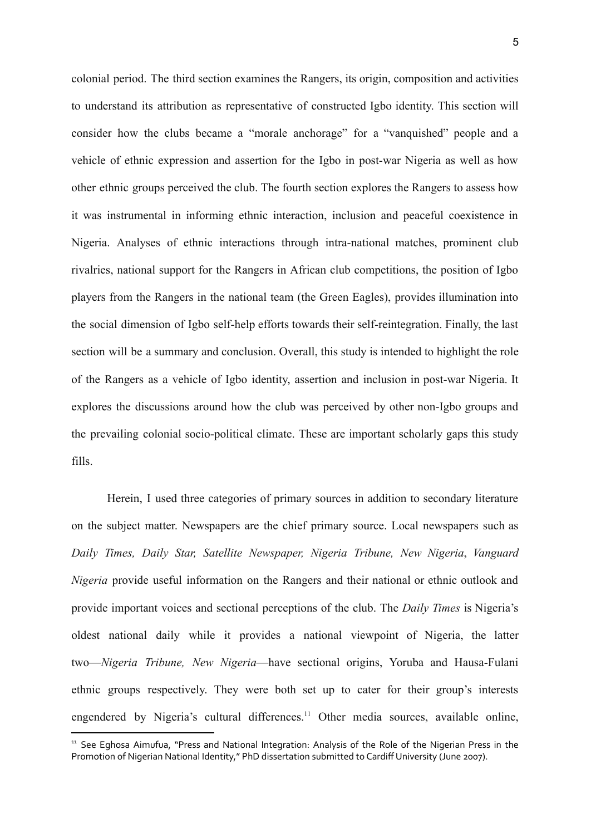colonial period. The third section examines the Rangers, its origin, composition and activities to understand its attribution as representative of constructed Igbo identity. This section will consider how the clubs became a "morale anchorage" for a "vanquished" people and a vehicle of ethnic expression and assertion for the Igbo in post-war Nigeria as well as how other ethnic groups perceived the club. The fourth section explores the Rangers to assess how it was instrumental in informing ethnic interaction, inclusion and peaceful coexistence in Nigeria. Analyses of ethnic interactions through intra-national matches, prominent club rivalries, national support for the Rangers in African club competitions, the position of Igbo players from the Rangers in the national team (the Green Eagles), provides illumination into the social dimension of Igbo self-help efforts towards their self-reintegration. Finally, the last section will be a summary and conclusion. Overall, this study is intended to highlight the role of the Rangers as a vehicle of Igbo identity, assertion and inclusion in post-war Nigeria. It explores the discussions around how the club was perceived by other non-Igbo groups and the prevailing colonial socio-political climate. These are important scholarly gaps this study fills.

Herein, I used three categories of primary sources in addition to secondary literature on the subject matter. Newspapers are the chief primary source. Local newspapers such as *Daily Times, Daily Star, Satellite Newspaper, Nigeria Tribune, New Nigeria*, *Vanguard Nigeria* provide useful information on the Rangers and their national or ethnic outlook and provide important voices and sectional perceptions of the club. The *Daily Times* is Nigeria's oldest national daily while it provides a national viewpoint of Nigeria, the latter two—*Nigeria Tribune, New Nigeria*—have sectional origins, Yoruba and Hausa-Fulani ethnic groups respectively. They were both set up to cater for their group's interests engendered by Nigeria's cultural differences.<sup>11</sup> Other media sources, available online,

<sup>&</sup>lt;sup>11</sup> See Eghosa Aimufua, "Press and National Integration: Analysis of the Role of the Nigerian Press in the Promotion of Nigerian National Identity," PhD dissertation submitted to Cardiff University (June 2007).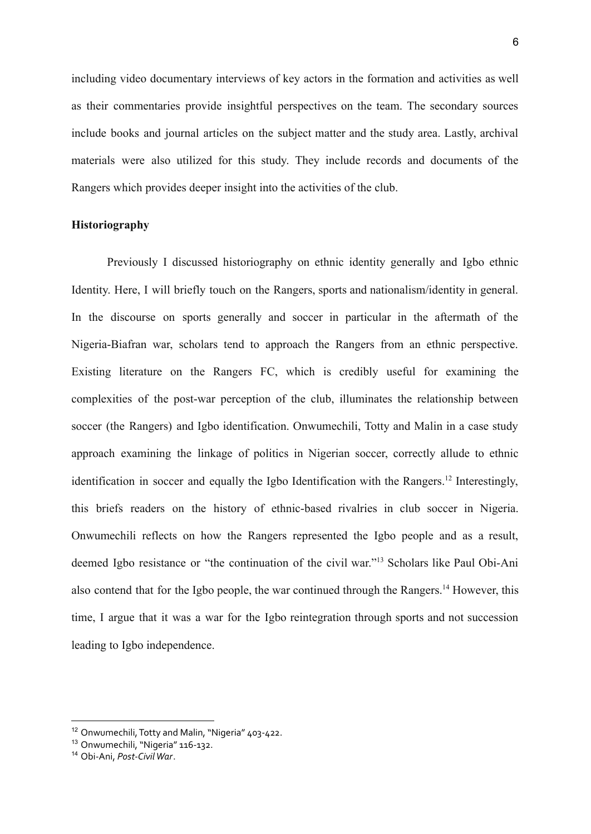including video documentary interviews of key actors in the formation and activities as well as their commentaries provide insightful perspectives on the team. The secondary sources include books and journal articles on the subject matter and the study area. Lastly, archival materials were also utilized for this study. They include records and documents of the Rangers which provides deeper insight into the activities of the club.

### **Historiography**

Previously I discussed historiography on ethnic identity generally and Igbo ethnic Identity. Here, I will briefly touch on the Rangers, sports and nationalism/identity in general. In the discourse on sports generally and soccer in particular in the aftermath of the Nigeria-Biafran war, scholars tend to approach the Rangers from an ethnic perspective. Existing literature on the Rangers FC, which is credibly useful for examining the complexities of the post-war perception of the club, illuminates the relationship between soccer (the Rangers) and Igbo identification. Onwumechili, Totty and Malin in a case study approach examining the linkage of politics in Nigerian soccer, correctly allude to ethnic identification in soccer and equally the Igbo Identification with the Rangers.<sup>12</sup> Interestingly, this briefs readers on the history of ethnic-based rivalries in club soccer in Nigeria. Onwumechili reflects on how the Rangers represented the Igbo people and as a result, deemed Igbo resistance or "the continuation of the civil war."<sup>13</sup> Scholars like Paul Obi-Ani also contend that for the Igbo people, the war continued through the Rangers.<sup>14</sup> However, this time, I argue that it was a war for the Igbo reintegration through sports and not succession leading to Igbo independence.

<sup>&</sup>lt;sup>12</sup> Onwumechili, Totty and Malin, "Nigeria" 403-422.

<sup>13</sup> Onwumechili, "Nigeria" 116-132.

<sup>14</sup> Obi-Ani, *Post-CivilWar*.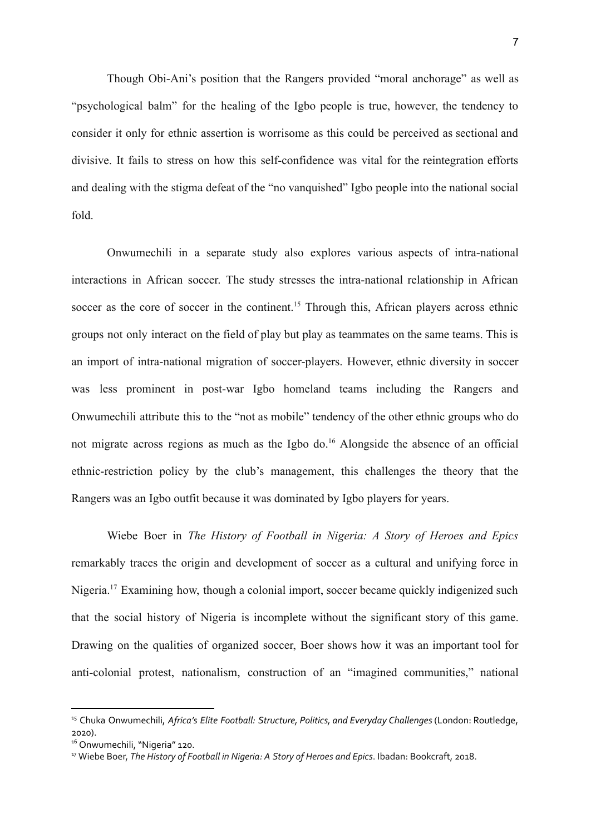Though Obi-Ani's position that the Rangers provided "moral anchorage" as well as "psychological balm" for the healing of the Igbo people is true, however, the tendency to consider it only for ethnic assertion is worrisome as this could be perceived as sectional and divisive. It fails to stress on how this self-confidence was vital for the reintegration efforts and dealing with the stigma defeat of the "no vanquished" Igbo people into the national social fold.

Onwumechili in a separate study also explores various aspects of intra-national interactions in African soccer. The study stresses the intra-national relationship in African soccer as the core of soccer in the continent.<sup>15</sup> Through this, African players across ethnic groups not only interact on the field of play but play as teammates on the same teams. This is an import of intra-national migration of soccer-players. However, ethnic diversity in soccer was less prominent in post-war Igbo homeland teams including the Rangers and Onwumechili attribute this to the "not as mobile" tendency of the other ethnic groups who do not migrate across regions as much as the Igbo do.<sup>16</sup> Alongside the absence of an official ethnic-restriction policy by the club's management, this challenges the theory that the Rangers was an Igbo outfit because it was dominated by Igbo players for years.

Wiebe Boer in *The History of Football in Nigeria: A Story of Heroes and Epics* remarkably traces the origin and development of soccer as a cultural and unifying force in Nigeria.<sup>17</sup> Examining how, though a colonial import, soccer became quickly indigenized such that the social history of Nigeria is incomplete without the significant story of this game. Drawing on the qualities of organized soccer, Boer shows how it was an important tool for anti-colonial protest, nationalism, construction of an "imagined communities," national

<sup>15</sup> Chuka Onwumechili, *Africa's Elite Football: Structure, Politics, and Everyday Challenges* (London: Routledge, 2020).

<sup>&</sup>lt;sup>16</sup> Onwumechili, "Nigeria" 120.

<sup>17</sup> Wiebe Boer, *The History of Football in Nigeria: A Story of Heroes and Epics*. Ibadan: Bookcraft, 2018.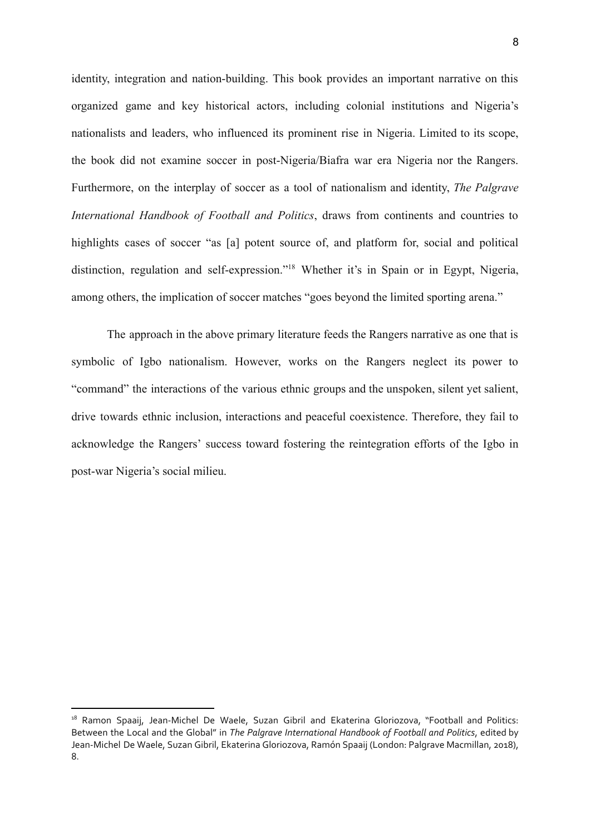identity, integration and nation-building. This book provides an important narrative on this organized game and key historical actors, including colonial institutions and Nigeria's nationalists and leaders, who influenced its prominent rise in Nigeria. Limited to its scope, the book did not examine soccer in post-Nigeria/Biafra war era Nigeria nor the Rangers. Furthermore, on the interplay of soccer as a tool of nationalism and identity, *The Palgrave International Handbook of Football and Politics*, draws from continents and countries to highlights cases of soccer "as [a] potent source of, and platform for, social and political distinction, regulation and self-expression."<sup>18</sup> Whether it's in Spain or in Egypt, Nigeria, among others, the implication of soccer matches "goes beyond the limited sporting arena."

The approach in the above primary literature feeds the Rangers narrative as one that is symbolic of Igbo nationalism. However, works on the Rangers neglect its power to "command" the interactions of the various ethnic groups and the unspoken, silent yet salient, drive towards ethnic inclusion, interactions and peaceful coexistence. Therefore, they fail to acknowledge the Rangers' success toward fostering the reintegration efforts of the Igbo in post-war Nigeria's social milieu.

<sup>&</sup>lt;sup>18</sup> Ramon Spaaij, Jean-Michel De Waele, Suzan Gibril and Ekaterina Gloriozova, "Football and Politics: Between the Local and the Global" in *The Palgrave International Handbook of Football and Politics*, edited by Jean-Michel De Waele, Suzan Gibril, Ekaterina Gloriozova, Ramón Spaaij (London: Palgrave Macmillan, 2018), 8.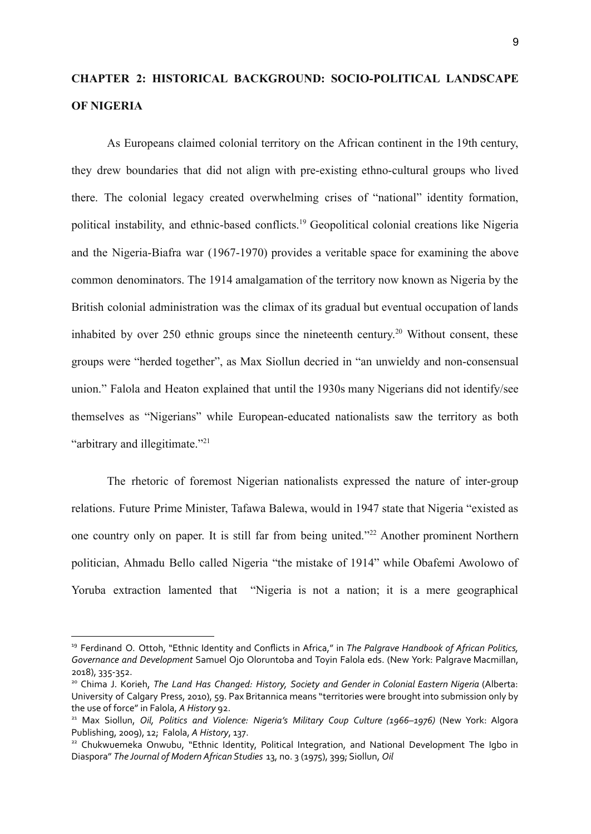# **CHAPTER 2: HISTORICAL BACKGROUND: SOCIO-POLITICAL LANDSCAPE OF NIGERIA**

As Europeans claimed colonial territory on the African continent in the 19th century, they drew boundaries that did not align with pre-existing ethno-cultural groups who lived there. The colonial legacy created overwhelming crises of "national" identity formation, political instability, and ethnic-based conflicts.<sup>19</sup> Geopolitical colonial creations like Nigeria and the Nigeria-Biafra war (1967-1970) provides a veritable space for examining the above common denominators. The 1914 amalgamation of the territory now known as Nigeria by the British colonial administration was the climax of its gradual but eventual occupation of lands inhabited by over 250 ethnic groups since the nineteenth century. <sup>20</sup> Without consent, these groups were "herded together", as Max Siollun decried in "an unwieldy and non-consensual union." Falola and Heaton explained that until the 1930s many Nigerians did not identify/see themselves as "Nigerians" while European-educated nationalists saw the territory as both "arbitrary and illegitimate."<sup>21</sup>

The rhetoric of foremost Nigerian nationalists expressed the nature of inter-group relations. Future Prime Minister, Tafawa Balewa, would in 1947 state that Nigeria "existed as one country only on paper. It is still far from being united."<sup>22</sup> Another prominent Northern politician, Ahmadu Bello called Nigeria "the mistake of 1914" while Obafemi Awolowo of Yoruba extraction lamented that "Nigeria is not a nation; it is a mere geographical

<sup>19</sup> Ferdinand O. Ottoh, "Ethnic Identity and Conflicts in Africa," in *The Palgrave Handbook of African Politics, Governance and Development* Samuel Ojo Oloruntoba and Toyin Falola eds. (New York: Palgrave Macmillan, 2018), 335-352.

<sup>20</sup> Chima J. Korieh, *The Land Has Changed: History, Society and Gender in Colonial Eastern Nigeria* (Alberta: University of Calgary Press, 2010), 59. Pax Britannica means "territories were brought into submission only by the use of force" in Falola, *A History* 92.

<sup>21</sup> Max Siollun, *Oil, Politics and Violence: Nigeria's Military Coup Culture (1966–1976)* (New York: Algora Publishing, 2009), 12; Falola, *A History*, 137.

<sup>&</sup>lt;sup>22</sup> Chukwuemeka Onwubu, "Ethnic Identity, Political Integration, and National Development The Igbo in Diaspora" *The Journal of Modern African Studies* 13, no. 3 (1975), 399; Siollun, *Oil*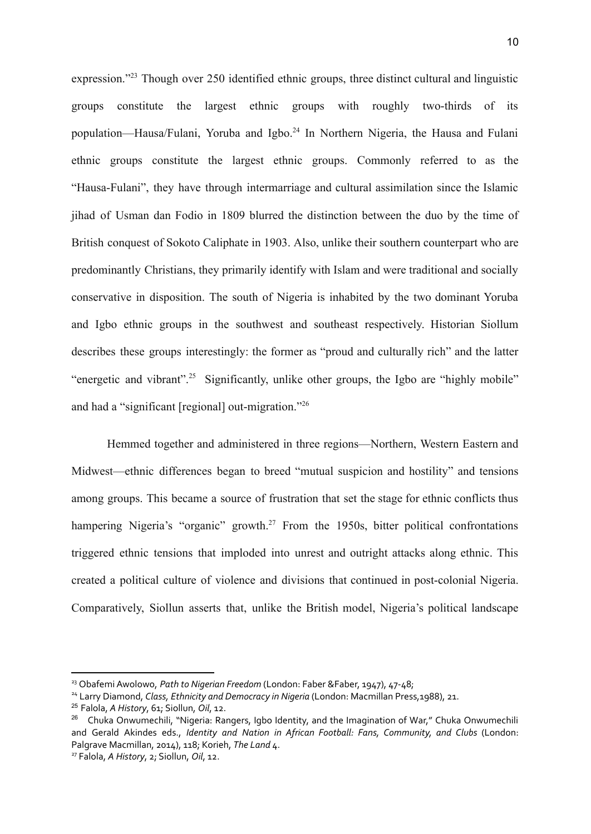expression."<sup>23</sup> Though over 250 identified ethnic groups, three distinct cultural and linguistic groups constitute the largest ethnic groups with roughly two-thirds of its population—Hausa/Fulani, Yoruba and Igbo.<sup>24</sup> In Northern Nigeria, the Hausa and Fulani ethnic groups constitute the largest ethnic groups. Commonly referred to as the "Hausa-Fulani", they have through intermarriage and cultural assimilation since the Islamic jihad of Usman dan Fodio in 1809 blurred the distinction between the duo by the time of British conquest of Sokoto Caliphate in 1903. Also, unlike their southern counterpart who are predominantly Christians, they primarily identify with Islam and were traditional and socially conservative in disposition. The south of Nigeria is inhabited by the two dominant Yoruba and Igbo ethnic groups in the southwest and southeast respectively. Historian Siollum describes these groups interestingly: the former as "proud and culturally rich" and the latter "energetic and vibrant".<sup>25</sup> Significantly, unlike other groups, the Igbo are "highly mobile" and had a "significant [regional] out-migration."<sup>26</sup>

Hemmed together and administered in three regions—Northern, Western Eastern and Midwest—ethnic differences began to breed "mutual suspicion and hostility" and tensions among groups. This became a source of frustration that set the stage for ethnic conflicts thus hampering Nigeria's "organic" growth.<sup>27</sup> From the 1950s, bitter political confrontations triggered ethnic tensions that imploded into unrest and outright attacks along ethnic. This created a political culture of violence and divisions that continued in post-colonial Nigeria. Comparatively, Siollun asserts that, unlike the British model, Nigeria's political landscape

<sup>23</sup> ObafemiAwolowo, *Path to Nigerian Freedom* (London: Faber &Faber, 1947), 47-48;

<sup>24</sup> Larry Diamond, *Class, Ethnicity and Democracy in Nigeria* (London: Macmillan Press,1988), 21.

<sup>25</sup> Falola, *A History*, 61; Siollun, *Oil*, 12.

<sup>&</sup>lt;sup>26</sup> Chuka Onwumechili, "Nigeria: Rangers, Igbo Identity, and the Imagination of War," Chuka Onwumechili and Gerald Akindes eds., *Identity and Nation in African Football: Fans, Community, and Clubs* (London: Palgrave Macmillan, 2014), 118; Korieh, *The Land* 4.

<sup>27</sup> Falola, *A History*, 2; Siollun, *Oil*, 12.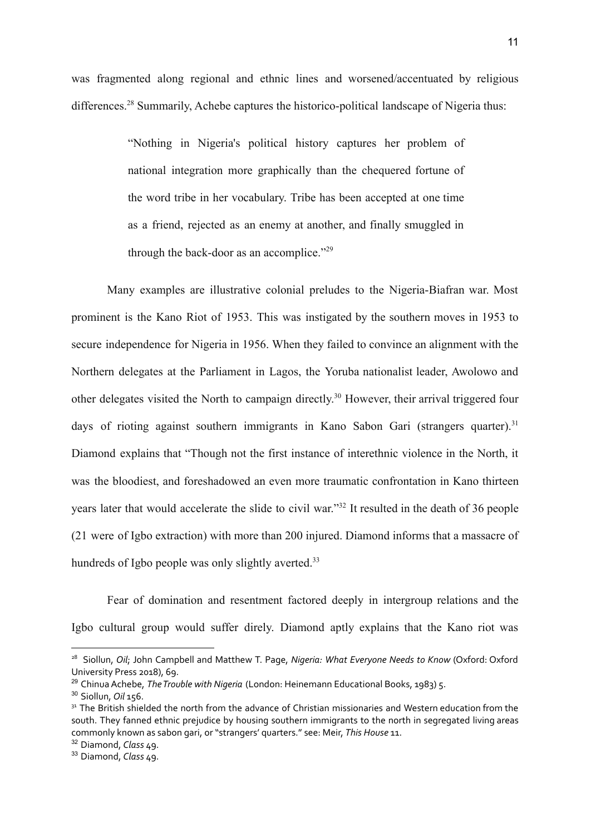was fragmented along regional and ethnic lines and worsened/accentuated by religious differences.<sup>28</sup> Summarily, Achebe captures the historico-political landscape of Nigeria thus:

> "Nothing in Nigeria's political history captures her problem of national integration more graphically than the chequered fortune of the word tribe in her vocabulary. Tribe has been accepted at one time as a friend, rejected as an enemy at another, and finally smuggled in through the back-door as an accomplice."<sup>29</sup>

Many examples are illustrative colonial preludes to the Nigeria-Biafran war. Most prominent is the Kano Riot of 1953. This was instigated by the southern moves in 1953 to secure independence for Nigeria in 1956. When they failed to convince an alignment with the Northern delegates at the Parliament in Lagos, the Yoruba nationalist leader, Awolowo and other delegates visited the North to campaign directly. <sup>30</sup> However, their arrival triggered four days of rioting against southern immigrants in Kano Sabon Gari (strangers quarter).<sup>31</sup> Diamond explains that "Though not the first instance of interethnic violence in the North, it was the bloodiest, and foreshadowed an even more traumatic confrontation in Kano thirteen years later that would accelerate the slide to civil war."<sup>32</sup> It resulted in the death of 36 people (21 were of Igbo extraction) with more than 200 injured. Diamond informs that a massacre of hundreds of Igbo people was only slightly averted.<sup>33</sup>

Fear of domination and resentment factored deeply in intergroup relations and the Igbo cultural group would suffer direly. Diamond aptly explains that the Kano riot was

<sup>28</sup> Siollun, *Oil*; John Campbell and Matthew T. Page, *Nigeria: What Everyone Needs to Know* (Oxford: Oxford University Press 2018), 69.

<sup>&</sup>lt;sup>29</sup> Chinua Achebe, *The Trouble with Nigeria* (London: Heinemann Educational Books, 1983) 5.

<sup>30</sup> Siollun, *Oil* 156.

<sup>&</sup>lt;sup>31</sup> The British shielded the north from the advance of Christian missionaries and Western education from the south. They fanned ethnic prejudice by housing southern immigrants to the north in segregated living areas commonly known as sabon gari, or "strangers' quarters." see: Meir, *This House* 11.

<sup>32</sup> Diamond, *Class* 49.

<sup>33</sup> Diamond, *Class* 49.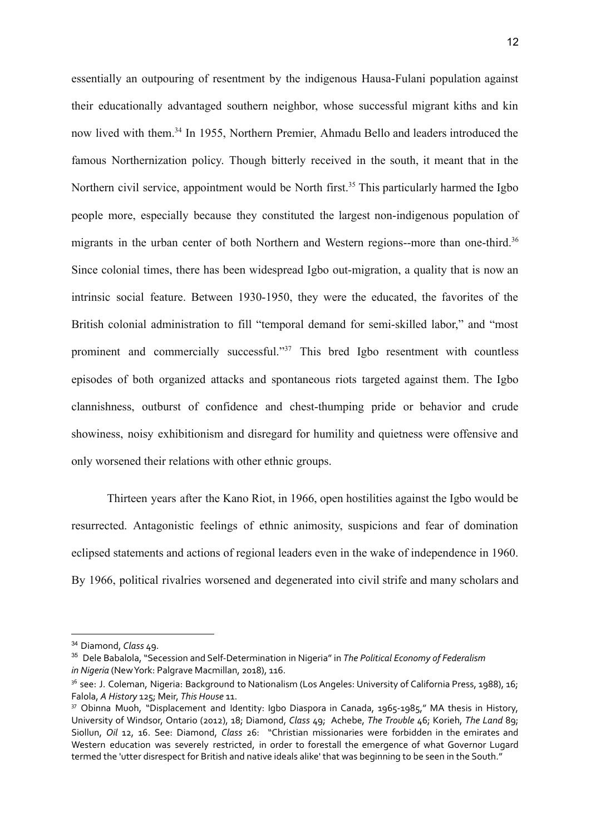essentially an outpouring of resentment by the indigenous Hausa-Fulani population against their educationally advantaged southern neighbor, whose successful migrant kiths and kin now lived with them.<sup>34</sup> In 1955, Northern Premier, Ahmadu Bello and leaders introduced the famous Northernization policy. Though bitterly received in the south, it meant that in the Northern civil service, appointment would be North first.<sup>35</sup> This particularly harmed the Igbo people more, especially because they constituted the largest non-indigenous population of migrants in the urban center of both Northern and Western regions--more than one-third.<sup>36</sup> Since colonial times, there has been widespread Igbo out-migration, a quality that is now an intrinsic social feature. Between 1930-1950, they were the educated, the favorites of the British colonial administration to fill "temporal demand for semi-skilled labor," and "most prominent and commercially successful."<sup>37</sup> This bred Igbo resentment with countless episodes of both organized attacks and spontaneous riots targeted against them. The Igbo clannishness, outburst of confidence and chest-thumping pride or behavior and crude showiness, noisy exhibitionism and disregard for humility and quietness were offensive and only worsened their relations with other ethnic groups.

Thirteen years after the Kano Riot, in 1966, open hostilities against the Igbo would be resurrected. Antagonistic feelings of ethnic animosity, suspicions and fear of domination eclipsed statements and actions of regional leaders even in the wake of independence in 1960. By 1966, political rivalries worsened and degenerated into civil strife and many scholars and

<sup>34</sup> Diamond, *Class* 49.

<sup>35</sup> Dele Babalola, "Secession and Self-Determination in Nigeria" in *The Political Economy of Federalism in Nigeria* (NewYork: Palgrave Macmillan, 2018), 116.

<sup>&</sup>lt;sup>36</sup> see: J. Coleman, Nigeria: Background to Nationalism (Los Angeles: University of California Press, 1988), 16; Falola, *A History* 125; Meir, *This House* 11.

<sup>37</sup> Obinna Muoh, "Displacement and Identity: Igbo Diaspora in Canada, 1965-1985," MA thesis in History, University of Windsor, Ontario (2012), 18; Diamond, *Class* 49; Achebe, *The Trouble* 46; Korieh, *The Land* 89; Siollun, *Oil* 12, 16. See: Diamond, *Class* 26: "Christian missionaries were forbidden in the emirates and Western education was severely restricted, in order to forestall the emergence of what Governor Lugard termed the 'utter disrespect for British and native ideals alike' that was beginning to be seen in the South."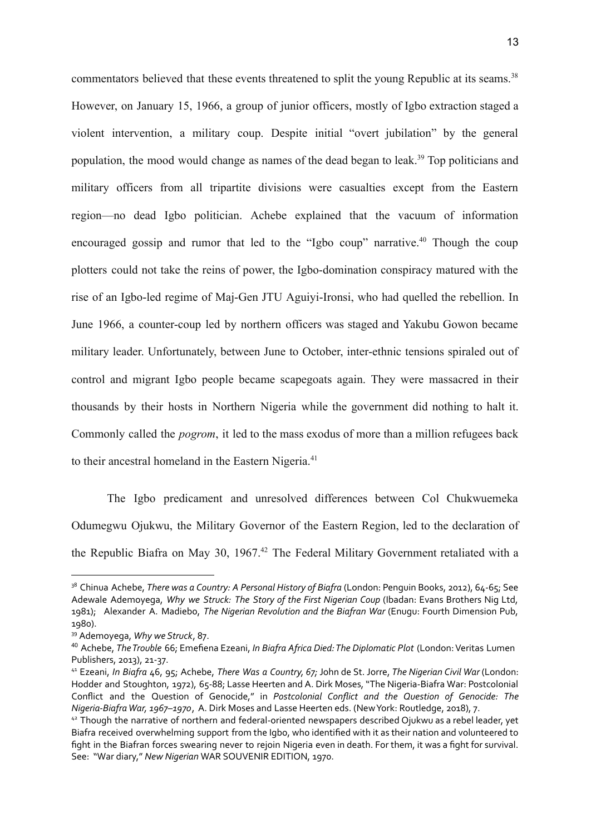commentators believed that these events threatened to split the young Republic at its seams.<sup>38</sup> However, on January 15, 1966, a group of junior officers, mostly of Igbo extraction staged a violent intervention, a military coup. Despite initial "overt jubilation" by the general population, the mood would change as names of the dead began to leak.<sup>39</sup> Top politicians and military officers from all tripartite divisions were casualties except from the Eastern region—no dead Igbo politician. Achebe explained that the vacuum of information encouraged gossip and rumor that led to the "Igbo coup" narrative.<sup>40</sup> Though the coup plotters could not take the reins of power, the Igbo-domination conspiracy matured with the rise of an Igbo-led regime of Maj-Gen JTU Aguiyi-Ironsi, who had quelled the rebellion. In June 1966, a counter-coup led by northern officers was staged and Yakubu Gowon became military leader. Unfortunately, between June to October, inter-ethnic tensions spiraled out of control and migrant Igbo people became scapegoats again. They were massacred in their thousands by their hosts in Northern Nigeria while the government did nothing to halt it. Commonly called the *pogrom*, it led to the mass exodus of more than a million refugees back to their ancestral homeland in the Eastern Nigeria.<sup>41</sup>

The Igbo predicament and unresolved differences between Col Chukwuemeka Odumegwu Ojukwu, the Military Governor of the Eastern Region, led to the declaration of the Republic Biafra on May 30, 1967.<sup>42</sup> The Federal Military Government retaliated with a

<sup>38</sup> Chinua Achebe, *There was a Country: A Personal History of Biafra* (London: Penguin Books, 2012), 64-65; See Adewale Ademoyega, *Why we Struck: The Story of the First Nigerian Coup* (Ibadan: Evans Brothers Nig Ltd, 1981); Alexander A. Madiebo, *The Nigerian Revolution and the Biafran War* (Enugu: Fourth Dimension Pub, 1980).

<sup>39</sup> Ademoyega, *Why we Struck*, 87.

<sup>40</sup> Achebe, *TheTrouble* 66; Emefiena Ezeani, *In Biafra Africa Died:The Diplomatic Plot* (London:Veritas Lumen Publishers, 2013), 21-37.

<sup>41</sup> Ezeani, *In Biafra* 46, 95; Achebe, *There Was a Country, 67;* John de St. Jorre, *The Nigerian Civil War* (London: Hodder and Stoughton, 1972), 65-88; Lasse Heerten and A. Dirk Moses, "The Nigeria-Biafra War: Postcolonial Conflict and the Question of Genocide," in *Postcolonial Conflict and the Question of Genocide: The Nigeria-BiafraWar, 1967–1970*, A. Dirk Moses and Lasse Heerten eds. (NewYork: Routledge, 2018), 7.

<sup>&</sup>lt;sup>42</sup> Though the narrative of northern and federal-oriented newspapers described Ojukwu as a rebel leader, yet Biafra received overwhelming support from the Igbo, who identified with it as their nation and volunteered to fight in the Biafran forces swearing never to rejoin Nigeria even in death. For them, it was a fight for survival. See: "War diary," *New Nigerian* WAR SOUVENIR EDITION, 1970.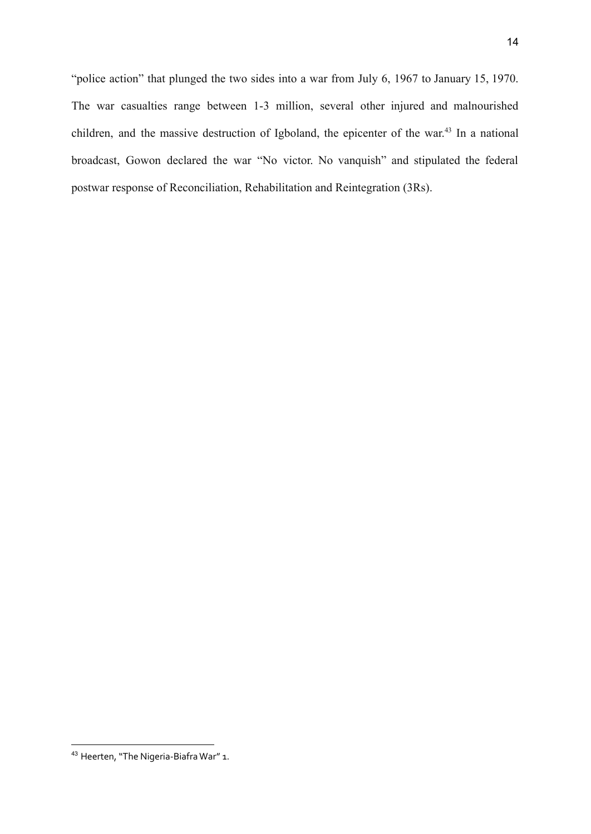"police action" that plunged the two sides into a war from July 6, 1967 to January 15, 1970. The war casualties range between 1-3 million, several other injured and malnourished children, and the massive destruction of Igboland, the epicenter of the war. 43 In a national broadcast, Gowon declared the war "No victor. No vanquish" and stipulated the federal postwar response of Reconciliation, Rehabilitation and Reintegration (3Rs).

<sup>43</sup> Heerten, "The Nigeria-Biafra War" 1.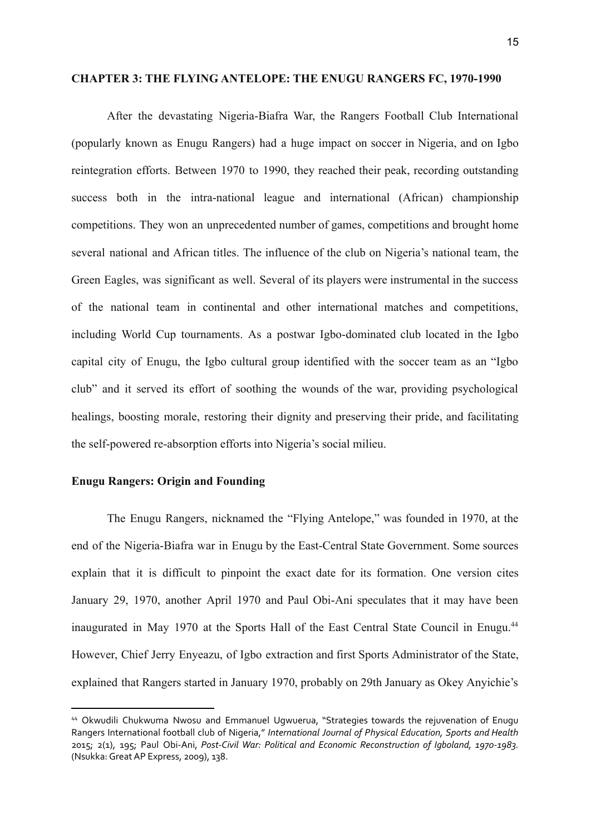#### **CHAPTER 3: THE FLYING ANTELOPE: THE ENUGU RANGERS FC, 1970-1990**

After the devastating Nigeria-Biafra War, the Rangers Football Club International (popularly known as Enugu Rangers) had a huge impact on soccer in Nigeria, and on Igbo reintegration efforts. Between 1970 to 1990, they reached their peak, recording outstanding success both in the intra-national league and international (African) championship competitions. They won an unprecedented number of games, competitions and brought home several national and African titles. The influence of the club on Nigeria's national team, the Green Eagles, was significant as well. Several of its players were instrumental in the success of the national team in continental and other international matches and competitions, including World Cup tournaments. As a postwar Igbo-dominated club located in the Igbo capital city of Enugu, the Igbo cultural group identified with the soccer team as an "Igbo club" and it served its effort of soothing the wounds of the war, providing psychological healings, boosting morale, restoring their dignity and preserving their pride, and facilitating the self-powered re-absorption efforts into Nigeria's social milieu.

### **Enugu Rangers: Origin and Founding**

The Enugu Rangers, nicknamed the "Flying Antelope," was founded in 1970, at the end of the Nigeria-Biafra war in Enugu by the East-Central State Government. Some sources explain that it is difficult to pinpoint the exact date for its formation. One version cites January 29, 1970, another April 1970 and Paul Obi-Ani speculates that it may have been inaugurated in May 1970 at the Sports Hall of the East Central State Council in Enugu.<sup>44</sup> However, Chief Jerry Enyeazu, of Igbo extraction and first Sports Administrator of the State, explained that Rangers started in January 1970, probably on 29th January as Okey Anyichie's

<sup>44</sup> Okwudili Chukwuma Nwosu and Emmanuel Ugwuerua, "Strategies towards the rejuvenation of Enugu Rangers International football club of Nigeria," *International Journal of Physical Education, Sports and Health* 2015; 2(1), 195; Paul Obi-Ani, *Post-Civil War: Political and Economic Reconstruction of Igboland, 1970-1983.* (Nsukka:GreatAP Express, 2009), 138.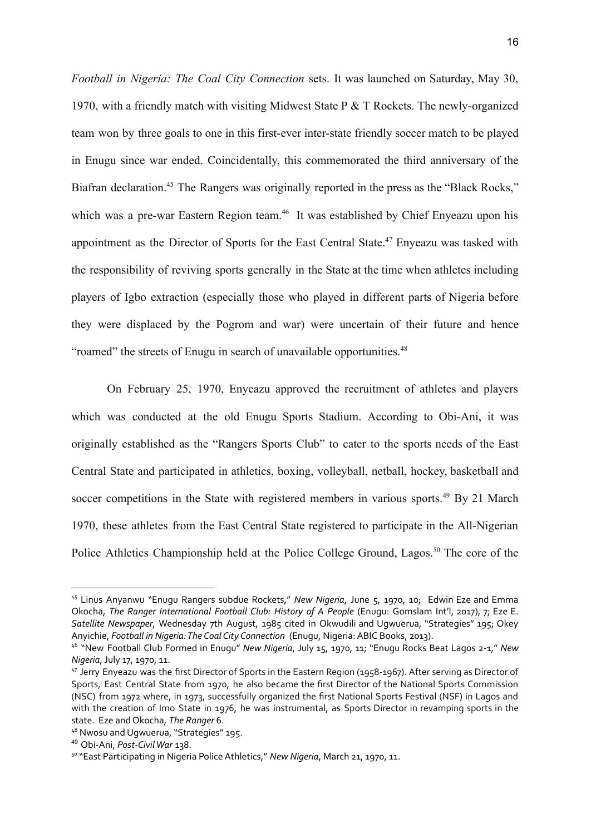*Football in Nigeria: The Coal City Connection* sets. It was launched on Saturday, May 30, 1970, with a friendly match with visiting Midwest State P  $&$  T Rockets. The newly-organized team won by three goals to one in this first-ever inter-state friendly soccer match to be played in Enugu since war ended. Coincidentally, this commemorated the third anniversary of the Biafran declaration.<sup>45</sup> The Rangers was originally reported in the press as the "Black Rocks," which was a pre-war Eastern Region team.<sup>46</sup> It was established by Chief Enyeazu upon his appointment as the Director of Sports for the East Central State.<sup>47</sup> Enyeazu was tasked with the responsibility of reviving sports generally in the State at the time when athletes including players of Igbo extraction (especially those who played in different parts of Nigeria before they were displaced by the Pogrom and war) were uncertain of their future and hence "roamed" the streets of Enugu in search of unavailable opportunities.<sup>48</sup>

On February 25, 1970, Enyeazu approved the recruitment of athletes and players which was conducted at the old Enugu Sports Stadium. According to Obi-Ani, it was originally established as the "Rangers Sports Club" to cater to the sports needs of the East Central State and participated in athletics, boxing, volleyball, netball, hockey, basketball and soccer competitions in the State with registered members in various sports.<sup>49</sup> By 21 March 1970, these athletes from the East Central State registered to participate in the All-Nigerian Police Athletics Championship held at the Police College Ground, Lagos.<sup>50</sup> The core of the

<sup>45</sup> Linus Anyanwu "Enugu Rangers subdue Rockets," *New Nigeria*, June 5, 1970, 10; Edwin Eze and Emma Okocha, *The Ranger International Football Club: History of A People* (Enugu: Gomslam Int'l, 2017), 7; Eze E. *Satellite Newspaper*, Wednesday 7th August, 1985 cited in Okwudili and Ugwuerua, "Strategies" 195; Okey Anyichie, *Football in Nigeria:The Coal City Connection* (Enugu, Nigeria:ABIC Books, 2013).

<sup>46</sup> "New Football Club Formed in Enugu" *New Nigeria*, July 15, 1970, 11; "Enugu Rocks Beat Lagos 2-1," *New Nigeria*,July 17, 1970, 11.

<sup>47</sup> Jerry Enyeazu was the first Director of Sports in the Eastern Region (1958-1967). After serving as Director of Sports, East Central State from 1970, he also became the first Director of the National Sports Commission (NSC) from 1972 where, in 1973, successfully organized the first National Sports Festival (NSF) in Lagos and with the creation of Imo State in 1976, he was instrumental, as Sports Director in revamping sports in the state. Eze and Okocha, *The Ranger* 6.

<sup>48</sup> Nwosu and Ugwuerua, "Strategies" 195.

<sup>49</sup> Obi-Ani, *Post-CivilWar* 138.

<sup>50</sup> "East Participating in Nigeria PoliceAthletics," *New Nigeria*, March 21, 1970, 11.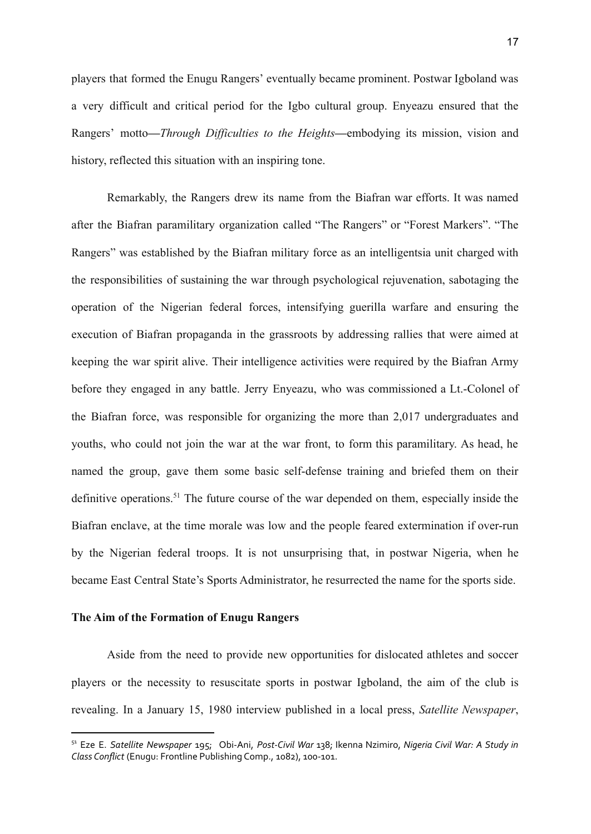players that formed the Enugu Rangers' eventually became prominent. Postwar Igboland was a very difficult and critical period for the Igbo cultural group. Enyeazu ensured that the Rangers' motto**—***Through Difficulties to the Heights***—**embodying its mission, vision and history, reflected this situation with an inspiring tone.

Remarkably, the Rangers drew its name from the Biafran war efforts. It was named after the Biafran paramilitary organization called "The Rangers" or "Forest Markers". "The Rangers" was established by the Biafran military force as an intelligentsia unit charged with the responsibilities of sustaining the war through psychological rejuvenation, sabotaging the operation of the Nigerian federal forces, intensifying guerilla warfare and ensuring the execution of Biafran propaganda in the grassroots by addressing rallies that were aimed at keeping the war spirit alive. Their intelligence activities were required by the Biafran Army before they engaged in any battle. Jerry Enyeazu, who was commissioned a Lt.-Colonel of the Biafran force, was responsible for organizing the more than 2,017 undergraduates and youths, who could not join the war at the war front, to form this paramilitary. As head, he named the group, gave them some basic self-defense training and briefed them on their definitive operations.<sup>51</sup> The future course of the war depended on them, especially inside the Biafran enclave, at the time morale was low and the people feared extermination if over-run by the Nigerian federal troops. It is not unsurprising that, in postwar Nigeria, when he became East Central State's Sports Administrator, he resurrected the name for the sports side.

#### **The Aim of the Formation of Enugu Rangers**

Aside from the need to provide new opportunities for dislocated athletes and soccer players or the necessity to resuscitate sports in postwar Igboland, the aim of the club is revealing. In a January 15, 1980 interview published in a local press, *Satellite Newspaper*,

<sup>51</sup> Eze E. *Satellite Newspaper* 195; Obi-Ani, *Post-Civil War* 138; Ikenna Nzimiro, *Nigeria Civil War: A Study in Class Conflict* (Enugu: Frontline Publishing Comp., 1082), 100-101.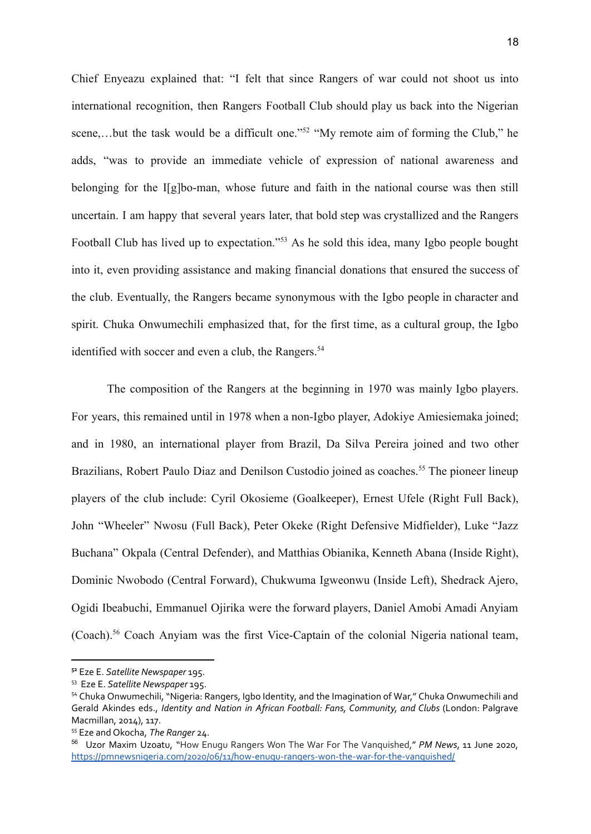Chief Enyeazu explained that: "I felt that since Rangers of war could not shoot us into international recognition, then Rangers Football Club should play us back into the Nigerian scene,...but the task would be a difficult one."<sup>52</sup> "My remote aim of forming the Club," he adds, "was to provide an immediate vehicle of expression of national awareness and belonging for the I[g]bo-man, whose future and faith in the national course was then still uncertain. I am happy that several years later, that bold step was crystallized and the Rangers Football Club has lived up to expectation."<sup>53</sup> As he sold this idea, many Igbo people bought into it, even providing assistance and making financial donations that ensured the success of the club. Eventually, the Rangers became synonymous with the Igbo people in character and spirit. Chuka Onwumechili emphasized that, for the first time, as a cultural group, the Igbo identified with soccer and even a club, the Rangers.<sup>54</sup>

The composition of the Rangers at the beginning in 1970 was mainly Igbo players. For years, this remained until in 1978 when a non-Igbo player, Adokiye Amiesiemaka joined; and in 1980, an international player from Brazil, Da Silva Pereira joined and two other Brazilians, Robert Paulo Diaz and Denilson Custodio joined as coaches.<sup>55</sup> The pioneer lineup players of the club include: Cyril Okosieme (Goalkeeper), Ernest Ufele (Right Full Back), John "Wheeler" Nwosu (Full Back), Peter Okeke (Right Defensive Midfielder), Luke "Jazz Buchana" Okpala (Central Defender), and Matthias Obianika, Kenneth Abana (Inside Right), Dominic Nwobodo (Central Forward), Chukwuma Igweonwu (Inside Left), Shedrack Ajero, Ogidi Ibeabuchi, Emmanuel Ojirika were the forward players, Daniel Amobi Amadi Anyiam (Coach).<sup>56</sup> Coach Anyiam was the first Vice-Captain of the colonial Nigeria national team,

**<sup>52</sup>** Eze E. *Satellite Newspaper* 195.

<sup>53</sup> Eze E. *Satellite Newspaper* 195.

<sup>&</sup>lt;sup>54</sup> Chuka Onwumechili, "Nigeria: Rangers, Igbo Identity, and the Imagination of War," Chuka Onwumechili and Gerald Akindes eds., *Identity and Nation in African Football: Fans, Community, and Clubs* (London: Palgrave Macmillan, 2014), 117.

<sup>55</sup> Eze and Okocha, *The Ranger* 24.

<sup>56</sup> Uzor Maxim Uzoatu, "How Enugu Rangers Won The War For The Vanquished," *PM News*, 11 June 2020, <https://pmnewsnigeria.com/2020/06/11/how-enugu-rangers-won-the-war-for-the-vanquished/>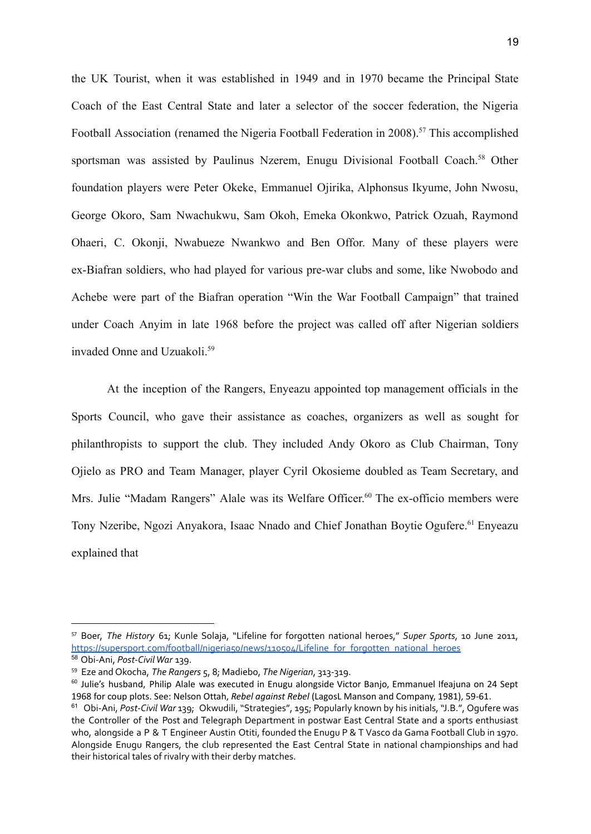the UK Tourist, when it was established in 1949 and in 1970 became the Principal State Coach of the East Central State and later a selector of the soccer federation, the Nigeria Football Association (renamed the Nigeria Football Federation in 2008).<sup>57</sup> This accomplished sportsman was assisted by Paulinus Nzerem, Enugu Divisional Football Coach.<sup>58</sup> Other foundation players were Peter Okeke, Emmanuel Ojirika, Alphonsus Ikyume, John Nwosu, George Okoro, Sam Nwachukwu, Sam Okoh, Emeka Okonkwo, Patrick Ozuah, Raymond Ohaeri, C. Okonji, Nwabueze Nwankwo and Ben Offor. Many of these players were ex-Biafran soldiers, who had played for various pre-war clubs and some, like Nwobodo and Achebe were part of the Biafran operation "Win the War Football Campaign" that trained under Coach Anyim in late 1968 before the project was called off after Nigerian soldiers invaded Onne and Uzuakoli.<sup>59</sup>

At the inception of the Rangers, Enyeazu appointed top management officials in the Sports Council, who gave their assistance as coaches, organizers as well as sought for philanthropists to support the club. They included Andy Okoro as Club Chairman, Tony Ojielo as PRO and Team Manager, player Cyril Okosieme doubled as Team Secretary, and Mrs. Julie "Madam Rangers" Alale was its Welfare Officer. <sup>60</sup> The ex-officio members were Tony Nzeribe, Ngozi Anyakora, Isaac Nnado and Chief Jonathan Boytie Ogufere.<sup>61</sup> Enyeazu explained that

<sup>57</sup> Boer, *The History* 61; Kunle Solaja, "Lifeline for forgotten national heroes," *Super Sports*, 10 June 2011, [https://supersport.com/football/nigeria50/news/110504/Lifeline\\_for\\_forgotten\\_national\\_heroes](https://supersport.com/football/nigeria50/news/110504/Lifeline_for_forgotten_national_heroes)

<sup>58</sup> Obi-Ani, *Post-CivilWar* 139.

<sup>59</sup> Eze and Okocha, *The Rangers* 5, 8; Madiebo, *The Nigerian*, 313-319.

<sup>&</sup>lt;sup>60</sup> Julie's husband, Philip Alale was executed in Enugu alongside Victor Banjo, Emmanuel Ifeajuna on 24 Sept 1968 for coup plots. See: Nelson Ottah, *Rebel against Rebel* (LagosL Manson and Company, 1981), 59-61.

<sup>61</sup> Obi-Ani, *Post-Civil War* 139; Okwudili, "Strategies", 195; Popularly known by his initials, "J.B.", Ogufere was the Controller of the Post and Telegraph Department in postwar East Central State and a sports enthusiast who, alongside a P & T Engineer Austin Otiti, founded the Enugu P & T Vasco da Gama Football Club in 1970. Alongside Enugu Rangers, the club represented the East Central State in national championships and had their historical tales of rivalry with their derby matches.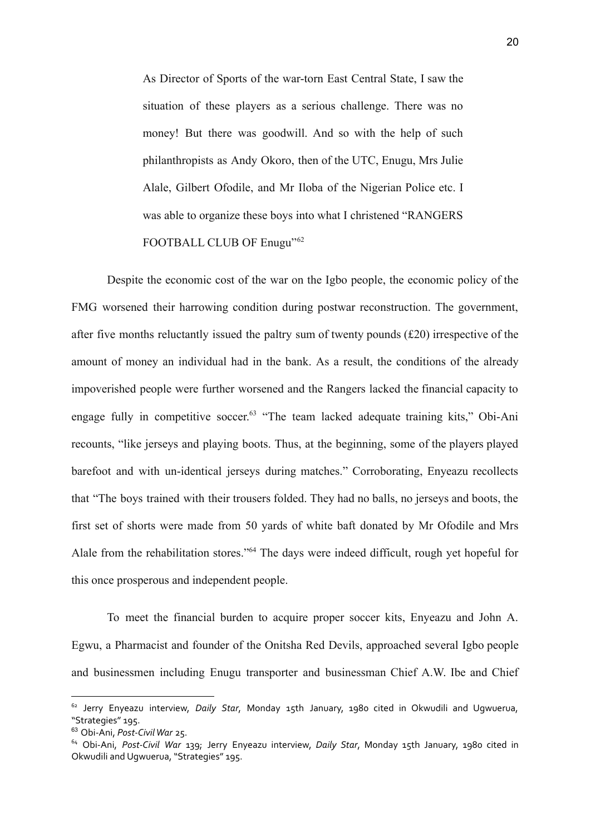As Director of Sports of the war-torn East Central State, I saw the situation of these players as a serious challenge. There was no money! But there was goodwill. And so with the help of such philanthropists as Andy Okoro, then of the UTC, Enugu, Mrs Julie Alale, Gilbert Ofodile, and Mr Iloba of the Nigerian Police etc. I was able to organize these boys into what I christened "RANGERS FOOTBALL CLUB OF Enugu"<sup>62</sup>

Despite the economic cost of the war on the Igbo people, the economic policy of the FMG worsened their harrowing condition during postwar reconstruction. The government, after five months reluctantly issued the paltry sum of twenty pounds (£20) irrespective of the amount of money an individual had in the bank. As a result, the conditions of the already impoverished people were further worsened and the Rangers lacked the financial capacity to engage fully in competitive soccer.<sup>63</sup> "The team lacked adequate training kits," Obi-Ani recounts, "like jerseys and playing boots. Thus, at the beginning, some of the players played barefoot and with un-identical jerseys during matches." Corroborating, Enyeazu recollects that "The boys trained with their trousers folded. They had no balls, no jerseys and boots, the first set of shorts were made from 50 yards of white baft donated by Mr Ofodile and Mrs Alale from the rehabilitation stores."<sup>64</sup> The days were indeed difficult, rough yet hopeful for this once prosperous and independent people.

To meet the financial burden to acquire proper soccer kits, Enyeazu and John A. Egwu, a Pharmacist and founder of the Onitsha Red Devils, approached several Igbo people and businessmen including Enugu transporter and businessman Chief A.W. Ibe and Chief

<sup>62</sup> Jerry Enyeazu interview, *Daily Star*, Monday 15th January, 1980 cited in Okwudili and Ugwuerua, "Strategies" 195.

<sup>63</sup> Obi-Ani, *Post-CivilWar* 25.

<sup>64</sup> Obi-Ani, *Post-Civil War* 139; Jerry Enyeazu interview, *Daily Star*, Monday 15th January, 1980 cited in Okwudili and Ugwuerua, "Strategies" 195.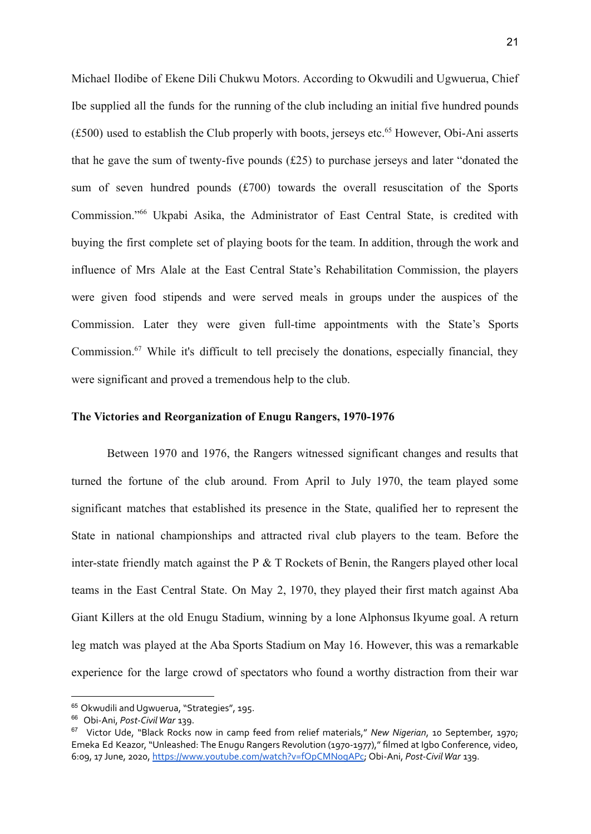Michael Ilodibe of Ekene Dili Chukwu Motors. According to Okwudili and Ugwuerua, Chief Ibe supplied all the funds for the running of the club including an initial five hundred pounds  $(£500)$  used to establish the Club properly with boots, jerseys etc.<sup>65</sup> However, Obi-Ani asserts that he gave the sum of twenty-five pounds (£25) to purchase jerseys and later "donated the sum of seven hundred pounds (£700) towards the overall resuscitation of the Sports Commission."<sup>66</sup> Ukpabi Asika, the Administrator of East Central State, is credited with buying the first complete set of playing boots for the team. In addition, through the work and influence of Mrs Alale at the East Central State's Rehabilitation Commission, the players were given food stipends and were served meals in groups under the auspices of the Commission. Later they were given full-time appointments with the State's Sports Commission.<sup>67</sup> While it's difficult to tell precisely the donations, especially financial, they were significant and proved a tremendous help to the club.

#### **The Victories and Reorganization of Enugu Rangers, 1970-1976**

Between 1970 and 1976, the Rangers witnessed significant changes and results that turned the fortune of the club around. From April to July 1970, the team played some significant matches that established its presence in the State, qualified her to represent the State in national championships and attracted rival club players to the team. Before the inter-state friendly match against the P & T Rockets of Benin, the Rangers played other local teams in the East Central State. On May 2, 1970, they played their first match against Aba Giant Killers at the old Enugu Stadium, winning by a lone Alphonsus Ikyume goal. A return leg match was played at the Aba Sports Stadium on May 16. However, this was a remarkable experience for the large crowd of spectators who found a worthy distraction from their war

<sup>&</sup>lt;sup>65</sup> Okwudili and Uqwuerua, "Strategies", 195.

<sup>66</sup> Obi-Ani, *Post-CivilWar* 139.

<sup>67</sup> Victor Ude, "Black Rocks now in camp feed from relief materials," *New Nigerian*, 10 September, 1970; Emeka Ed Keazor, "Unleashed: The Enugu Rangers Revolution (1970-1977)," filmed at Igbo Conference, video, 6:09, 17 June, 2020, <https://www.youtube.com/watch?v=fOpCMNogAPc>; Obi-Ani, *Post-CivilWar* 139.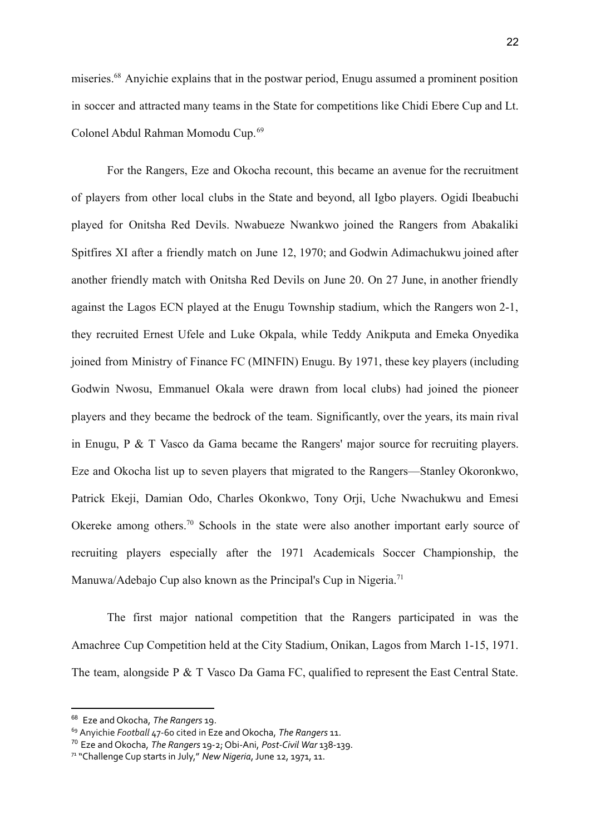miseries.<sup>68</sup> Anyichie explains that in the postwar period, Enugu assumed a prominent position in soccer and attracted many teams in the State for competitions like Chidi Ebere Cup and Lt. Colonel Abdul Rahman Momodu Cup.<sup>69</sup>

For the Rangers, Eze and Okocha recount, this became an avenue for the recruitment of players from other local clubs in the State and beyond, all Igbo players. Ogidi Ibeabuchi played for Onitsha Red Devils. Nwabueze Nwankwo joined the Rangers from Abakaliki Spitfires XI after a friendly match on June 12, 1970; and Godwin Adimachukwu joined after another friendly match with Onitsha Red Devils on June 20. On 27 June, in another friendly against the Lagos ECN played at the Enugu Township stadium, which the Rangers won 2-1, they recruited Ernest Ufele and Luke Okpala, while Teddy Anikputa and Emeka Onyedika joined from Ministry of Finance FC (MINFIN) Enugu. By 1971, these key players (including Godwin Nwosu, Emmanuel Okala were drawn from local clubs) had joined the pioneer players and they became the bedrock of the team. Significantly, over the years, its main rival in Enugu, P & T Vasco da Gama became the Rangers' major source for recruiting players. Eze and Okocha list up to seven players that migrated to the Rangers—Stanley Okoronkwo, Patrick Ekeji, Damian Odo, Charles Okonkwo, Tony Orji, Uche Nwachukwu and Emesi Okereke among others.<sup>70</sup> Schools in the state were also another important early source of recruiting players especially after the 1971 Academicals Soccer Championship, the Manuwa/Adebajo Cup also known as the Principal's Cup in Nigeria.<sup>71</sup>

The first major national competition that the Rangers participated in was the Amachree Cup Competition held at the City Stadium, Onikan, Lagos from March 1-15, 1971. The team, alongside P & T Vasco Da Gama FC, qualified to represent the East Central State.

<sup>68</sup> Eze and Okocha, *The Rangers* 19.

<sup>69</sup> Anyichie *Football* 47-60 cited in Eze and Okocha, *The Rangers* 11.

<sup>70</sup> Eze and Okocha, *The Rangers* 19-2; Obi-Ani, *Post-Civil War* 138-139.

<sup>&</sup>lt;sup>71</sup> "Challenge Cup starts in July," New Nigeria, June 12, 1971, 11.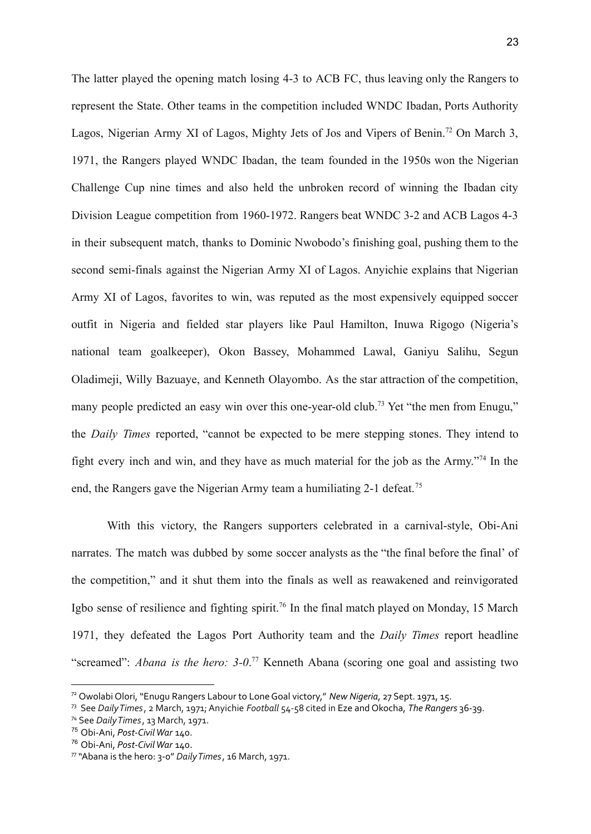The latter played the opening match losing 4-3 to ACB FC, thus leaving only the Rangers to represent the State. Other teams in the competition included WNDC Ibadan, Ports Authority Lagos, Nigerian Army XI of Lagos, Mighty Jets of Jos and Vipers of Benin.<sup>72</sup> On March 3, 1971, the Rangers played WNDC Ibadan, the team founded in the 1950s won the Nigerian Challenge Cup nine times and also held the unbroken record of winning the Ibadan city Division League competition from 1960-1972. Rangers beat WNDC 3-2 and ACB Lagos 4-3 in their subsequent match, thanks to Dominic Nwobodo's finishing goal, pushing them to the second semi-finals against the Nigerian Army XI of Lagos. Anyichie explains that Nigerian Army XI of Lagos, favorites to win, was reputed as the most expensively equipped soccer outfit in Nigeria and fielded star players like Paul Hamilton, Inuwa Rigogo (Nigeria's national team goalkeeper), Okon Bassey, Mohammed Lawal, Ganiyu Salihu, Segun Oladimeji, Willy Bazuaye, and Kenneth Olayombo. As the star attraction of the competition, many people predicted an easy win over this one-year-old club.<sup>73</sup> Yet "the men from Enugu," the *Daily Times* reported, "cannot be expected to be mere stepping stones. They intend to fight every inch and win, and they have as much material for the job as the Army."<sup>74</sup> In the end, the Rangers gave the Nigerian Army team a humiliating 2-1 defeat.<sup>75</sup>

With this victory, the Rangers supporters celebrated in a carnival-style, Obi-Ani narrates. The match was dubbed by some soccer analysts as the "the final before the final' of the competition," and it shut them into the finals as well as reawakened and reinvigorated Igbo sense of resilience and fighting spirit.<sup>76</sup> In the final match played on Monday, 15 March 1971, they defeated the Lagos Port Authority team and the *Daily Times* report headline "screamed": *Abana is the hero: 3-0*. <sup>77</sup> Kenneth Abana (scoring one goal and assisting two

<sup>72</sup> Owolabi Olori, "Enugu Rangers Labour to LoneGoal victory," *New Nigeria*, 27 Sept. 1971, 15.

<sup>73</sup> See *DailyTimes*, 2 March, 1971;Anyichie *Football* 54-58 cited in Eze and Okocha, *The Rangers* 36-39.

<sup>74</sup> See *DailyTimes*, 13 March, 1971.

<sup>75</sup> Obi-Ani, *Post-CivilWar* 140.

<sup>76</sup> Obi-Ani, *Post-CivilWar* 140.

<sup>77</sup> "Abana is the hero: 3-0" *DailyTimes*, 16 March, 1971.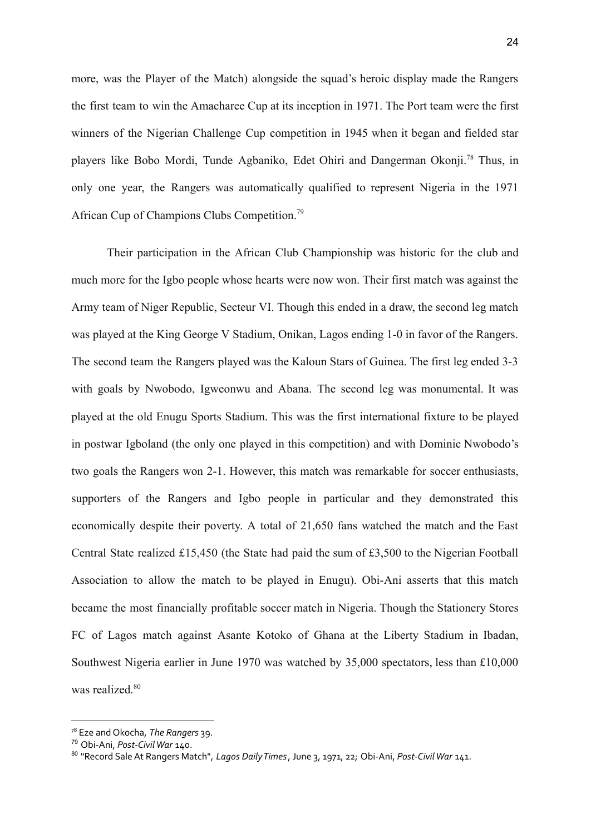more, was the Player of the Match) alongside the squad's heroic display made the Rangers the first team to win the Amacharee Cup at its inception in 1971. The Port team were the first winners of the Nigerian Challenge Cup competition in 1945 when it began and fielded star players like Bobo Mordi, Tunde Agbaniko, Edet Ohiri and Dangerman Okonji.<sup>78</sup> Thus, in only one year, the Rangers was automatically qualified to represent Nigeria in the 1971 African Cup of Champions Clubs Competition.<sup>79</sup>

Their participation in the African Club Championship was historic for the club and much more for the Igbo people whose hearts were now won. Their first match was against the Army team of Niger Republic, Secteur VI. Though this ended in a draw, the second leg match was played at the King George V Stadium, Onikan, Lagos ending 1-0 in favor of the Rangers. The second team the Rangers played was the Kaloun Stars of Guinea. The first leg ended 3-3 with goals by Nwobodo, Igweonwu and Abana. The second leg was monumental. It was played at the old Enugu Sports Stadium. This was the first international fixture to be played in postwar Igboland (the only one played in this competition) and with Dominic Nwobodo's two goals the Rangers won 2-1. However, this match was remarkable for soccer enthusiasts, supporters of the Rangers and Igbo people in particular and they demonstrated this economically despite their poverty. A total of 21,650 fans watched the match and the East Central State realized £15,450 (the State had paid the sum of £3,500 to the Nigerian Football Association to allow the match to be played in Enugu). Obi-Ani asserts that this match became the most financially profitable soccer match in Nigeria. Though the Stationery Stores FC of Lagos match against Asante Kotoko of Ghana at the Liberty Stadium in Ibadan, Southwest Nigeria earlier in June 1970 was watched by 35,000 spectators, less than £10,000 was realized.<sup>80</sup>

<sup>78</sup> Eze and Okocha, *The Rangers* 39.

<sup>79</sup> Obi-Ani, *Post-CivilWar* 140.

<sup>80</sup> "Record SaleAt Rangers Match", *Lagos DailyTimes*, June 3, 1971, 22; Obi-Ani, *Post-CivilWar* 141.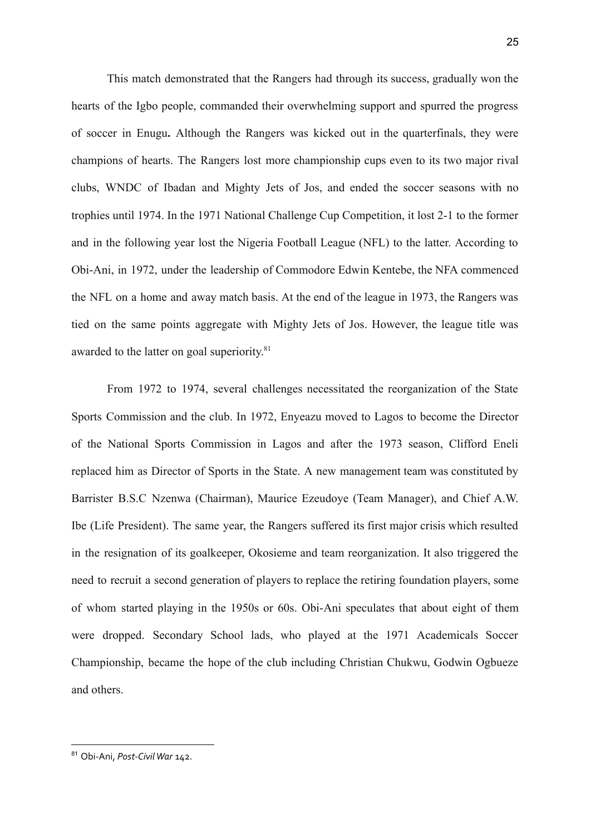This match demonstrated that the Rangers had through its success, gradually won the hearts of the Igbo people, commanded their overwhelming support and spurred the progress of soccer in Enugu**.** Although the Rangers was kicked out in the quarterfinals, they were champions of hearts. The Rangers lost more championship cups even to its two major rival clubs, WNDC of Ibadan and Mighty Jets of Jos, and ended the soccer seasons with no trophies until 1974. In the 1971 National Challenge Cup Competition, it lost 2-1 to the former and in the following year lost the Nigeria Football League (NFL) to the latter. According to Obi-Ani, in 1972, under the leadership of Commodore Edwin Kentebe, the NFA commenced the NFL on a home and away match basis. At the end of the league in 1973, the Rangers was tied on the same points aggregate with Mighty Jets of Jos. However, the league title was awarded to the latter on goal superiority.<sup>81</sup>

From 1972 to 1974, several challenges necessitated the reorganization of the State Sports Commission and the club. In 1972, Enyeazu moved to Lagos to become the Director of the National Sports Commission in Lagos and after the 1973 season, Clifford Eneli replaced him as Director of Sports in the State. A new management team was constituted by Barrister B.S.C Nzenwa (Chairman), Maurice Ezeudoye (Team Manager), and Chief A.W. Ibe (Life President). The same year, the Rangers suffered its first major crisis which resulted in the resignation of its goalkeeper, Okosieme and team reorganization. It also triggered the need to recruit a second generation of players to replace the retiring foundation players, some of whom started playing in the 1950s or 60s. Obi-Ani speculates that about eight of them were dropped. Secondary School lads, who played at the 1971 Academicals Soccer Championship, became the hope of the club including Christian Chukwu, Godwin Ogbueze and others.

<sup>81</sup> Obi-Ani, *Post-CivilWar* 142.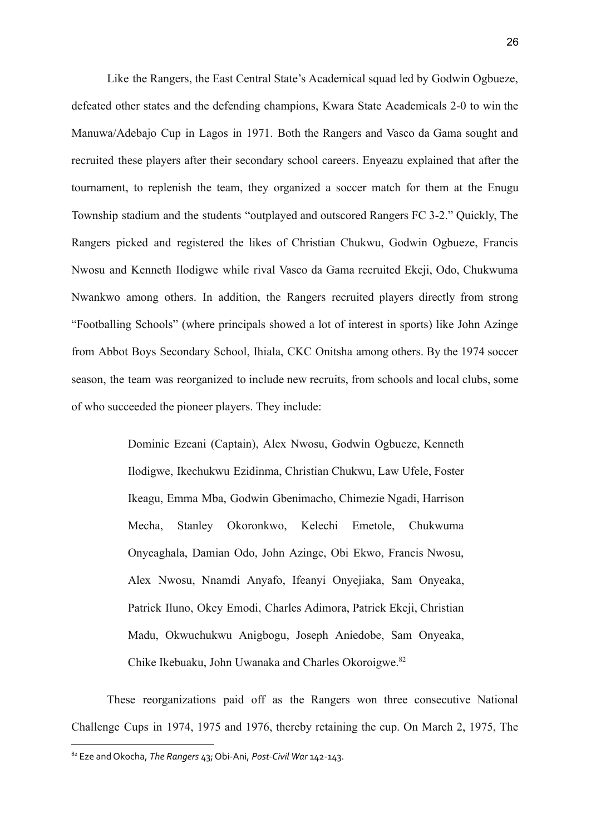Like the Rangers, the East Central State's Academical squad led by Godwin Ogbueze, defeated other states and the defending champions, Kwara State Academicals 2-0 to win the Manuwa/Adebajo Cup in Lagos in 1971. Both the Rangers and Vasco da Gama sought and recruited these players after their secondary school careers. Enyeazu explained that after the tournament, to replenish the team, they organized a soccer match for them at the Enugu Township stadium and the students "outplayed and outscored Rangers FC 3-2." Quickly, The Rangers picked and registered the likes of Christian Chukwu, Godwin Ogbueze, Francis Nwosu and Kenneth Ilodigwe while rival Vasco da Gama recruited Ekeji, Odo, Chukwuma Nwankwo among others. In addition, the Rangers recruited players directly from strong "Footballing Schools" (where principals showed a lot of interest in sports) like John Azinge from Abbot Boys Secondary School, Ihiala, CKC Onitsha among others. By the 1974 soccer season, the team was reorganized to include new recruits, from schools and local clubs, some of who succeeded the pioneer players. They include:

> Dominic Ezeani (Captain), Alex Nwosu, Godwin Ogbueze, Kenneth Ilodigwe, Ikechukwu Ezidinma, Christian Chukwu, Law Ufele, Foster Ikeagu, Emma Mba, Godwin Gbenimacho, Chimezie Ngadi, Harrison Mecha, Stanley Okoronkwo, Kelechi Emetole, Chukwuma Onyeaghala, Damian Odo, John Azinge, Obi Ekwo, Francis Nwosu, Alex Nwosu, Nnamdi Anyafo, Ifeanyi Onyejiaka, Sam Onyeaka, Patrick Iluno, Okey Emodi, Charles Adimora, Patrick Ekeji, Christian Madu, Okwuchukwu Anigbogu, Joseph Aniedobe, Sam Onyeaka, Chike Ikebuaku, John Uwanaka and Charles Okoroigwe.<sup>82</sup>

These reorganizations paid off as the Rangers won three consecutive National Challenge Cups in 1974, 1975 and 1976, thereby retaining the cup. On March 2, 1975, The

<sup>82</sup> Eze and Okocha, *The Rangers* 43; Obi-Ani, *Post-Civil War* 142-143.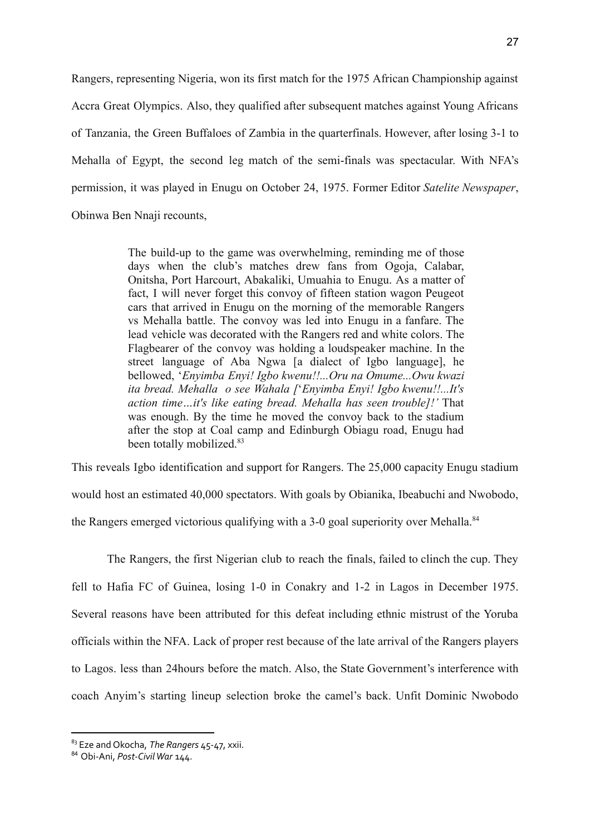Rangers, representing Nigeria, won its first match for the 1975 African Championship against Accra Great Olympics. Also, they qualified after subsequent matches against Young Africans of Tanzania, the Green Buffaloes of Zambia in the quarterfinals. However, after losing 3-1 to Mehalla of Egypt, the second leg match of the semi-finals was spectacular. With NFA's permission, it was played in Enugu on October 24, 1975. Former Editor *Satelite Newspaper*, Obinwa Ben Nnaji recounts,

> The build-up to the game was overwhelming, reminding me of those days when the club's matches drew fans from Ogoja, Calabar, Onitsha, Port Harcourt, Abakaliki, Umuahia to Enugu. As a matter of fact, I will never forget this convoy of fifteen station wagon Peugeot cars that arrived in Enugu on the morning of the memorable Rangers vs Mehalla battle. The convoy was led into Enugu in a fanfare. The lead vehicle was decorated with the Rangers red and white colors. The Flagbearer of the convoy was holding a loudspeaker machine. In the street language of Aba Ngwa [a dialect of Igbo language], he bellowed, '*Enyimba Enyi! Igbo kwenu!!...Oru na Omume...Owu kwazi ita bread. Mehalla o see Wahala [*'*Enyimba Enyi! Igbo kwenu!!...It's action time…it's like eating bread. Mehalla has seen trouble]!'* That was enough. By the time he moved the convoy back to the stadium after the stop at Coal camp and Edinburgh Obiagu road, Enugu had been totally mobilized.<sup>83</sup>

This reveals Igbo identification and support for Rangers. The 25,000 capacity Enugu stadium would host an estimated 40,000 spectators. With goals by Obianika, Ibeabuchi and Nwobodo, the Rangers emerged victorious qualifying with a 3-0 goal superiority over Mehalla.<sup>84</sup>

The Rangers, the first Nigerian club to reach the finals, failed to clinch the cup. They fell to Hafia FC of Guinea, losing 1-0 in Conakry and 1-2 in Lagos in December 1975. Several reasons have been attributed for this defeat including ethnic mistrust of the Yoruba officials within the NFA. Lack of proper rest because of the late arrival of the Rangers players to Lagos. less than 24hours before the match. Also, the State Government's interference with coach Anyim's starting lineup selection broke the camel's back. Unfit Dominic Nwobodo

<sup>83</sup> Eze and Okocha, *The Rangers* 45-47, xxii.

<sup>84</sup> Obi-Ani, *Post-CivilWar* 144.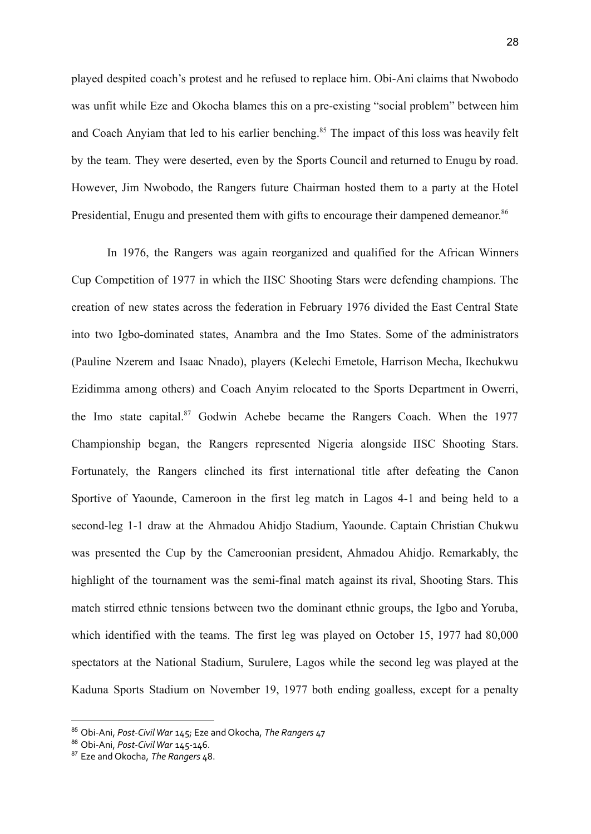played despited coach's protest and he refused to replace him. Obi-Ani claims that Nwobodo was unfit while Eze and Okocha blames this on a pre-existing "social problem" between him and Coach Anyiam that led to his earlier benching.<sup>85</sup> The impact of this loss was heavily felt by the team. They were deserted, even by the Sports Council and returned to Enugu by road. However, Jim Nwobodo, the Rangers future Chairman hosted them to a party at the Hotel Presidential, Enugu and presented them with gifts to encourage their dampened demeanor.<sup>86</sup>

In 1976, the Rangers was again reorganized and qualified for the African Winners Cup Competition of 1977 in which the IISC Shooting Stars were defending champions. The creation of new states across the federation in February 1976 divided the East Central State into two Igbo-dominated states, Anambra and the Imo States. Some of the administrators (Pauline Nzerem and Isaac Nnado), players (Kelechi Emetole, Harrison Mecha, Ikechukwu Ezidimma among others) and Coach Anyim relocated to the Sports Department in Owerri, the Imo state capital.<sup>87</sup> Godwin Achebe became the Rangers Coach. When the 1977 Championship began, the Rangers represented Nigeria alongside IISC Shooting Stars. Fortunately, the Rangers clinched its first international title after defeating the Canon Sportive of Yaounde, Cameroon in the first leg match in Lagos 4-1 and being held to a second-leg 1-1 draw at the Ahmadou Ahidjo Stadium, Yaounde. Captain Christian Chukwu was presented the Cup by the Cameroonian president, Ahmadou Ahidjo. Remarkably, the highlight of the tournament was the semi-final match against its rival, Shooting Stars. This match stirred ethnic tensions between two the dominant ethnic groups, the Igbo and Yoruba, which identified with the teams. The first leg was played on October 15, 1977 had 80,000 spectators at the National Stadium, Surulere, Lagos while the second leg was played at the Kaduna Sports Stadium on November 19, 1977 both ending goalless, except for a penalty

<sup>85</sup> Obi-Ani, *Post-CivilWar* 145; Eze and Okocha, *The Rangers* 47

<sup>86</sup> Obi-Ani, *Post-CivilWar* 145-146.

<sup>87</sup> Eze and Okocha, *The Rangers* 48.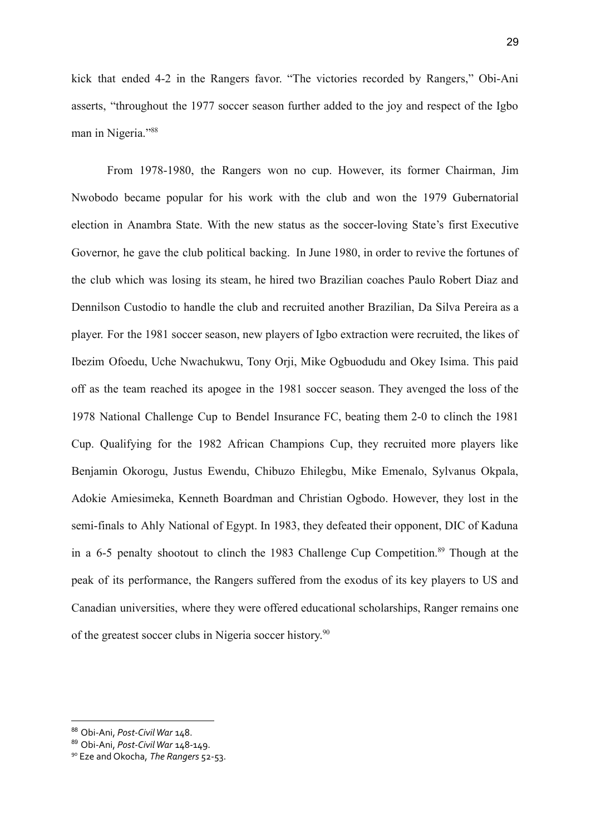kick that ended 4-2 in the Rangers favor. "The victories recorded by Rangers," Obi-Ani asserts, "throughout the 1977 soccer season further added to the joy and respect of the Igbo man in Nigeria."<sup>88</sup>

From 1978-1980, the Rangers won no cup. However, its former Chairman, Jim Nwobodo became popular for his work with the club and won the 1979 Gubernatorial election in Anambra State. With the new status as the soccer-loving State's first Executive Governor, he gave the club political backing. In June 1980, in order to revive the fortunes of the club which was losing its steam, he hired two Brazilian coaches Paulo Robert Diaz and Dennilson Custodio to handle the club and recruited another Brazilian, Da Silva Pereira as a player. For the 1981 soccer season, new players of Igbo extraction were recruited, the likes of Ibezim Ofoedu, Uche Nwachukwu, Tony Orji, Mike Ogbuodudu and Okey Isima. This paid off as the team reached its apogee in the 1981 soccer season. They avenged the loss of the 1978 National Challenge Cup to Bendel Insurance FC, beating them 2-0 to clinch the 1981 Cup. Qualifying for the 1982 African Champions Cup, they recruited more players like Benjamin Okorogu, Justus Ewendu, Chibuzo Ehilegbu, Mike Emenalo, Sylvanus Okpala, Adokie Amiesimeka, Kenneth Boardman and Christian Ogbodo. However, they lost in the semi-finals to Ahly National of Egypt. In 1983, they defeated their opponent, DIC of Kaduna in a 6-5 penalty shootout to clinch the 1983 Challenge Cup Competition.<sup>89</sup> Though at the peak of its performance, the Rangers suffered from the exodus of its key players to US and Canadian universities, where they were offered educational scholarships, Ranger remains one of the greatest soccer clubs in Nigeria soccer history. 90

<sup>88</sup> Obi-Ani, *Post-CivilWar* 148.

<sup>89</sup> Obi-Ani, *Post-CivilWar* 148-149.

<sup>90</sup> Eze and Okocha, *The Rangers* 52-53.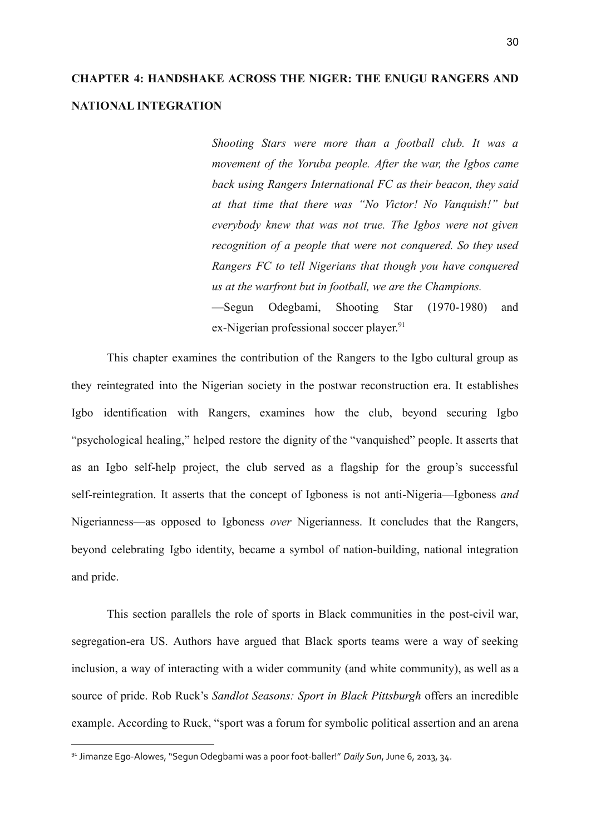# **CHAPTER 4: HANDSHAKE ACROSS THE NIGER: THE ENUGU RANGERS AND NATIONAL INTEGRATION**

*Shooting Stars were more than a football club. It was a movement of the Yoruba people. After the war, the Igbos came back using Rangers International FC as their beacon, they said at that time that there was "No Victor! No Vanquish!" but everybody knew that was not true. The Igbos were not given recognition of a people that were not conquered. So they used Rangers FC to tell Nigerians that though you have conquered us at the warfront but in football, we are the Champions.* —Segun Odegbami, Shooting Star (1970-1980) and

ex-Nigerian professional soccer player.<sup>91</sup>

This chapter examines the contribution of the Rangers to the Igbo cultural group as they reintegrated into the Nigerian society in the postwar reconstruction era. It establishes Igbo identification with Rangers, examines how the club, beyond securing Igbo "psychological healing," helped restore the dignity of the "vanquished" people. It asserts that as an Igbo self-help project, the club served as a flagship for the group's successful self-reintegration. It asserts that the concept of Igboness is not anti-Nigeria—Igboness *and* Nigerianness—as opposed to Igboness *over* Nigerianness. It concludes that the Rangers, beyond celebrating Igbo identity, became a symbol of nation-building, national integration and pride.

This section parallels the role of sports in Black communities in the post-civil war, segregation-era US. Authors have argued that Black sports teams were a way of seeking inclusion, a way of interacting with a wider community (and white community), as well as a source of pride. Rob Ruck's *Sandlot Seasons: Sport in Black Pittsburgh* offers an incredible example. According to Ruck, "sport was a forum for symbolic political assertion and an arena

<sup>91</sup> Jimanze Ego-Alowes, "Segun Odegbami was a poor foot-baller!" *Daily Sun*,June 6, 2013, 34.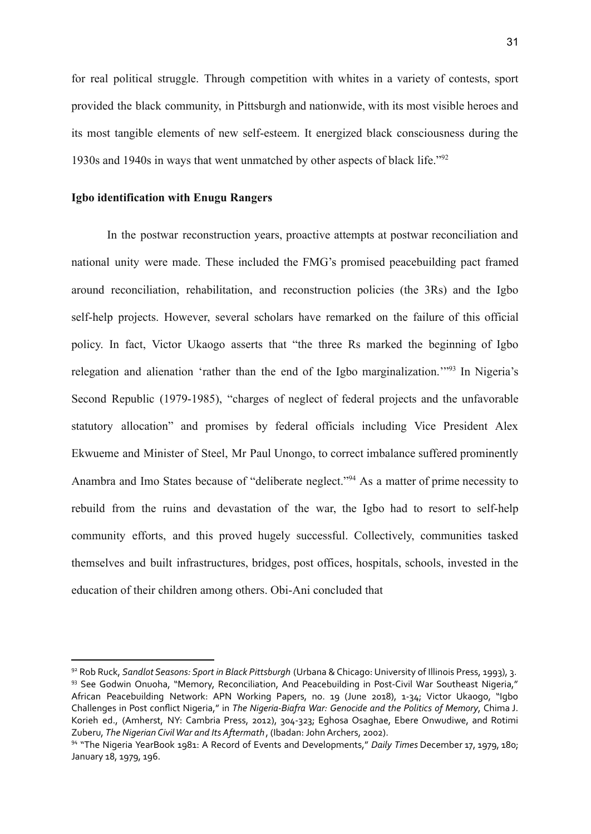for real political struggle. Through competition with whites in a variety of contests, sport provided the black community, in Pittsburgh and nationwide, with its most visible heroes and its most tangible elements of new self-esteem. It energized black consciousness during the 1930s and 1940s in ways that went unmatched by other aspects of black life."<sup>92</sup>

### **Igbo identification with Enugu Rangers**

In the postwar reconstruction years, proactive attempts at postwar reconciliation and national unity were made. These included the FMG's promised peacebuilding pact framed around reconciliation, rehabilitation, and reconstruction policies (the 3Rs) and the Igbo self-help projects. However, several scholars have remarked on the failure of this official policy. In fact, Victor Ukaogo asserts that "the three Rs marked the beginning of Igbo relegation and alienation 'rather than the end of the Igbo marginalization.'"<sup>93</sup> In Nigeria's Second Republic (1979-1985), "charges of neglect of federal projects and the unfavorable statutory allocation" and promises by federal officials including Vice President Alex Ekwueme and Minister of Steel, Mr Paul Unongo, to correct imbalance suffered prominently Anambra and Imo States because of "deliberate neglect."<sup>94</sup> As a matter of prime necessity to rebuild from the ruins and devastation of the war, the Igbo had to resort to self-help community efforts, and this proved hugely successful. Collectively, communities tasked themselves and built infrastructures, bridges, post offices, hospitals, schools, invested in the education of their children among others. Obi-Ani concluded that

<sup>93</sup> See Godwin Onuoha, "Memory, Reconciliation, And Peacebuilding in Post-Civil War Southeast Nigeria," African Peacebuilding Network: APN Working Papers, no. 19 (June 2018), 1-34; Victor Ukaogo, "Igbo Challenges in Post conflict Nigeria," in *The Nigeria-Biafra War: Genocide and the Politics of Memory*, Chima J. Korieh ed., (Amherst, NY: Cambria Press, 2012), 304-323; Eghosa Osaghae, Ebere Onwudiwe, and Rotimi Zuberu, *The Nigerian CivilWar and Its Aftermath* , (Ibadan:JohnArchers, 2002). <sup>92</sup> Rob Ruck, *Sandlot Seasons: Sport in Black Pittsburgh* (Urbana &Chicago: University of Illinois Press, 1993), 3.

<sup>94</sup> "The Nigeria YearBook 1981: A Record of Events and Developments," *Daily Times* December 17, 1979, 180; January 18, 1979, 196.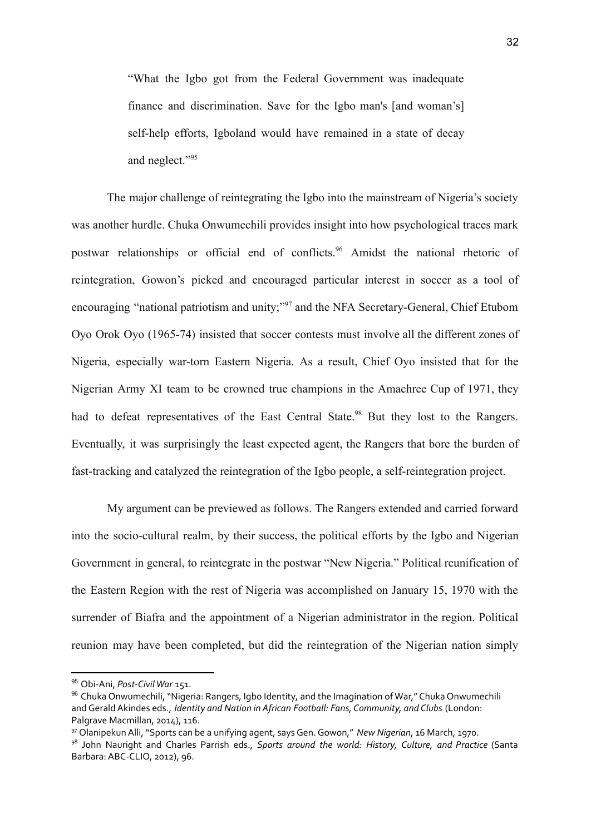"What the Igbo got from the Federal Government was inadequate finance and discrimination. Save for the Igbo man's [and woman's] self-help efforts, Igboland would have remained in a state of decay and neglect."<sup>95</sup>

The major challenge of reintegrating the Igbo into the mainstream of Nigeria's society was another hurdle. Chuka Onwumechili provides insight into how psychological traces mark postwar relationships or official end of conflicts.<sup>96</sup> Amidst the national rhetoric of reintegration, Gowon's picked and encouraged particular interest in soccer as a tool of encouraging "national patriotism and unity;"<sup>97</sup> and the NFA Secretary-General, Chief Etubom Oyo Orok Oyo (1965-74) insisted that soccer contests must involve all the different zones of Nigeria, especially war-torn Eastern Nigeria. As a result, Chief Oyo insisted that for the Nigerian Army XI team to be crowned true champions in the Amachree Cup of 1971, they had to defeat representatives of the East Central State.<sup>98</sup> But they lost to the Rangers. Eventually, it was surprisingly the least expected agent, the Rangers that bore the burden of fast-tracking and catalyzed the reintegration of the Igbo people, a self-reintegration project.

My argument can be previewed as follows. The Rangers extended and carried forward into the socio-cultural realm, by their success, the political efforts by the Igbo and Nigerian Government in general, to reintegrate in the postwar "New Nigeria." Political reunification of the Eastern Region with the rest of Nigeria was accomplished on January 15, 1970 with the surrender of Biafra and the appointment of a Nigerian administrator in the region. Political reunion may have been completed, but did the reintegration of the Nigerian nation simply

<sup>&</sup>lt;sup>95</sup> Obi-Ani, Post-Civil War 151.

<sup>96</sup> Chuka Onwumechili, "Nigeria: Rangers, Igbo Identity, and the Imagination of War," Chuka Onwumechili andGeraldAkindes eds., *Identity and Nation in African Football: Fans, Community, and Clubs* (London: Palgrave Macmillan, 2014), 116.

<sup>97</sup> OlanipekunAlli, "Sports can be a unifying agent, saysGen.Gowon," *New Nigerian*, 16 March, 1970.

<sup>98</sup> John Nauright and Charles Parrish eds., *Sports around the world: History, Culture, and Practice* (Santa Barbara:ABC-CLIO, 2012), 96.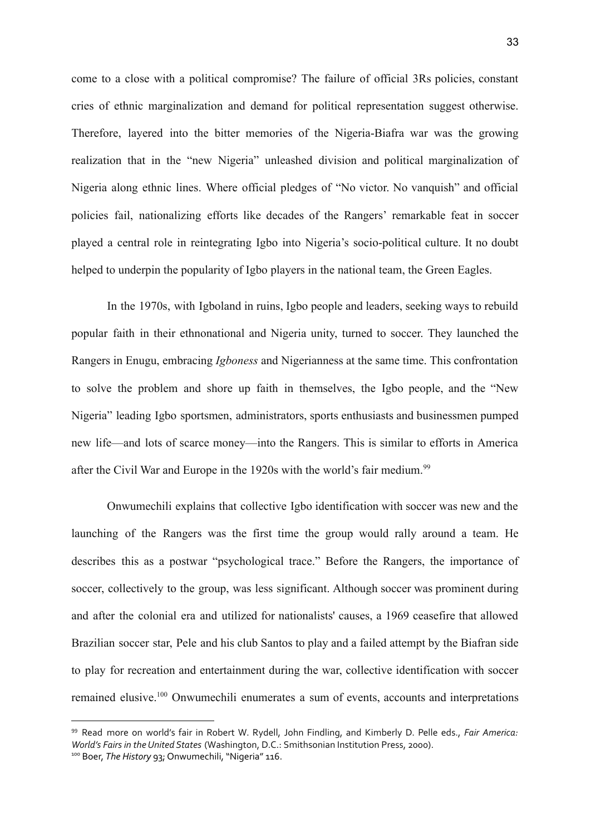come to a close with a political compromise? The failure of official 3Rs policies, constant cries of ethnic marginalization and demand for political representation suggest otherwise. Therefore, layered into the bitter memories of the Nigeria-Biafra war was the growing realization that in the "new Nigeria" unleashed division and political marginalization of Nigeria along ethnic lines. Where official pledges of "No victor. No vanquish" and official policies fail, nationalizing efforts like decades of the Rangers' remarkable feat in soccer played a central role in reintegrating Igbo into Nigeria's socio-political culture. It no doubt helped to underpin the popularity of Igbo players in the national team, the Green Eagles.

In the 1970s, with Igboland in ruins, Igbo people and leaders, seeking ways to rebuild popular faith in their ethnonational and Nigeria unity, turned to soccer. They launched the Rangers in Enugu, embracing *Igboness* and Nigerianness at the same time. This confrontation to solve the problem and shore up faith in themselves, the Igbo people, and the "New Nigeria" leading Igbo sportsmen, administrators, sports enthusiasts and businessmen pumped new life—and lots of scarce money—into the Rangers. This is similar to efforts in America after the Civil War and Europe in the 1920s with the world's fair medium.<sup>99</sup>

Onwumechili explains that collective Igbo identification with soccer was new and the launching of the Rangers was the first time the group would rally around a team. He describes this as a postwar "psychological trace." Before the Rangers, the importance of soccer, collectively to the group, was less significant. Although soccer was prominent during and after the colonial era and utilized for nationalists' causes, a 1969 ceasefire that allowed Brazilian soccer star, Pele and his club Santos to play and a failed attempt by the Biafran side to play for recreation and entertainment during the war, collective identification with soccer remained elusive.<sup>100</sup> Onwumechili enumerates a sum of events, accounts and interpretations

<sup>99</sup> Read more on world's fair in Robert W. Rydell, John Findling, and Kimberly D. Pelle eds., *Fair America: World's Fairs in theUnited States* (Washington, D.C.: Smithsonian Institution Press, 2000).

<sup>100</sup> Boer, *The History* 93; Onwumechili, "Nigeria" 116.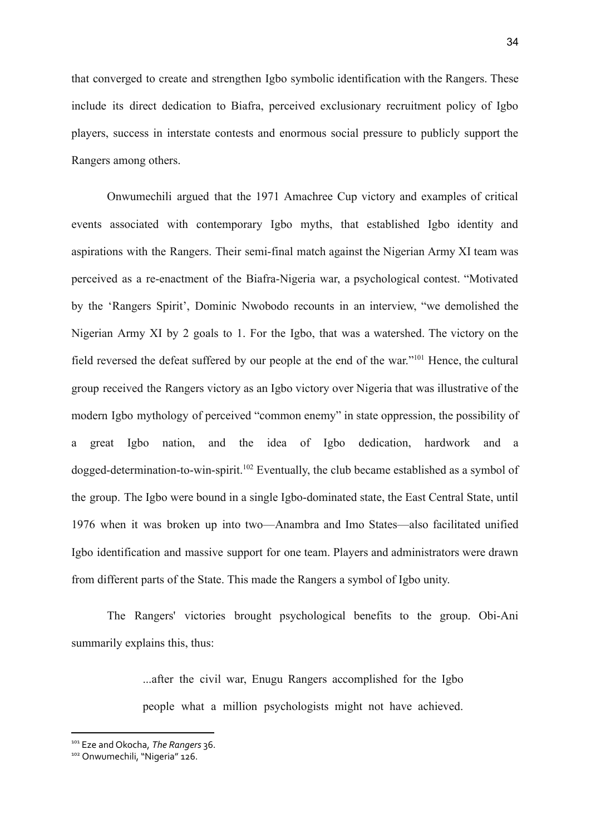that converged to create and strengthen Igbo symbolic identification with the Rangers. These include its direct dedication to Biafra, perceived exclusionary recruitment policy of Igbo players, success in interstate contests and enormous social pressure to publicly support the Rangers among others.

Onwumechili argued that the 1971 Amachree Cup victory and examples of critical events associated with contemporary Igbo myths, that established Igbo identity and aspirations with the Rangers. Their semi-final match against the Nigerian Army XI team was perceived as a re-enactment of the Biafra-Nigeria war, a psychological contest. "Motivated by the 'Rangers Spirit', Dominic Nwobodo recounts in an interview, "we demolished the Nigerian Army XI by 2 goals to 1. For the Igbo, that was a watershed. The victory on the field reversed the defeat suffered by our people at the end of the war."<sup>101</sup> Hence, the cultural group received the Rangers victory as an Igbo victory over Nigeria that was illustrative of the modern Igbo mythology of perceived "common enemy" in state oppression, the possibility of a great Igbo nation, and the idea of Igbo dedication, hardwork and a dogged-determination-to-win-spirit.<sup>102</sup> Eventually, the club became established as a symbol of the group. The Igbo were bound in a single Igbo-dominated state, the East Central State, until 1976 when it was broken up into two—Anambra and Imo States—also facilitated unified Igbo identification and massive support for one team. Players and administrators were drawn from different parts of the State. This made the Rangers a symbol of Igbo unity.

The Rangers' victories brought psychological benefits to the group. Obi-Ani summarily explains this, thus:

> ...after the civil war, Enugu Rangers accomplished for the Igbo people what a million psychologists might not have achieved.

<sup>101</sup> Eze and Okocha, *The Rangers* 36.

<sup>102</sup> Onwumechili, "Nigeria" 126.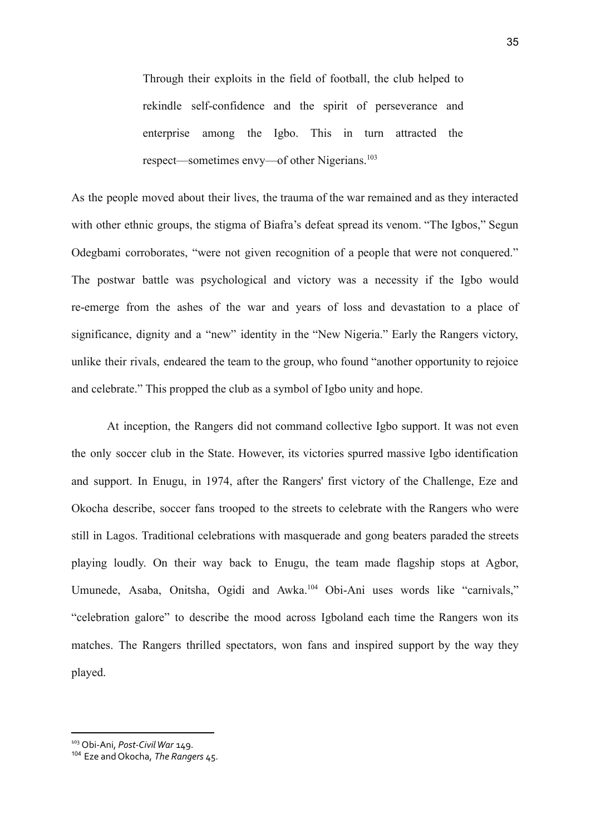Through their exploits in the field of football, the club helped to rekindle self-confidence and the spirit of perseverance and enterprise among the Igbo. This in turn attracted the respect—sometimes envy—of other Nigerians.<sup>103</sup>

As the people moved about their lives, the trauma of the war remained and as they interacted with other ethnic groups, the stigma of Biafra's defeat spread its venom. "The Igbos," Segun Odegbami corroborates, "were not given recognition of a people that were not conquered." The postwar battle was psychological and victory was a necessity if the Igbo would re-emerge from the ashes of the war and years of loss and devastation to a place of significance, dignity and a "new" identity in the "New Nigeria." Early the Rangers victory, unlike their rivals, endeared the team to the group, who found "another opportunity to rejoice and celebrate." This propped the club as a symbol of Igbo unity and hope.

At inception, the Rangers did not command collective Igbo support. It was not even the only soccer club in the State. However, its victories spurred massive Igbo identification and support. In Enugu, in 1974, after the Rangers' first victory of the Challenge, Eze and Okocha describe, soccer fans trooped to the streets to celebrate with the Rangers who were still in Lagos. Traditional celebrations with masquerade and gong beaters paraded the streets playing loudly. On their way back to Enugu, the team made flagship stops at Agbor, Umunede, Asaba, Onitsha, Ogidi and Awka.<sup>104</sup> Obi-Ani uses words like "carnivals," "celebration galore" to describe the mood across Igboland each time the Rangers won its matches. The Rangers thrilled spectators, won fans and inspired support by the way they played.

<sup>&</sup>lt;sup>103</sup> Obi-Ani, Post-Civil War 149.

<sup>104</sup> Eze and Okocha, *The Rangers* 45.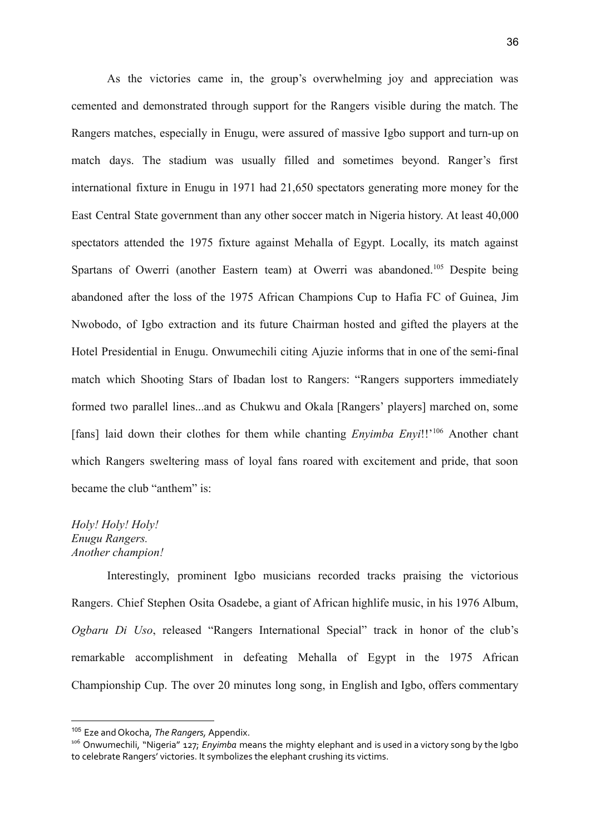As the victories came in, the group's overwhelming joy and appreciation was cemented and demonstrated through support for the Rangers visible during the match. The Rangers matches, especially in Enugu, were assured of massive Igbo support and turn-up on match days. The stadium was usually filled and sometimes beyond. Ranger's first international fixture in Enugu in 1971 had 21,650 spectators generating more money for the East Central State government than any other soccer match in Nigeria history. At least 40,000 spectators attended the 1975 fixture against Mehalla of Egypt. Locally, its match against Spartans of Owerri (another Eastern team) at Owerri was abandoned.<sup>105</sup> Despite being abandoned after the loss of the 1975 African Champions Cup to Hafia FC of Guinea, Jim Nwobodo, of Igbo extraction and its future Chairman hosted and gifted the players at the Hotel Presidential in Enugu. Onwumechili citing Ajuzie informs that in one of the semi-final match which Shooting Stars of Ibadan lost to Rangers: "Rangers supporters immediately formed two parallel lines...and as Chukwu and Okala [Rangers' players] marched on, some [fans] laid down their clothes for them while chanting *Envimba Envi*!!'<sup>106</sup> Another chant which Rangers sweltering mass of loyal fans roared with excitement and pride, that soon became the club "anthem" is:

## *Holy! Holy! Holy! Enugu Rangers. Another champion!*

Interestingly, prominent Igbo musicians recorded tracks praising the victorious Rangers. Chief Stephen Osita Osadebe, a giant of African highlife music, in his 1976 Album, *Ogbaru Di Uso*, released "Rangers International Special" track in honor of the club's remarkable accomplishment in defeating Mehalla of Egypt in the 1975 African Championship Cup. The over 20 minutes long song, in English and Igbo, offers commentary

<sup>105</sup> Eze and Okocha, *The Rangers,* Appendix.

<sup>106</sup> Onwumechili, "Nigeria" 127; *Enyimba* means the mighty elephant and is used in a victory song by the Igbo to celebrate Rangers' victories. It symbolizes the elephant crushing its victims.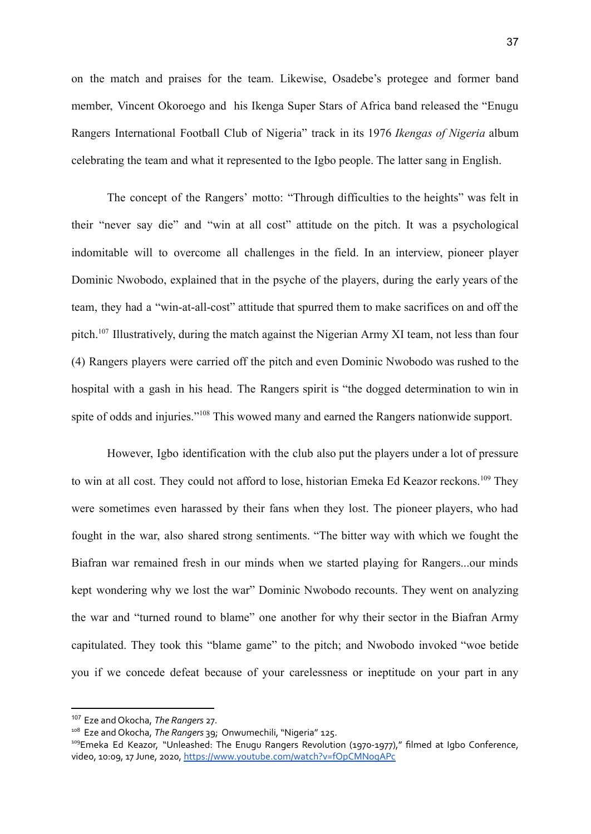on the match and praises for the team. Likewise, Osadebe's protegee and former band member, Vincent Okoroego and his Ikenga Super Stars of Africa band released the "Enugu Rangers International Football Club of Nigeria" track in its 1976 *Ikengas of Nigeria* album celebrating the team and what it represented to the Igbo people. The latter sang in English.

The concept of the Rangers' motto: "Through difficulties to the heights" was felt in their "never say die" and "win at all cost" attitude on the pitch. It was a psychological indomitable will to overcome all challenges in the field. In an interview, pioneer player Dominic Nwobodo, explained that in the psyche of the players, during the early years of the team, they had a "win-at-all-cost" attitude that spurred them to make sacrifices on and off the pitch.<sup>107</sup> Illustratively, during the match against the Nigerian Army XI team, not less than four (4) Rangers players were carried off the pitch and even Dominic Nwobodo was rushed to the hospital with a gash in his head. The Rangers spirit is "the dogged determination to win in spite of odds and injuries."<sup>108</sup> This wowed many and earned the Rangers nationwide support.

However, Igbo identification with the club also put the players under a lot of pressure to win at all cost. They could not afford to lose, historian Emeka Ed Keazor reckons.<sup>109</sup> They were sometimes even harassed by their fans when they lost. The pioneer players, who had fought in the war, also shared strong sentiments. "The bitter way with which we fought the Biafran war remained fresh in our minds when we started playing for Rangers...our minds kept wondering why we lost the war" Dominic Nwobodo recounts. They went on analyzing the war and "turned round to blame" one another for why their sector in the Biafran Army capitulated. They took this "blame game" to the pitch; and Nwobodo invoked "woe betide you if we concede defeat because of your carelessness or ineptitude on your part in any

<sup>107</sup> Eze and Okocha, *The Rangers* 27.

<sup>108</sup> Eze and Okocha, *The Rangers* 39; Onwumechili, "Nigeria" 125.

<sup>&</sup>lt;sup>109</sup>Emeka Ed Keazor, "Unleashed: The Enugu Rangers Revolution (1970-1977)," filmed at Igbo Conference, video, 10:09, 17 June, 2020, <https://www.youtube.com/watch?v=fOpCMNogAPc>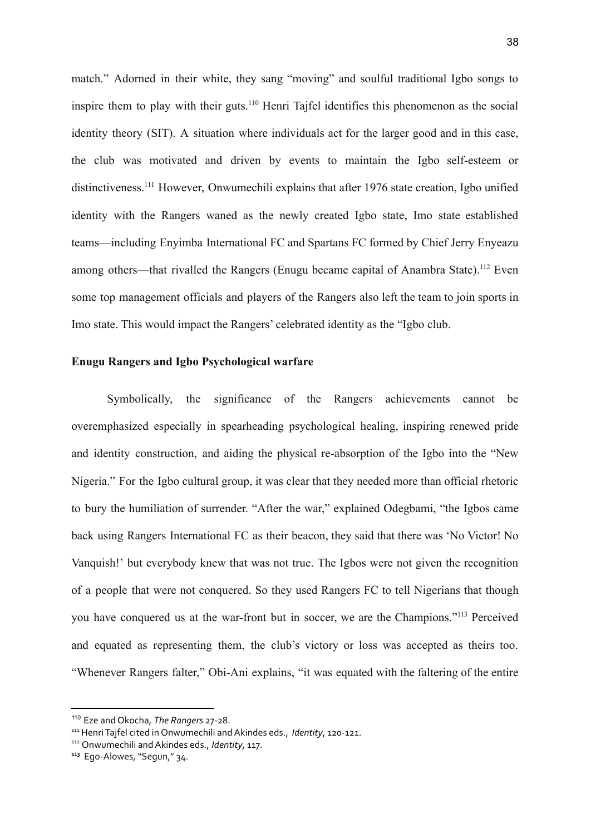match." Adorned in their white, they sang "moving" and soulful traditional Igbo songs to inspire them to play with their guts.<sup>110</sup> Henri Tajfel identifies this phenomenon as the social identity theory (SIT). A situation where individuals act for the larger good and in this case, the club was motivated and driven by events to maintain the Igbo self-esteem or distinctiveness.<sup>111</sup> However, Onwumechili explains that after 1976 state creation, Igbo unified identity with the Rangers waned as the newly created Igbo state, Imo state established teams—including Enyimba International FC and Spartans FC formed by Chief Jerry Enyeazu among others—that rivalled the Rangers (Enugu became capital of Anambra State).<sup>112</sup> Even some top management officials and players of the Rangers also left the team to join sports in Imo state. This would impact the Rangers' celebrated identity as the "Igbo club.

#### **Enugu Rangers and Igbo Psychological warfare**

Symbolically, the significance of the Rangers achievements cannot be overemphasized especially in spearheading psychological healing, inspiring renewed pride and identity construction, and aiding the physical re-absorption of the Igbo into the "New Nigeria." For the Igbo cultural group, it was clear that they needed more than official rhetoric to bury the humiliation of surrender. "After the war," explained Odegbami, "the Igbos came back using Rangers International FC as their beacon, they said that there was 'No Victor! No Vanquish!' but everybody knew that was not true. The Igbos were not given the recognition of a people that were not conquered. So they used Rangers FC to tell Nigerians that though you have conquered us at the war-front but in soccer, we are the Champions."<sup>113</sup> Perceived and equated as representing them, the club's victory or loss was accepted as theirs too. "Whenever Rangers falter," Obi-Ani explains, "it was equated with the faltering of the entire

<sup>110</sup> Eze and Okocha, *The Rangers* 27-28.

<sup>&</sup>lt;sup>111</sup> Henri Tajfel cited in Onwumechili and Akindes eds., *Identity*, 120-121.

<sup>112</sup> Onwumechili andAkindes eds., *Identity*, 117.

**<sup>113</sup>** Ego-Alowes, "Segun," 34.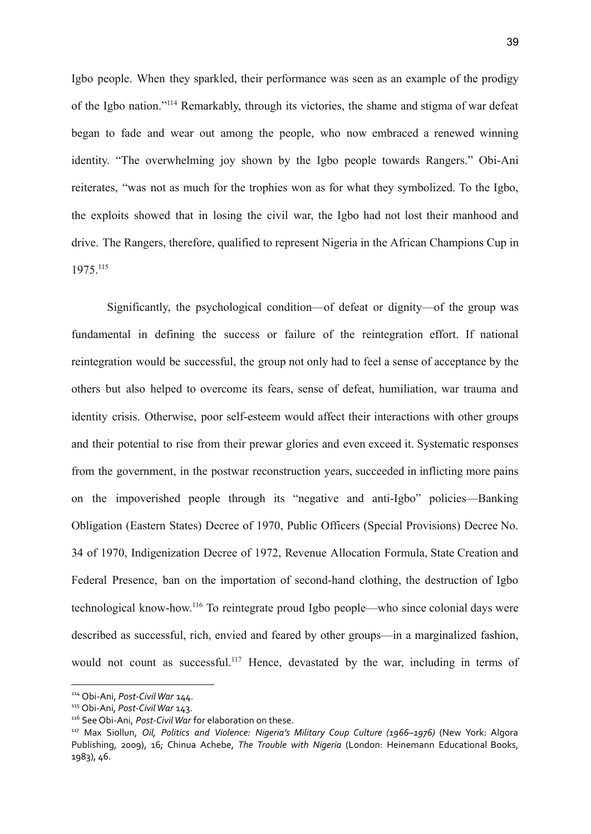Igbo people. When they sparkled, their performance was seen as an example of the prodigy of the Igbo nation."<sup>114</sup> Remarkably, through its victories, the shame and stigma of war defeat began to fade and wear out among the people, who now embraced a renewed winning identity. "The overwhelming joy shown by the Igbo people towards Rangers." Obi-Ani reiterates, "was not as much for the trophies won as for what they symbolized. To the Igbo, the exploits showed that in losing the civil war, the Igbo had not lost their manhood and drive. The Rangers, therefore, qualified to represent Nigeria in the African Champions Cup in 1975.<sup>115</sup>

Significantly, the psychological condition—of defeat or dignity—of the group was fundamental in defining the success or failure of the reintegration effort. If national reintegration would be successful, the group not only had to feel a sense of acceptance by the others but also helped to overcome its fears, sense of defeat, humiliation, war trauma and identity crisis. Otherwise, poor self-esteem would affect their interactions with other groups and their potential to rise from their prewar glories and even exceed it. Systematic responses from the government, in the postwar reconstruction years, succeeded in inflicting more pains on the impoverished people through its "negative and anti-Igbo" policies—Banking Obligation (Eastern States) Decree of 1970, Public Officers (Special Provisions) Decree No. 34 of 1970, Indigenization Decree of 1972, Revenue Allocation Formula, State Creation and Federal Presence, ban on the importation of second-hand clothing, the destruction of Igbo technological know-how. <sup>116</sup> To reintegrate proud Igbo people—who since colonial days were described as successful, rich, envied and feared by other groups—in a marginalized fashion, would not count as successful.<sup>117</sup> Hence, devastated by the war, including in terms of

<sup>114</sup> Obi-Ani, *Post-CivilWar* 144.

<sup>&</sup>lt;sup>115</sup> Obi-Ani, Post-Civil War 143.

<sup>&</sup>lt;sup>116</sup> See Obi-Ani, *Post-Civil War* for elaboration on these.

<sup>117</sup> Max Siollun, *Oil, Politics and Violence: Nigeria's Military Coup Culture (1966–1976)* (New York: Algora Publishing, 2009), 16; Chinua Achebe, *The Trouble with Nigeria* (London: Heinemann Educational Books, 1983), 46.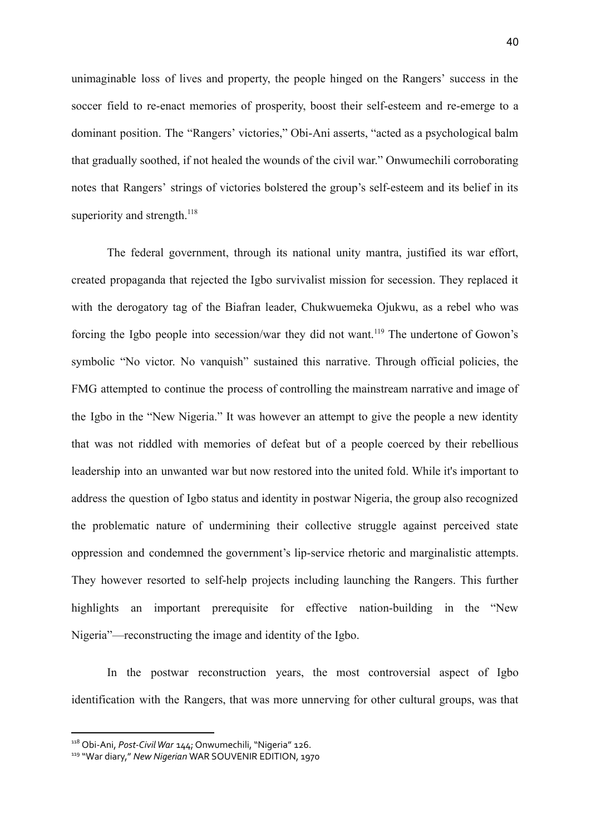unimaginable loss of lives and property, the people hinged on the Rangers' success in the soccer field to re-enact memories of prosperity, boost their self-esteem and re-emerge to a dominant position. The "Rangers' victories," Obi-Ani asserts, "acted as a psychological balm that gradually soothed, if not healed the wounds of the civil war." Onwumechili corroborating notes that Rangers' strings of victories bolstered the group's self-esteem and its belief in its superiority and strength.<sup>118</sup>

The federal government, through its national unity mantra, justified its war effort, created propaganda that rejected the Igbo survivalist mission for secession. They replaced it with the derogatory tag of the Biafran leader, Chukwuemeka Ojukwu, as a rebel who was forcing the Igbo people into secession/war they did not want.<sup>119</sup> The undertone of Gowon's symbolic "No victor. No vanquish" sustained this narrative. Through official policies, the FMG attempted to continue the process of controlling the mainstream narrative and image of the Igbo in the "New Nigeria." It was however an attempt to give the people a new identity that was not riddled with memories of defeat but of a people coerced by their rebellious leadership into an unwanted war but now restored into the united fold. While it's important to address the question of Igbo status and identity in postwar Nigeria, the group also recognized the problematic nature of undermining their collective struggle against perceived state oppression and condemned the government's lip-service rhetoric and marginalistic attempts. They however resorted to self-help projects including launching the Rangers. This further highlights an important prerequisite for effective nation-building in the "New Nigeria"—reconstructing the image and identity of the Igbo.

In the postwar reconstruction years, the most controversial aspect of Igbo identification with the Rangers, that was more unnerving for other cultural groups, was that

<sup>118</sup> Obi-Ani, *Post-CivilWar* 144; Onwumechili, "Nigeria" 126.

<sup>119</sup> "War diary," *New Nigerian* WAR SOUVENIR EDITION, 1970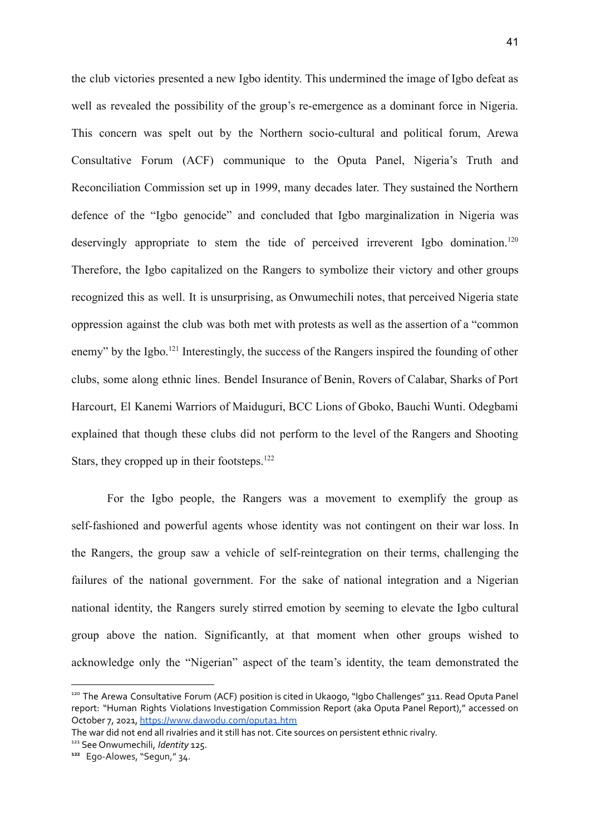the club victories presented a new Igbo identity. This undermined the image of Igbo defeat as well as revealed the possibility of the group's re-emergence as a dominant force in Nigeria. This concern was spelt out by the Northern socio-cultural and political forum, Arewa Consultative Forum (ACF) communique to the Oputa Panel, Nigeria's Truth and Reconciliation Commission set up in 1999, many decades later. They sustained the Northern defence of the "Igbo genocide" and concluded that Igbo marginalization in Nigeria was deservingly appropriate to stem the tide of perceived irreverent Igbo domination.<sup>120</sup> Therefore, the Igbo capitalized on the Rangers to symbolize their victory and other groups recognized this as well. It is unsurprising, as Onwumechili notes, that perceived Nigeria state oppression against the club was both met with protests as well as the assertion of a "common enemy" by the Igbo.<sup>121</sup> Interestingly, the success of the Rangers inspired the founding of other clubs, some along ethnic lines. Bendel Insurance of Benin, Rovers of Calabar, Sharks of Port Harcourt, El Kanemi Warriors of Maiduguri, BCC Lions of Gboko, Bauchi Wunti. Odegbami explained that though these clubs did not perform to the level of the Rangers and Shooting Stars, they cropped up in their footsteps.<sup>122</sup>

For the Igbo people, the Rangers was a movement to exemplify the group as self-fashioned and powerful agents whose identity was not contingent on their war loss. In the Rangers, the group saw a vehicle of self-reintegration on their terms, challenging the failures of the national government. For the sake of national integration and a Nigerian national identity, the Rangers surely stirred emotion by seeming to elevate the Igbo cultural group above the nation. Significantly, at that moment when other groups wished to acknowledge only the "Nigerian" aspect of the team's identity, the team demonstrated the

<sup>120</sup> The Arewa Consultative Forum (ACF) position is cited in Ukaogo, "Igbo Challenges" 311. Read Oputa Panel report: "Human Rights Violations Investigation Commission Report (aka Oputa Panel Report)," accessed on October 7, 2021, <https://www.dawodu.com/oputa1.htm>

The war did not end all rivalries and it still has not. Cite sources on persistent ethnic rivalry.

<sup>121</sup> See Onwumechili, *Identity* 125.

**<sup>122</sup>** Ego-Alowes, "Segun," 34.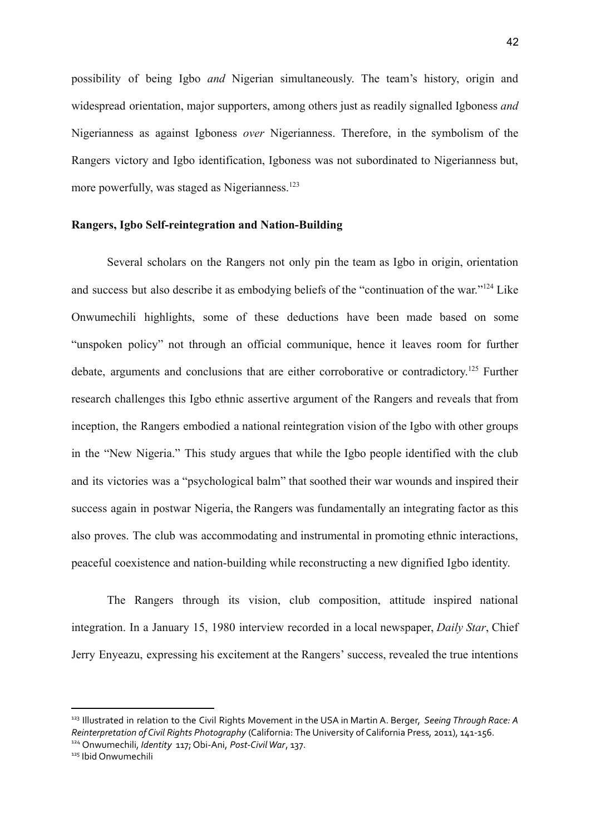possibility of being Igbo *and* Nigerian simultaneously. The team's history, origin and widespread orientation, major supporters, among others just as readily signalled Igboness *and* Nigerianness as against Igboness *over* Nigerianness. Therefore, in the symbolism of the Rangers victory and Igbo identification, Igboness was not subordinated to Nigerianness but, more powerfully, was staged as Nigerianness.<sup>123</sup>

#### **Rangers, Igbo Self-reintegration and Nation-Building**

Several scholars on the Rangers not only pin the team as Igbo in origin, orientation and success but also describe it as embodying beliefs of the "continuation of the war."<sup>124</sup> Like Onwumechili highlights, some of these deductions have been made based on some "unspoken policy" not through an official communique, hence it leaves room for further debate, arguments and conclusions that are either corroborative or contradictory.<sup>125</sup> Further research challenges this Igbo ethnic assertive argument of the Rangers and reveals that from inception, the Rangers embodied a national reintegration vision of the Igbo with other groups in the "New Nigeria." This study argues that while the Igbo people identified with the club and its victories was a "psychological balm" that soothed their war wounds and inspired their success again in postwar Nigeria, the Rangers was fundamentally an integrating factor as this also proves. The club was accommodating and instrumental in promoting ethnic interactions, peaceful coexistence and nation-building while reconstructing a new dignified Igbo identity.

The Rangers through its vision, club composition, attitude inspired national integration. In a January 15, 1980 interview recorded in a local newspaper, *Daily Star*, Chief Jerry Enyeazu, expressing his excitement at the Rangers' success, revealed the true intentions

<sup>123</sup> Illustrated in relation to the Civil Rights Movement in the USA in Martin A. Berger, *Seeing Through Race: A Reinterpretation of Civil Rights Photography* (California: The University of California Press, 2011), 141-156.

<sup>124</sup> Onwumechili, *Identity* 117; Obi-Ani, *Post-CivilWar*, 137.

<sup>125</sup> Ibid Onwumechili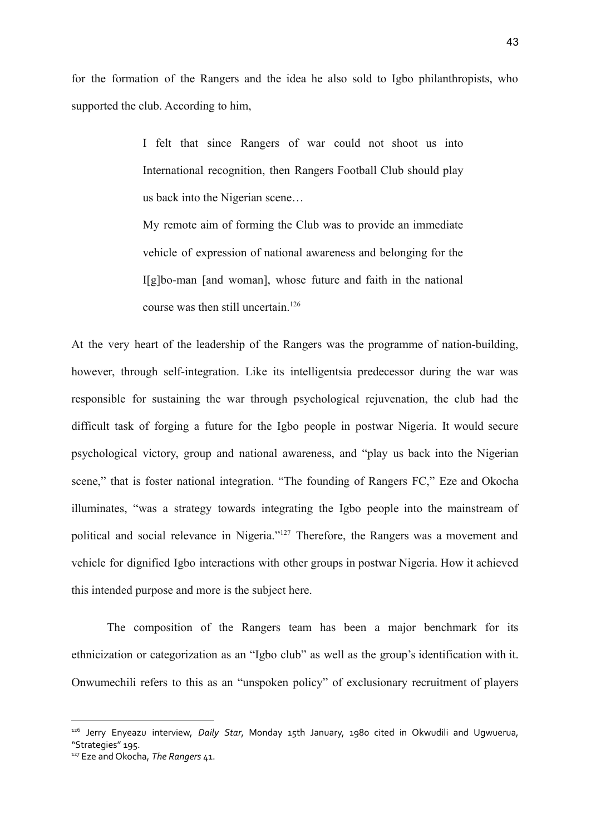for the formation of the Rangers and the idea he also sold to Igbo philanthropists, who supported the club. According to him,

> I felt that since Rangers of war could not shoot us into International recognition, then Rangers Football Club should play us back into the Nigerian scene…

> My remote aim of forming the Club was to provide an immediate vehicle of expression of national awareness and belonging for the I[g]bo-man [and woman], whose future and faith in the national course was then still uncertain.<sup>126</sup>

At the very heart of the leadership of the Rangers was the programme of nation-building, however, through self-integration. Like its intelligentsia predecessor during the war was responsible for sustaining the war through psychological rejuvenation, the club had the difficult task of forging a future for the Igbo people in postwar Nigeria. It would secure psychological victory, group and national awareness, and "play us back into the Nigerian scene," that is foster national integration. "The founding of Rangers FC," Eze and Okocha illuminates, "was a strategy towards integrating the Igbo people into the mainstream of political and social relevance in Nigeria."<sup>127</sup> Therefore, the Rangers was a movement and vehicle for dignified Igbo interactions with other groups in postwar Nigeria. How it achieved this intended purpose and more is the subject here.

The composition of the Rangers team has been a major benchmark for its ethnicization or categorization as an "Igbo club" as well as the group's identification with it. Onwumechili refers to this as an "unspoken policy" of exclusionary recruitment of players

<sup>126</sup> Jerry Enyeazu interview, *Daily Star*, Monday 15th January, 1980 cited in Okwudili and Ugwuerua, "Strategies" 195.

<sup>127</sup> Eze and Okocha, *The Rangers* 41.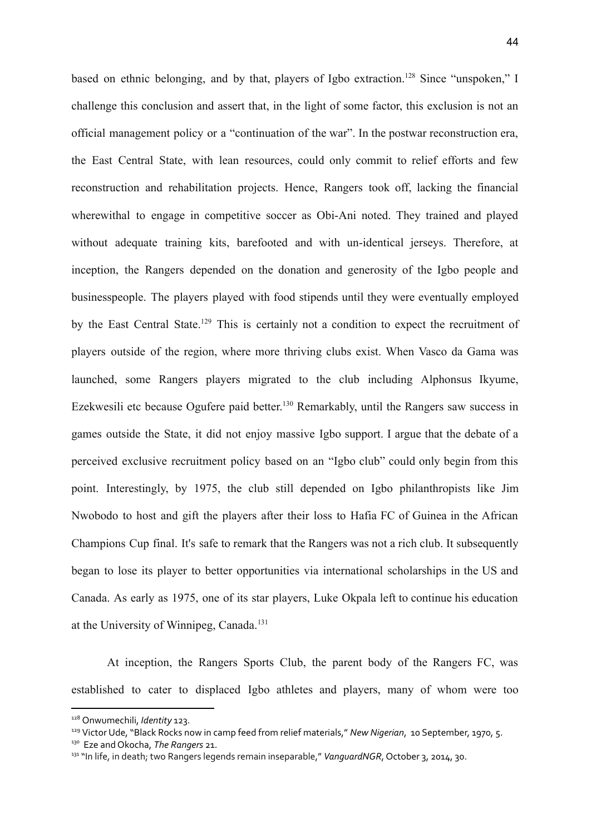based on ethnic belonging, and by that, players of Igbo extraction.<sup>128</sup> Since "unspoken," I challenge this conclusion and assert that, in the light of some factor, this exclusion is not an official management policy or a "continuation of the war". In the postwar reconstruction era, the East Central State, with lean resources, could only commit to relief efforts and few reconstruction and rehabilitation projects. Hence, Rangers took off, lacking the financial wherewithal to engage in competitive soccer as Obi-Ani noted. They trained and played without adequate training kits, barefooted and with un-identical jerseys. Therefore, at inception, the Rangers depended on the donation and generosity of the Igbo people and businesspeople. The players played with food stipends until they were eventually employed by the East Central State.<sup>129</sup> This is certainly not a condition to expect the recruitment of players outside of the region, where more thriving clubs exist. When Vasco da Gama was launched, some Rangers players migrated to the club including Alphonsus Ikyume, Ezekwesili etc because Ogufere paid better.<sup>130</sup> Remarkably, until the Rangers saw success in games outside the State, it did not enjoy massive Igbo support. I argue that the debate of a perceived exclusive recruitment policy based on an "Igbo club" could only begin from this point. Interestingly, by 1975, the club still depended on Igbo philanthropists like Jim Nwobodo to host and gift the players after their loss to Hafia FC of Guinea in the African Champions Cup final. It's safe to remark that the Rangers was not a rich club. It subsequently began to lose its player to better opportunities via international scholarships in the US and Canada. As early as 1975, one of its star players, Luke Okpala left to continue his education at the University of Winnipeg, Canada.<sup>131</sup>

At inception, the Rangers Sports Club, the parent body of the Rangers FC, was established to cater to displaced Igbo athletes and players, many of whom were too

<sup>128</sup> Onwumechili, *Identity* 123.

<sup>129</sup> Victor Ude, "Black Rocks now in camp feed from relief materials," *New Nigerian*, 10 September, 1970, 5.

<sup>130</sup> Eze and Okocha, *The Rangers* 21.

<sup>&</sup>lt;sup>131</sup> "In life, in death; two Rangers legends remain inseparable," *VanguardNGR*, October 3, 2014, 30.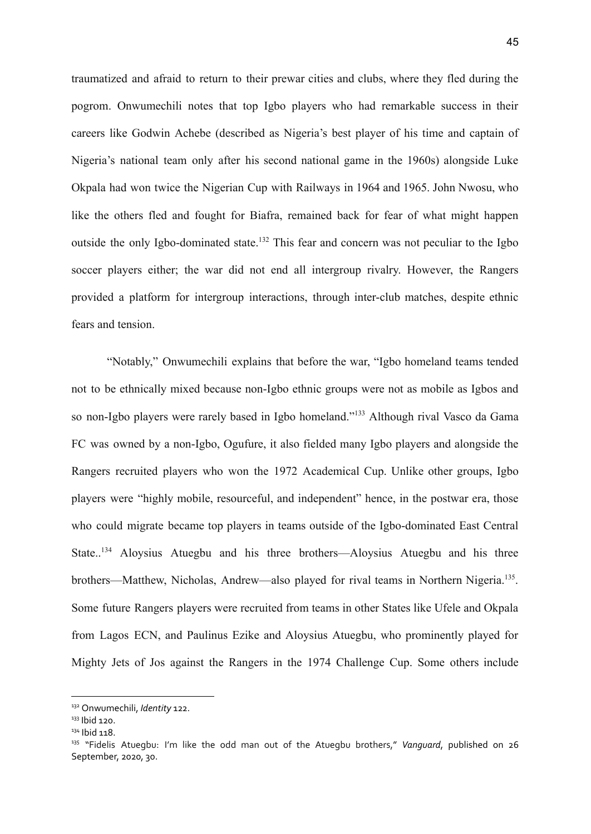traumatized and afraid to return to their prewar cities and clubs, where they fled during the pogrom. Onwumechili notes that top Igbo players who had remarkable success in their careers like Godwin Achebe (described as Nigeria's best player of his time and captain of Nigeria's national team only after his second national game in the 1960s) alongside Luke Okpala had won twice the Nigerian Cup with Railways in 1964 and 1965. John Nwosu, who like the others fled and fought for Biafra, remained back for fear of what might happen outside the only Igbo-dominated state.<sup>132</sup> This fear and concern was not peculiar to the Igbo soccer players either; the war did not end all intergroup rivalry. However, the Rangers provided a platform for intergroup interactions, through inter-club matches, despite ethnic fears and tension.

"Notably," Onwumechili explains that before the war, "Igbo homeland teams tended not to be ethnically mixed because non-Igbo ethnic groups were not as mobile as Igbos and so non-Igbo players were rarely based in Igbo homeland."<sup>133</sup> Although rival Vasco da Gama FC was owned by a non-Igbo, Ogufure, it also fielded many Igbo players and alongside the Rangers recruited players who won the 1972 Academical Cup. Unlike other groups, Igbo players were "highly mobile, resourceful, and independent" hence, in the postwar era, those who could migrate became top players in teams outside of the Igbo-dominated East Central State..<sup>134</sup> Aloysius Atuegbu and his three brothers—Aloysius Atuegbu and his three brothers—Matthew, Nicholas, Andrew—also played for rival teams in Northern Nigeria.<sup>135</sup>. Some future Rangers players were recruited from teams in other States like Ufele and Okpala from Lagos ECN, and Paulinus Ezike and Aloysius Atuegbu, who prominently played for Mighty Jets of Jos against the Rangers in the 1974 Challenge Cup. Some others include

<sup>132</sup> Onwumechili, *Identity* 122.

 $133$  Ibid 120.

<sup>&</sup>lt;sup>134</sup> Ibid 118.

<sup>135</sup> "Fidelis Atuegbu: I'm like the odd man out of the Atuegbu brothers," *Vanguard*, published on 26 September, 2020, 30.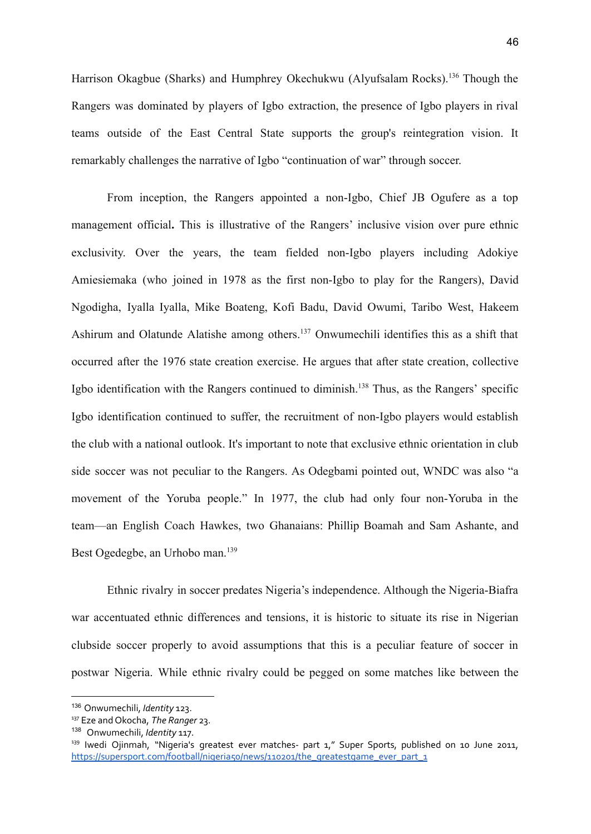Harrison Okagbue (Sharks) and Humphrey Okechukwu (Alyufsalam Rocks).<sup>136</sup> Though the Rangers was dominated by players of Igbo extraction, the presence of Igbo players in rival teams outside of the East Central State supports the group's reintegration vision. It remarkably challenges the narrative of Igbo "continuation of war" through soccer.

From inception, the Rangers appointed a non-Igbo, Chief JB Ogufere as a top management official**.** This is illustrative of the Rangers' inclusive vision over pure ethnic exclusivity. Over the years, the team fielded non-Igbo players including Adokiye Amiesiemaka (who joined in 1978 as the first non-Igbo to play for the Rangers), David Ngodigha, Iyalla Iyalla, Mike Boateng, Kofi Badu, David Owumi, Taribo West, Hakeem Ashirum and Olatunde Alatishe among others.<sup>137</sup> Onwumechili identifies this as a shift that occurred after the 1976 state creation exercise. He argues that after state creation, collective Igbo identification with the Rangers continued to diminish.<sup>138</sup> Thus, as the Rangers' specific Igbo identification continued to suffer, the recruitment of non-Igbo players would establish the club with a national outlook. It's important to note that exclusive ethnic orientation in club side soccer was not peculiar to the Rangers. As Odegbami pointed out, WNDC was also "a movement of the Yoruba people." In 1977, the club had only four non-Yoruba in the team—an English Coach Hawkes, two Ghanaians: Phillip Boamah and Sam Ashante, and Best Ogedegbe, an Urhobo man.<sup>139</sup>

Ethnic rivalry in soccer predates Nigeria's independence. Although the Nigeria-Biafra war accentuated ethnic differences and tensions, it is historic to situate its rise in Nigerian clubside soccer properly to avoid assumptions that this is a peculiar feature of soccer in postwar Nigeria. While ethnic rivalry could be pegged on some matches like between the

<sup>136</sup> Onwumechili, *Identity* 123.

<sup>137</sup> Eze and Okocha, *The Ranger* 23.

<sup>138</sup> Onwumechili, *Identity* 117.

<sup>&</sup>lt;sup>139</sup> Iwedi Ojinmah, "Nigeria's greatest ever matches- part 1," Super Sports, published on 10 June 2011, [https://supersport.com/football/nigeria50/news/110201/the\\_greatestgame\\_ever\\_part\\_1](https://supersport.com/football/nigeria50/news/110201/the_greatestgame_ever_part_1)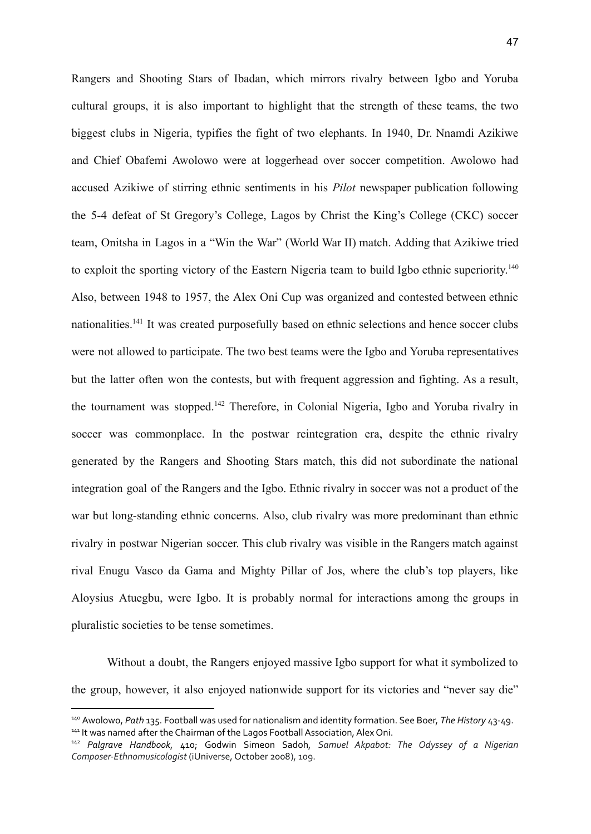Rangers and Shooting Stars of Ibadan, which mirrors rivalry between Igbo and Yoruba cultural groups, it is also important to highlight that the strength of these teams, the two biggest clubs in Nigeria, typifies the fight of two elephants. In 1940, Dr. Nnamdi Azikiwe and Chief Obafemi Awolowo were at loggerhead over soccer competition. Awolowo had accused Azikiwe of stirring ethnic sentiments in his *Pilot* newspaper publication following the 5-4 defeat of St Gregory's College, Lagos by Christ the King's College (CKC) soccer team, Onitsha in Lagos in a "Win the War" (World War II) match. Adding that Azikiwe tried to exploit the sporting victory of the Eastern Nigeria team to build Igbo ethnic superiority.<sup>140</sup> Also, between 1948 to 1957, the Alex Oni Cup was organized and contested between ethnic nationalities.<sup>141</sup> It was created purposefully based on ethnic selections and hence soccer clubs were not allowed to participate. The two best teams were the Igbo and Yoruba representatives but the latter often won the contests, but with frequent aggression and fighting. As a result, the tournament was stopped.<sup>142</sup> Therefore, in Colonial Nigeria, Igbo and Yoruba rivalry in soccer was commonplace. In the postwar reintegration era, despite the ethnic rivalry generated by the Rangers and Shooting Stars match, this did not subordinate the national integration goal of the Rangers and the Igbo. Ethnic rivalry in soccer was not a product of the war but long-standing ethnic concerns. Also, club rivalry was more predominant than ethnic rivalry in postwar Nigerian soccer. This club rivalry was visible in the Rangers match against rival Enugu Vasco da Gama and Mighty Pillar of Jos, where the club's top players, like Aloysius Atuegbu, were Igbo. It is probably normal for interactions among the groups in pluralistic societies to be tense sometimes.

Without a doubt, the Rangers enjoyed massive Igbo support for what it symbolized to the group, however, it also enjoyed nationwide support for its victories and "never say die"

<sup>&</sup>lt;sup>141</sup> It was named after the Chairman of the Lagos Football Association, Alex Oni. <sup>140</sup> Awolowo, *Path* 135. Football was used for nationalism and identity formation. See Boer, *The History* 43-49.

<sup>142</sup> *Palgrave Handbook*, 410; Godwin Simeon Sadoh, *Samuel Akpabot: The Odyssey of a Nigerian Composer-Ethnomusicologist* (iUniverse, October 2008), 109.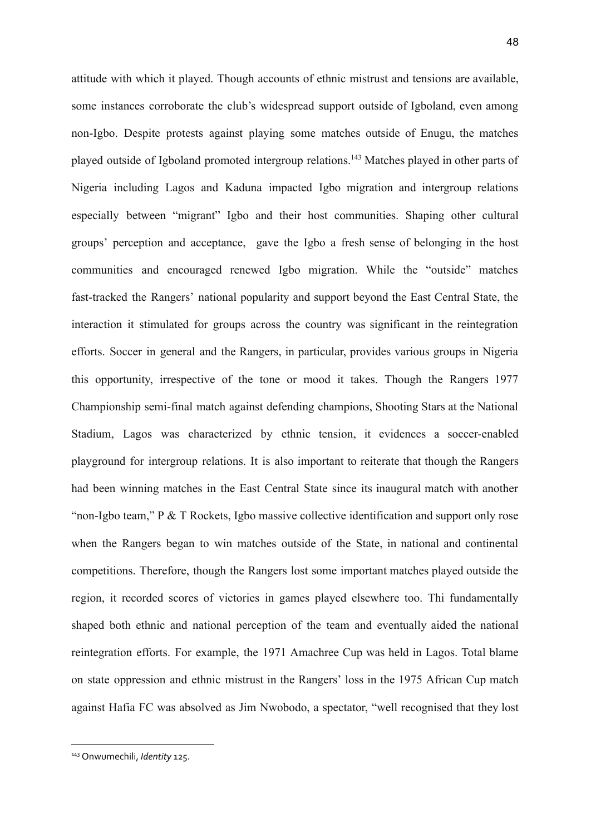attitude with which it played. Though accounts of ethnic mistrust and tensions are available, some instances corroborate the club's widespread support outside of Igboland, even among non-Igbo. Despite protests against playing some matches outside of Enugu, the matches played outside of Igboland promoted intergroup relations.<sup>143</sup> Matches played in other parts of Nigeria including Lagos and Kaduna impacted Igbo migration and intergroup relations especially between "migrant" Igbo and their host communities. Shaping other cultural groups' perception and acceptance, gave the Igbo a fresh sense of belonging in the host communities and encouraged renewed Igbo migration. While the "outside" matches fast-tracked the Rangers' national popularity and support beyond the East Central State, the interaction it stimulated for groups across the country was significant in the reintegration efforts. Soccer in general and the Rangers, in particular, provides various groups in Nigeria this opportunity, irrespective of the tone or mood it takes. Though the Rangers 1977 Championship semi-final match against defending champions, Shooting Stars at the National Stadium, Lagos was characterized by ethnic tension, it evidences a soccer-enabled playground for intergroup relations. It is also important to reiterate that though the Rangers had been winning matches in the East Central State since its inaugural match with another "non-Igbo team," P & T Rockets, Igbo massive collective identification and support only rose when the Rangers began to win matches outside of the State, in national and continental competitions. Therefore, though the Rangers lost some important matches played outside the region, it recorded scores of victories in games played elsewhere too. Thi fundamentally shaped both ethnic and national perception of the team and eventually aided the national reintegration efforts. For example, the 1971 Amachree Cup was held in Lagos. Total blame on state oppression and ethnic mistrust in the Rangers' loss in the 1975 African Cup match against Hafia FC was absolved as Jim Nwobodo, a spectator, "well recognised that they lost

<sup>143</sup> Onwumechili, *Identity* 125.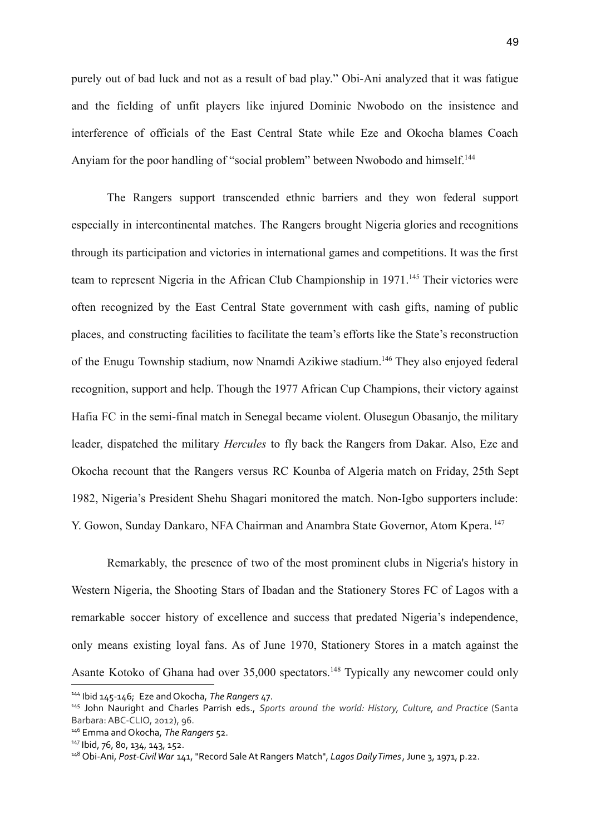purely out of bad luck and not as a result of bad play." Obi-Ani analyzed that it was fatigue and the fielding of unfit players like injured Dominic Nwobodo on the insistence and interference of officials of the East Central State while Eze and Okocha blames Coach Anyiam for the poor handling of "social problem" between Nwobodo and himself.<sup>144</sup>

The Rangers support transcended ethnic barriers and they won federal support especially in intercontinental matches. The Rangers brought Nigeria glories and recognitions through its participation and victories in international games and competitions. It was the first team to represent Nigeria in the African Club Championship in 1971.<sup>145</sup> Their victories were often recognized by the East Central State government with cash gifts, naming of public places, and constructing facilities to facilitate the team's efforts like the State's reconstruction of the Enugu Township stadium, now Nnamdi Azikiwe stadium.<sup>146</sup> They also enjoyed federal recognition, support and help. Though the 1977 African Cup Champions, their victory against Hafia FC in the semi-final match in Senegal became violent. Olusegun Obasanjo, the military leader, dispatched the military *Hercules* to fly back the Rangers from Dakar. Also, Eze and Okocha recount that the Rangers versus RC Kounba of Algeria match on Friday, 25th Sept 1982, Nigeria's President Shehu Shagari monitored the match. Non-Igbo supporters include: Y. Gowon, Sunday Dankaro, NFA Chairman and Anambra State Governor, Atom Kpera.<sup>147</sup>

Remarkably, the presence of two of the most prominent clubs in Nigeria's history in Western Nigeria, the Shooting Stars of Ibadan and the Stationery Stores FC of Lagos with a remarkable soccer history of excellence and success that predated Nigeria's independence, only means existing loyal fans. As of June 1970, Stationery Stores in a match against the Asante Kotoko of Ghana had over 35,000 spectators.<sup>148</sup> Typically any newcomer could only

<sup>144</sup> Ibid 145-146; Eze and Okocha, *The Rangers* 47.

<sup>145</sup> John Nauright and Charles Parrish eds., *Sports around the world: History, Culture, and Practice* (Santa Barbara:ABC-CLIO, 2012), 96.

<sup>146</sup> Emma and Okocha, *The Rangers* 52.

<sup>147</sup> Ibid, 76, 80, 134, 143, 152.

<sup>148</sup> Obi-Ani, *Post-CivilWar* 141, "Record SaleAt Rangers Match", *Lagos DailyTimes*,June 3, 1971, p.22.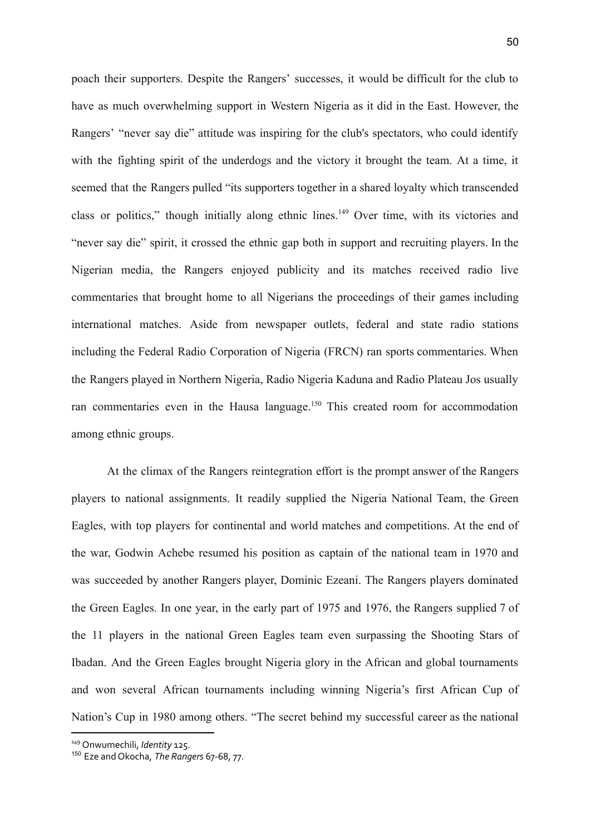poach their supporters. Despite the Rangers' successes, it would be difficult for the club to have as much overwhelming support in Western Nigeria as it did in the East. However, the Rangers' "never say die" attitude was inspiring for the club's spectators, who could identify with the fighting spirit of the underdogs and the victory it brought the team. At a time, it seemed that the Rangers pulled "its supporters together in a shared loyalty which transcended class or politics," though initially along ethnic lines.<sup>149</sup> Over time, with its victories and "never say die" spirit, it crossed the ethnic gap both in support and recruiting players. In the Nigerian media, the Rangers enjoyed publicity and its matches received radio live commentaries that brought home to all Nigerians the proceedings of their games including international matches. Aside from newspaper outlets, federal and state radio stations including the Federal Radio Corporation of Nigeria (FRCN) ran sports commentaries. When the Rangers played in Northern Nigeria, Radio Nigeria Kaduna and Radio Plateau Jos usually ran commentaries even in the Hausa language.<sup>150</sup> This created room for accommodation among ethnic groups.

At the climax of the Rangers reintegration effort is the prompt answer of the Rangers players to national assignments. It readily supplied the Nigeria National Team, the Green Eagles, with top players for continental and world matches and competitions. At the end of the war, Godwin Achebe resumed his position as captain of the national team in 1970 and was succeeded by another Rangers player, Dominic Ezeani. The Rangers players dominated the Green Eagles. In one year, in the early part of 1975 and 1976, the Rangers supplied 7 of the 11 players in the national Green Eagles team even surpassing the Shooting Stars of Ibadan. And the Green Eagles brought Nigeria glory in the African and global tournaments and won several African tournaments including winning Nigeria's first African Cup of Nation's Cup in 1980 among others. "The secret behind my successful career as the national

<sup>149</sup> Onwumechili, *Identity* 125.

<sup>150</sup> Eze and Okocha, *The Rangers* 67-68, 77.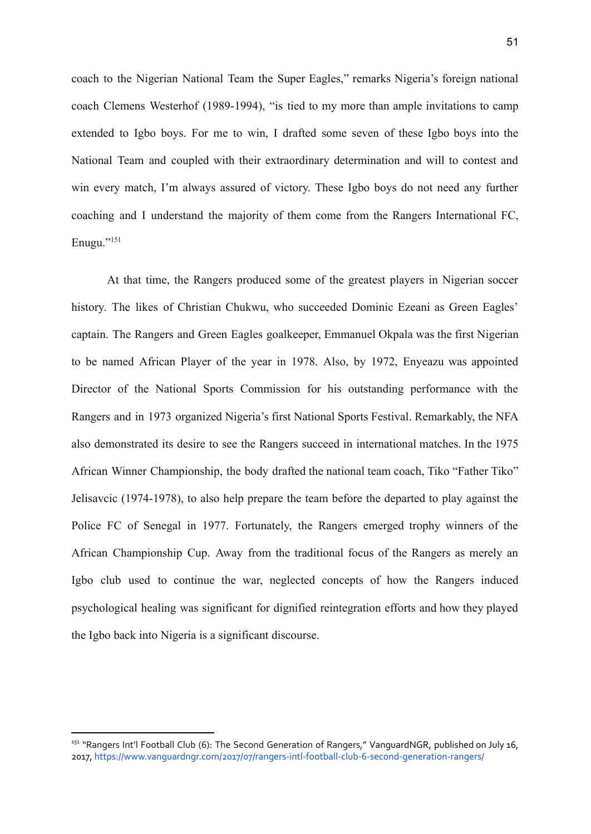coach to the Nigerian National Team the Super Eagles," remarks Nigeria's foreign national coach Clemens Westerhof (1989-1994), "is tied to my more than ample invitations to camp extended to Igbo boys. For me to win, I drafted some seven of these Igbo boys into the National Team and coupled with their extraordinary determination and will to contest and win every match, I'm always assured of victory. These Igbo boys do not need any further coaching and I understand the majority of them come from the Rangers International FC, Enugu."<sup>151</sup>

At that time, the Rangers produced some of the greatest players in Nigerian soccer history. The likes of Christian Chukwu, who succeeded Dominic Ezeani as Green Eagles' captain. The Rangers and Green Eagles goalkeeper, Emmanuel Okpala was the first Nigerian to be named African Player of the year in 1978. Also, by 1972, Enyeazu was appointed Director of the National Sports Commission for his outstanding performance with the Rangers and in 1973 organized Nigeria's first National Sports Festival. Remarkably, the NFA also demonstrated its desire to see the Rangers succeed in international matches. In the 1975 African Winner Championship, the body drafted the national team coach, Tiko "Father Tiko" Jelisavcic (1974-1978), to also help prepare the team before the departed to play against the Police FC of Senegal in 1977. Fortunately, the Rangers emerged trophy winners of the African Championship Cup. Away from the traditional focus of the Rangers as merely an Igbo club used to continue the war, neglected concepts of how the Rangers induced psychological healing was significant for dignified reintegration efforts and how they played the Igbo back into Nigeria is a significant discourse.

<sup>&</sup>lt;sup>151</sup> "Rangers Int'l Football Club (6): The Second Generation of Rangers," VanguardNGR, published on July 16, 2017, <https://www.vanguardngr.com/2017/07/rangers-intl-football-club-6-second-generation-rangers/>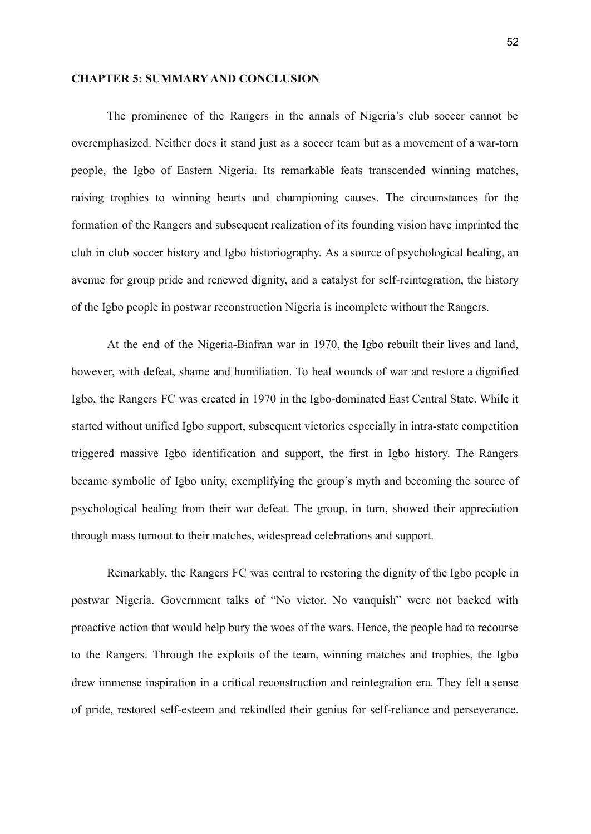#### **CHAPTER 5: SUMMARY AND CONCLUSION**

The prominence of the Rangers in the annals of Nigeria's club soccer cannot be overemphasized. Neither does it stand just as a soccer team but as a movement of a war-torn people, the Igbo of Eastern Nigeria. Its remarkable feats transcended winning matches, raising trophies to winning hearts and championing causes. The circumstances for the formation of the Rangers and subsequent realization of its founding vision have imprinted the club in club soccer history and Igbo historiography. As a source of psychological healing, an avenue for group pride and renewed dignity, and a catalyst for self-reintegration, the history of the Igbo people in postwar reconstruction Nigeria is incomplete without the Rangers.

At the end of the Nigeria-Biafran war in 1970, the Igbo rebuilt their lives and land, however, with defeat, shame and humiliation. To heal wounds of war and restore a dignified Igbo, the Rangers FC was created in 1970 in the Igbo-dominated East Central State. While it started without unified Igbo support, subsequent victories especially in intra-state competition triggered massive Igbo identification and support, the first in Igbo history. The Rangers became symbolic of Igbo unity, exemplifying the group's myth and becoming the source of psychological healing from their war defeat. The group, in turn, showed their appreciation through mass turnout to their matches, widespread celebrations and support.

Remarkably, the Rangers FC was central to restoring the dignity of the Igbo people in postwar Nigeria. Government talks of "No victor. No vanquish" were not backed with proactive action that would help bury the woes of the wars. Hence, the people had to recourse to the Rangers. Through the exploits of the team, winning matches and trophies, the Igbo drew immense inspiration in a critical reconstruction and reintegration era. They felt a sense of pride, restored self-esteem and rekindled their genius for self-reliance and perseverance.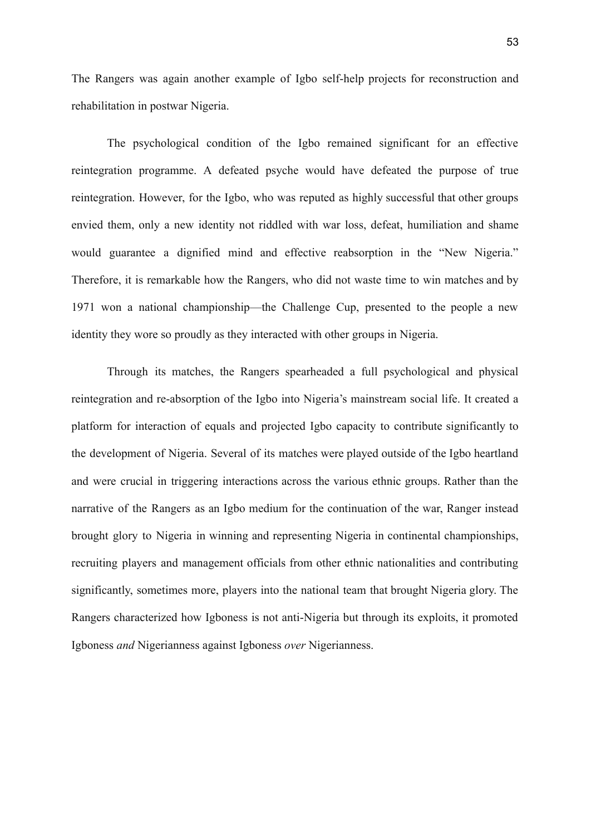The Rangers was again another example of Igbo self-help projects for reconstruction and rehabilitation in postwar Nigeria.

The psychological condition of the Igbo remained significant for an effective reintegration programme. A defeated psyche would have defeated the purpose of true reintegration. However, for the Igbo, who was reputed as highly successful that other groups envied them, only a new identity not riddled with war loss, defeat, humiliation and shame would guarantee a dignified mind and effective reabsorption in the "New Nigeria." Therefore, it is remarkable how the Rangers, who did not waste time to win matches and by 1971 won a national championship—the Challenge Cup, presented to the people a new identity they wore so proudly as they interacted with other groups in Nigeria.

Through its matches, the Rangers spearheaded a full psychological and physical reintegration and re-absorption of the Igbo into Nigeria's mainstream social life. It created a platform for interaction of equals and projected Igbo capacity to contribute significantly to the development of Nigeria. Several of its matches were played outside of the Igbo heartland and were crucial in triggering interactions across the various ethnic groups. Rather than the narrative of the Rangers as an Igbo medium for the continuation of the war, Ranger instead brought glory to Nigeria in winning and representing Nigeria in continental championships, recruiting players and management officials from other ethnic nationalities and contributing significantly, sometimes more, players into the national team that brought Nigeria glory. The Rangers characterized how Igboness is not anti-Nigeria but through its exploits, it promoted Igboness *and* Nigerianness against Igboness *over* Nigerianness.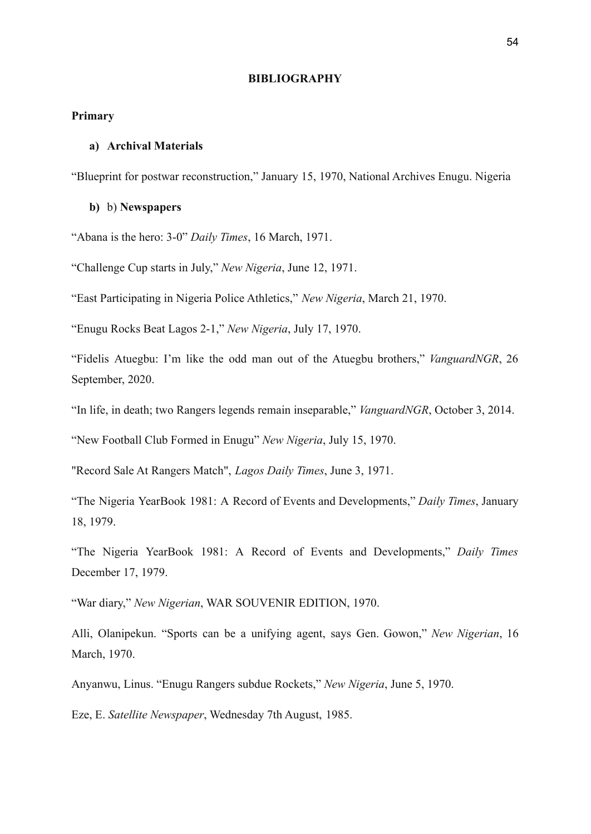#### **BIBLIOGRAPHY**

## **Primary**

## **a) Archival Materials**

"Blueprint for postwar reconstruction," January 15, 1970, National Archives Enugu. Nigeria

#### **b)** b) **Newspapers**

"Abana is the hero: 3-0" *Daily Times*, 16 March, 1971.

"Challenge Cup starts in July," *New Nigeria*, June 12, 1971.

"East Participating in Nigeria Police Athletics," *New Nigeria*, March 21, 1970.

"Enugu Rocks Beat Lagos 2-1," *New Nigeria*, July 17, 1970.

"Fidelis Atuegbu: I'm like the odd man out of the Atuegbu brothers," *VanguardNGR*, 26 September, 2020.

"In life, in death; two Rangers legends remain inseparable," *VanguardNGR*, October 3, 2014.

"New Football Club Formed in Enugu" *New Nigeria*, July 15, 1970.

"Record Sale At Rangers Match", *Lagos Daily Times*, June 3, 1971.

"The Nigeria YearBook 1981: A Record of Events and Developments," *Daily Times*, January 18, 1979.

"The Nigeria YearBook 1981: A Record of Events and Developments," *Daily Times* December 17, 1979.

"War diary," *New Nigerian*, WAR SOUVENIR EDITION, 1970.

Alli, Olanipekun. "Sports can be a unifying agent, says Gen. Gowon," *New Nigerian*, 16 March, 1970.

Anyanwu, Linus. "Enugu Rangers subdue Rockets," *New Nigeria*, June 5, 1970.

Eze, E. *Satellite Newspaper*, Wednesday 7th August, 1985.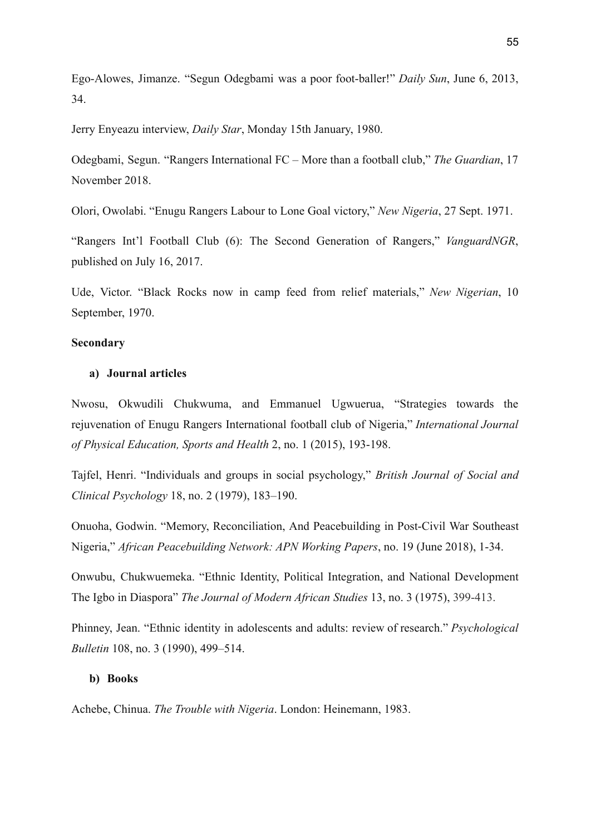Ego-Alowes, Jimanze. "Segun Odegbami was a poor foot-baller!" *Daily Sun*, June 6, 2013, 34.

Jerry Enyeazu interview, *Daily Star*, Monday 15th January, 1980.

Odegbami, Segun. "Rangers International FC – More than a football club," *The Guardian*, 17 November 2018.

Olori, Owolabi. "Enugu Rangers Labour to Lone Goal victory," *New Nigeria*, 27 Sept. 1971.

"Rangers Int'l Football Club (6): The Second Generation of Rangers," *VanguardNGR*, published on July 16, 2017.

Ude, Victor. "Black Rocks now in camp feed from relief materials," *New Nigerian*, 10 September, 1970.

## **Secondary**

## **a) Journal articles**

Nwosu, Okwudili Chukwuma, and Emmanuel Ugwuerua, "Strategies towards the rejuvenation of Enugu Rangers International football club of Nigeria," *International Journal of Physical Education, Sports and Health* 2, no. 1 (2015), 193-198.

Tajfel, Henri. "Individuals and groups in social psychology," *British Journal of Social and Clinical Psychology* 18, no. 2 (1979), 183–190.

Onuoha, Godwin. "Memory, Reconciliation, And Peacebuilding in Post-Civil War Southeast Nigeria," *African Peacebuilding Network: APN Working Papers*, no. 19 (June 2018), 1-34.

Onwubu, Chukwuemeka. "Ethnic Identity, Political Integration, and National Development The Igbo in Diaspora" *The Journal of Modern African Studies* 13, no. 3 (1975), 399-413.

Phinney, Jean. "Ethnic identity in adolescents and adults: review of research." *Psychological Bulletin* 108, no. 3 (1990), 499–514.

### **b) Books**

Achebe, Chinua. *The Trouble with Nigeria*. London: Heinemann, 1983.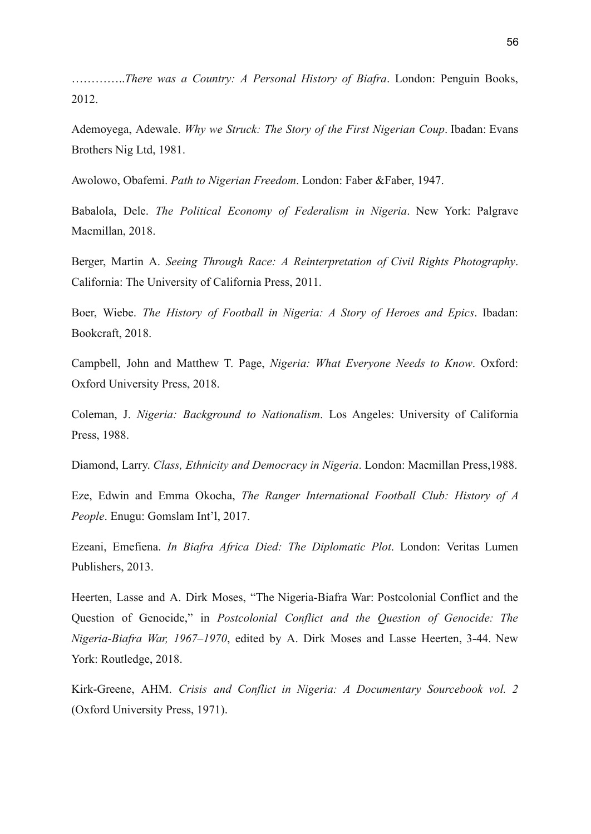…………..*There was a Country: A Personal History of Biafra*. London: Penguin Books, 2012.

Ademoyega, Adewale. *Why we Struck: The Story of the First Nigerian Coup*. Ibadan: Evans Brothers Nig Ltd, 1981.

Awolowo, Obafemi. *Path to Nigerian Freedom*. London: Faber &Faber, 1947.

Babalola, Dele. *The Political Economy of Federalism in Nigeria*. New York: Palgrave Macmillan, 2018.

Berger, Martin A. *Seeing Through Race: A Reinterpretation of Civil Rights Photography*. California: The University of California Press, 2011.

Boer, Wiebe. *The History of Football in Nigeria: A Story of Heroes and Epics*. Ibadan: Bookcraft, 2018.

Campbell, John and Matthew T. Page, *Nigeria: What Everyone Needs to Know*. Oxford: Oxford University Press, 2018.

Coleman, J. *Nigeria: Background to Nationalism*. Los Angeles: University of California Press, 1988.

Diamond, Larry. *Class, Ethnicity and Democracy in Nigeria*. London: Macmillan Press,1988.

Eze, Edwin and Emma Okocha, *The Ranger International Football Club: History of A People*. Enugu: Gomslam Int'l, 2017.

Ezeani, Emefiena. *In Biafra Africa Died: The Diplomatic Plot*. London: Veritas Lumen Publishers, 2013.

Heerten, Lasse and A. Dirk Moses, "The Nigeria-Biafra War: Postcolonial Conflict and the Question of Genocide," in *Postcolonial Conflict and the Question of Genocide: The Nigeria-Biafra War, 1967–1970*, edited by A. Dirk Moses and Lasse Heerten, 3-44. New York: Routledge, 2018.

Kirk-Greene, AHM. *Crisis and Conflict in Nigeria: A Documentary Sourcebook vol. 2* (Oxford University Press, 1971).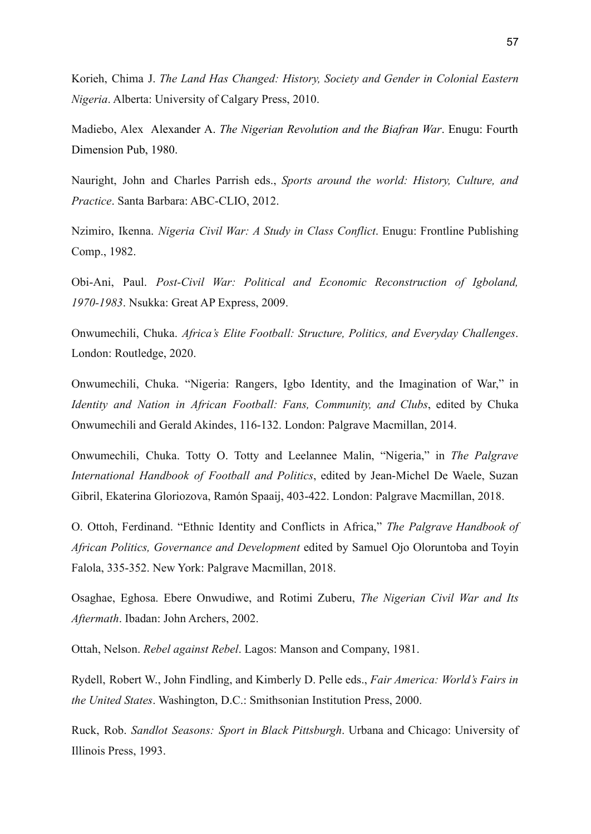Korieh, Chima J. *The Land Has Changed: History, Society and Gender in Colonial Eastern Nigeria*. Alberta: University of Calgary Press, 2010.

Madiebo, Alex Alexander A. *The Nigerian Revolution and the Biafran War*. Enugu: Fourth Dimension Pub, 1980.

Nauright, John and Charles Parrish eds., *Sports around the world: History, Culture, and Practice*. Santa Barbara: ABC-CLIO, 2012.

Nzimiro, Ikenna. *Nigeria Civil War: A Study in Class Conflict*. Enugu: Frontline Publishing Comp., 1982.

Obi-Ani, Paul. *Post-Civil War: Political and Economic Reconstruction of Igboland, 1970-1983*. Nsukka: Great AP Express, 2009.

Onwumechili, Chuka. *Africa's Elite Football: Structure, Politics, and Everyday Challenges*. London: Routledge, 2020.

Onwumechili, Chuka. "Nigeria: Rangers, Igbo Identity, and the Imagination of War," in *Identity and Nation in African Football: Fans, Community, and Clubs*, edited by Chuka Onwumechili and Gerald Akindes, 116-132. London: Palgrave Macmillan, 2014.

Onwumechili, Chuka. Totty O. Totty and Leelannee Malin, "Nigeria," in *The Palgrave International Handbook of Football and Politics*, edited by Jean-Michel De Waele, Suzan Gibril, Ekaterina Gloriozova, Ramón Spaaij, 403-422. London: Palgrave Macmillan, 2018.

O. Ottoh, Ferdinand. "Ethnic Identity and Conflicts in Africa," *The Palgrave Handbook of African Politics, Governance and Development* edited by Samuel Ojo Oloruntoba and Toyin Falola, 335-352. New York: Palgrave Macmillan, 2018.

Osaghae, Eghosa. Ebere Onwudiwe, and Rotimi Zuberu, *The Nigerian Civil War and Its Aftermath*. Ibadan: John Archers, 2002.

Ottah, Nelson. *Rebel against Rebel*. Lagos: Manson and Company, 1981.

Rydell, Robert W., John Findling, and Kimberly D. Pelle eds., *Fair America: World's Fairs in the United States*. Washington, D.C.: Smithsonian Institution Press, 2000.

Ruck, Rob. *Sandlot Seasons: Sport in Black Pittsburgh*. Urbana and Chicago: University of Illinois Press, 1993.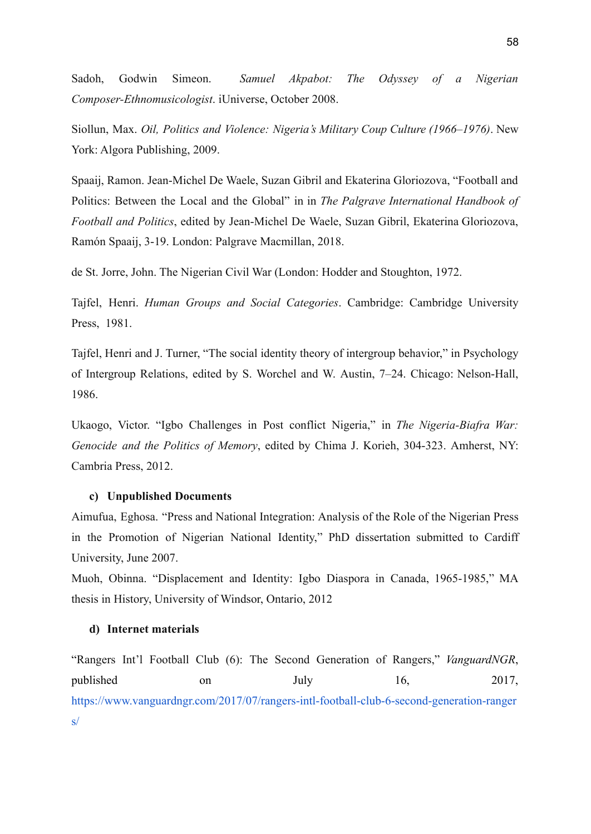Sadoh, Godwin Simeon. *Samuel Akpabot: The Odyssey of a Nigerian Composer-Ethnomusicologist*. iUniverse, October 2008.

Siollun, Max. *Oil, Politics and Violence: Nigeria's Military Coup Culture (1966–1976)*. New York: Algora Publishing, 2009.

Spaaij, Ramon. Jean-Michel De Waele, Suzan Gibril and Ekaterina Gloriozova, "Football and Politics: Between the Local and the Global" in in *The Palgrave International Handbook of Football and Politics*, edited by Jean-Michel De Waele, Suzan Gibril, Ekaterina Gloriozova, Ramón Spaaij, 3-19. London: Palgrave Macmillan, 2018.

de St. Jorre, John. The Nigerian Civil War (London: Hodder and Stoughton, 1972.

Tajfel, Henri. *Human Groups and Social Categories*. Cambridge: Cambridge University Press, 1981.

Tajfel, Henri and J. Turner, "The social identity theory of intergroup behavior," in Psychology of Intergroup Relations, edited by S. Worchel and W. Austin, 7–24. Chicago: Nelson-Hall, 1986.

Ukaogo, Victor. "Igbo Challenges in Post conflict Nigeria," in *The Nigeria-Biafra War: Genocide and the Politics of Memory*, edited by Chima J. Korieh, 304-323. Amherst, NY: Cambria Press, 2012.

### **c) Unpublished Documents**

Aimufua, Eghosa. "Press and National Integration: Analysis of the Role of the Nigerian Press in the Promotion of Nigerian National Identity," PhD dissertation submitted to Cardiff University, June 2007.

Muoh, Obinna. "Displacement and Identity: Igbo Diaspora in Canada, 1965-1985," MA thesis in History, University of Windsor, Ontario, 2012

### **d) Internet materials**

"Rangers Int'l Football Club (6): The Second Generation of Rangers," *VanguardNGR*, published on July 16, 2017, [https://www.vanguardngr.com/2017/07/rangers-intl-football-club-6-second-generation-ranger](https://www.vanguardngr.com/2017/07/rangers-intl-football-club-6-second-generation-rangers/) [s/](https://www.vanguardngr.com/2017/07/rangers-intl-football-club-6-second-generation-rangers/)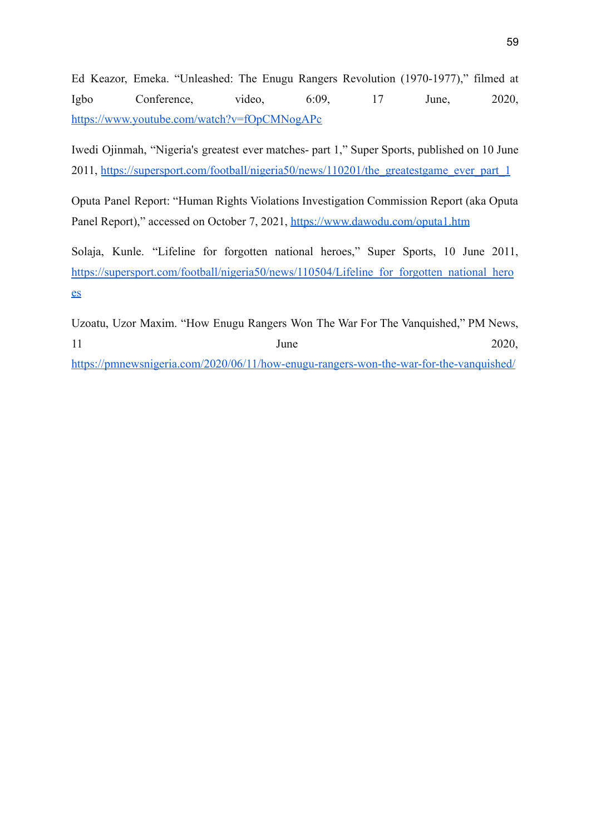Ed Keazor, Emeka. "Unleashed: The Enugu Rangers Revolution (1970-1977)," filmed at Igbo Conference, video, 6:09, 17 June, 2020, <https://www.youtube.com/watch?v=fOpCMNogAPc>

Iwedi Ojinmah, "Nigeria's greatest ever matches- part 1," Super Sports, published on 10 June 2011, [https://supersport.com/football/nigeria50/news/110201/the\\_greatestgame\\_ever\\_part\\_1](https://supersport.com/football/nigeria50/news/110201/the_greatestgame_ever_part_1)

Oputa Panel Report: "Human Rights Violations Investigation Commission Report (aka Oputa Panel Report)," accessed on October 7, 2021, <https://www.dawodu.com/oputa1.htm>

Solaja, Kunle. "Lifeline for forgotten national heroes," Super Sports, 10 June 2011, https://supersport.com/football/nigeria50/news/110504/Lifeline for forgotten national hero [es](https://supersport.com/football/nigeria50/news/110504/Lifeline_for_forgotten_national_heroes)

Uzoatu, Uzor Maxim. "How Enugu Rangers Won The War For The Vanquished," PM News, 11 June 2020, <https://pmnewsnigeria.com/2020/06/11/how-enugu-rangers-won-the-war-for-the-vanquished/>